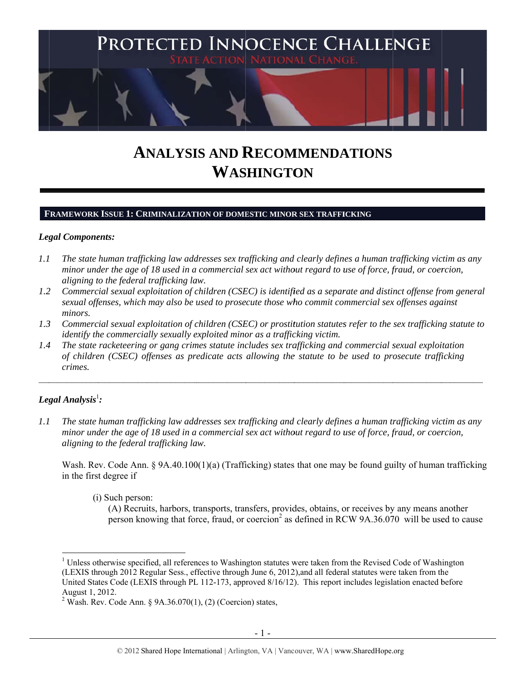

# **ANALYSIS AND RECOMMENDATIONS WASHINGTON**

#### **FRAMEWORK ISSUE 1: CRIMINALIZATION OF DOMESTIC MINOR SEX TRAFFICKING**

#### Legal Components:

- *1.1 l* The state human trafficking law addresses sex trafficking and clearly defines a human trafficking victim as any *minor under the age of 18 used in a commercial sex act without regard to use of force, fraud, or coercion, aligning t to the federal trafficking la aw.*
- *1.2* 2 Commercial sexual exploitation of children (CSEC) is identified as a separate and distinct offense from general *sexual offenses, which may also be used to prosecute those who commit commercial sex offenses against minors.*
- *1.3* 3 Commercial sexual exploitation of children (CSEC) or prostitution statutes refer to the sex trafficking statute to *identify the commercially sexually exploited minor as a trafficking victim.*

 $\mathcal{L}_\text{max}$ 

 $\mathcal{L}_\text{max}$ 

 $\mathcal{L}_\text{max}$ 

 $\mathcal{L}_\text{max}$ 

 $\mathcal{L}_\text{max}$ 

*1.4* 4 The state racketeering or gang crimes statute includes sex trafficking and commercial sexual exploitation *of children (CSEC) offenses as predicate acts allowing the statute to be used to prosecute trafficking crimes.* 

 $\mathcal{L}_\text{max}$ 

# $\bm{\mathit{Legal\ Analysis^1}}$ :

 $\overline{a}$ 

 $\mathcal{L}_\text{max}$ 

 $\mathcal{L}_\mathcal{L}$ 

*1.1 l* The state human trafficking law addresses sex trafficking and clearly defines a human trafficking victim as any *minor under the age of 18 used in a commercial sex act without regard to use of force, fraud, or coercion, aligning t to the federal trafficking la aw.* 

Wash. Rev. Code Ann. § 9A.40.100(1)(a) (Trafficking) states that one may be found guilty of human trafficking in the firs t degree if

(i) Such person:

 $\overline{\phantom{a}}$ 

 $\mathcal{L}_\text{max}$ 

(A) Recruits, harbors, transports, transfers, provides, obtains, or receives by any means another person knowing that force, fraud, or coercion<sup>2</sup> as defined in RCW 9A.36.070 will be used to cause

 $\overline{a}$ 

 $\mathcal{L}_\text{max}$ 

<sup>&</sup>lt;sup>1</sup> Unless otherwise specified, all references to Washington statutes were taken from the Revised Code of Washington (LEXIS through 2012 Regular Sess., effective through June 6, 2012), and all federal statutes were taken from the United States Code (LEXIS through PL 112-173, approved 8/16/12). This report includes legislation enacted before August  $1, 2012$ .<br> $2 \text{ Work } \text{Pov}$ .

Wash. Rev. Code Ann. § 9A.36.070(1), (2) (Coercion) states,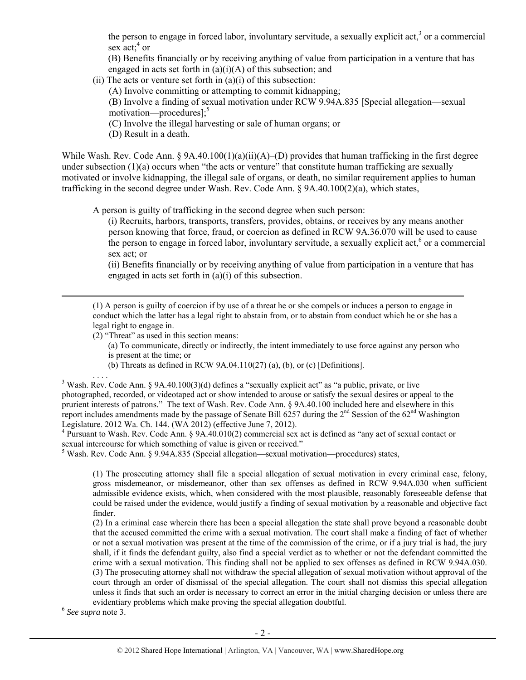the person to engage in forced labor, involuntary servitude, a sexually explicit act, $3$  or a commercial sex  $act$ ;  $4$  or

(B) Benefits financially or by receiving anything of value from participation in a venture that has engaged in acts set forth in  $(a)(i)(A)$  of this subsection; and

(ii) The acts or venture set forth in  $(a)(i)$  of this subsection:

(A) Involve committing or attempting to commit kidnapping;

(B) Involve a finding of sexual motivation under RCW 9.94A.835 [Special allegation—sexual motivation—procedures]; $<sup>5</sup>$ </sup>

(C) Involve the illegal harvesting or sale of human organs; or

(D) Result in a death.

While Wash. Rev. Code Ann. § 9A.40.100(1)(a)(ii)(A)–(D) provides that human trafficking in the first degree under subsection  $(1)(a)$  occurs when "the acts or venture" that constitute human trafficking are sexually motivated or involve kidnapping, the illegal sale of organs, or death, no similar requirement applies to human trafficking in the second degree under Wash. Rev. Code Ann. § 9A.40.100(2)(a), which states,

A person is guilty of trafficking in the second degree when such person:

(i) Recruits, harbors, transports, transfers, provides, obtains, or receives by any means another person knowing that force, fraud, or coercion as defined in RCW 9A.36.070 will be used to cause the person to engage in forced labor, involuntary servitude, a sexually explicit act,<sup>6</sup> or a commercial sex act; or

(ii) Benefits financially or by receiving anything of value from participation in a venture that has engaged in acts set forth in (a)(i) of this subsection.

 (1) A person is guilty of coercion if by use of a threat he or she compels or induces a person to engage in conduct which the latter has a legal right to abstain from, or to abstain from conduct which he or she has a legal right to engage in.

(2) "Threat" as used in this section means:

- (a) To communicate, directly or indirectly, the intent immediately to use force against any person who is present at the time; or
- (b) Threats as defined in RCW 9A.04.110(27) (a), (b), or (c) [Definitions].

 $\ldots$ <br><sup>3</sup> Wash. Rev. Code Ann. § 9A.40.100(3)(d) defines a "sexually explicit act" as "a public, private, or live photographed, recorded, or videotaped act or show intended to arouse or satisfy the sexual desires or appeal to the prurient interests of patrons." The text of Wash. Rev. Code Ann. § 9A.40.100 included here and elsewhere in this report includes amendments made by the passage of Senate Bill  $6257$  during the  $2<sup>nd</sup>$  Session of the  $62<sup>nd</sup>$  Washington Legislature. 2012 Wa. Ch. 144. (WA 2012) (effective June 7, 2012).

<sup>4</sup> Pursuant to Wash. Rev. Code Ann. § 9A.40.010(2) commercial sex act is defined as "any act of sexual contact or sexual intercourse for which something of value is given or received."

Wash. Rev. Code Ann. § 9.94A.835 (Special allegation—sexual motivation—procedures) states,

(1) The prosecuting attorney shall file a special allegation of sexual motivation in every criminal case, felony, gross misdemeanor, or misdemeanor, other than sex offenses as defined in RCW 9.94A.030 when sufficient admissible evidence exists, which, when considered with the most plausible, reasonably foreseeable defense that could be raised under the evidence, would justify a finding of sexual motivation by a reasonable and objective fact finder.

(2) In a criminal case wherein there has been a special allegation the state shall prove beyond a reasonable doubt that the accused committed the crime with a sexual motivation. The court shall make a finding of fact of whether or not a sexual motivation was present at the time of the commission of the crime, or if a jury trial is had, the jury shall, if it finds the defendant guilty, also find a special verdict as to whether or not the defendant committed the crime with a sexual motivation. This finding shall not be applied to sex offenses as defined in RCW 9.94A.030. (3) The prosecuting attorney shall not withdraw the special allegation of sexual motivation without approval of the court through an order of dismissal of the special allegation. The court shall not dismiss this special allegation unless it finds that such an order is necessary to correct an error in the initial charging decision or unless there are evidentiary problems which make proving the special allegation doubtful. 6 *See supra* note 3.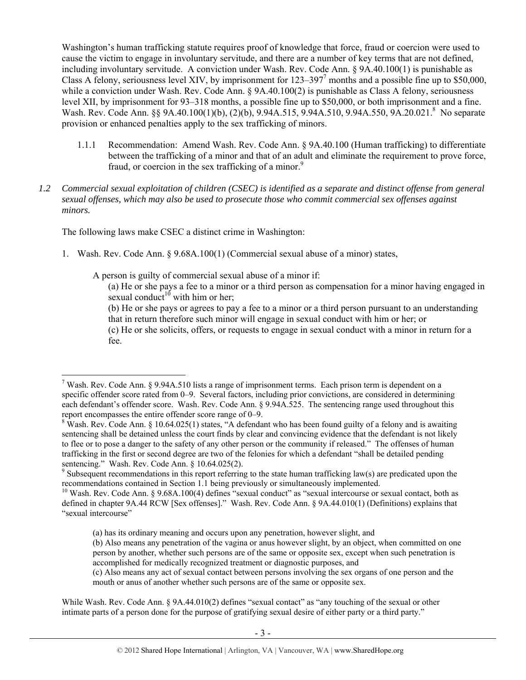Washington's human trafficking statute requires proof of knowledge that force, fraud or coercion were used to cause the victim to engage in involuntary servitude, and there are a number of key terms that are not defined, including involuntary servitude. A conviction under Wash. Rev. Code Ann. § 9A.40.100(1) is punishable as Class A felony, seriousness level XIV, by imprisonment for  $123-397^7$  months and a possible fine up to \$50,000, while a conviction under Wash. Rev. Code Ann. § 9A.40.100(2) is punishable as Class A felony, seriousness level XII, by imprisonment for 93–318 months, a possible fine up to \$50,000, or both imprisonment and a fine. Wash. Rev. Code Ann. §§ 9A.40.100(1)(b), (2)(b), 9.94A.515, 9.94A.510, 9.94A.550, 9A.20.021.<sup>8</sup> No separate provision or enhanced penalties apply to the sex trafficking of minors.

- 1.1.1 Recommendation: Amend Wash. Rev. Code Ann. § 9A.40.100 (Human trafficking) to differentiate between the trafficking of a minor and that of an adult and eliminate the requirement to prove force, fraud, or coercion in the sex trafficking of a minor.<sup>9</sup>
- *1.2 Commercial sexual exploitation of children (CSEC) is identified as a separate and distinct offense from general sexual offenses, which may also be used to prosecute those who commit commercial sex offenses against minors.*

The following laws make CSEC a distinct crime in Washington:

 $\overline{a}$ 

1. Wash. Rev. Code Ann. § 9.68A.100(1) (Commercial sexual abuse of a minor) states,

A person is guilty of commercial sexual abuse of a minor if:

(a) He or she pays a fee to a minor or a third person as compensation for a minor having engaged in sexual conduct<sup>10</sup> with him or her;

(b) He or she pays or agrees to pay a fee to a minor or a third person pursuant to an understanding that in return therefore such minor will engage in sexual conduct with him or her; or (c) He or she solicits, offers, or requests to engage in sexual conduct with a minor in return for a

fee.

<sup>&</sup>lt;sup>7</sup> Wash. Rev. Code Ann. § 9.94A.510 lists a range of imprisonment terms. Each prison term is dependent on a specific offender score rated from 0–9. Several factors, including prior convictions, are considered in determining each defendant's offender score. Wash. Rev. Code Ann. § 9.94A.525. The sentencing range used throughout this report encompasses the entire offender score range of 0–9.

<sup>&</sup>lt;sup>8</sup> Wash. Rev. Code Ann. § 10.64.025(1) states, "A defendant who has been found guilty of a felony and is awaiting sentencing shall be detained unless the court finds by clear and convincing evidence that the defendant is not likely to flee or to pose a danger to the safety of any other person or the community if released." The offenses of human trafficking in the first or second degree are two of the felonies for which a defendant "shall be detailed pending sentencing." Wash. Rev. Code Ann. § 10.64.025(2).

<sup>&</sup>lt;sup>9</sup> Subsequent recommendations in this report referring to the state human trafficking law(s) are predicated upon the recommendations contained in Section 1.1 being previously or simultaneously implemented.

<sup>&</sup>lt;sup>10</sup> Wash. Rev. Code Ann. § 9.68A.100(4) defines "sexual conduct" as "sexual intercourse or sexual contact, both as defined in chapter 9A.44 RCW [Sex offenses]." Wash. Rev. Code Ann. § 9A.44.010(1) (Definitions) explains that "sexual intercourse"

<sup>(</sup>a) has its ordinary meaning and occurs upon any penetration, however slight, and

<sup>(</sup>b) Also means any penetration of the vagina or anus however slight, by an object, when committed on one person by another, whether such persons are of the same or opposite sex, except when such penetration is accomplished for medically recognized treatment or diagnostic purposes, and

<sup>(</sup>c) Also means any act of sexual contact between persons involving the sex organs of one person and the mouth or anus of another whether such persons are of the same or opposite sex.

While Wash. Rev. Code Ann. § 9A.44.010(2) defines "sexual contact" as "any touching of the sexual or other intimate parts of a person done for the purpose of gratifying sexual desire of either party or a third party."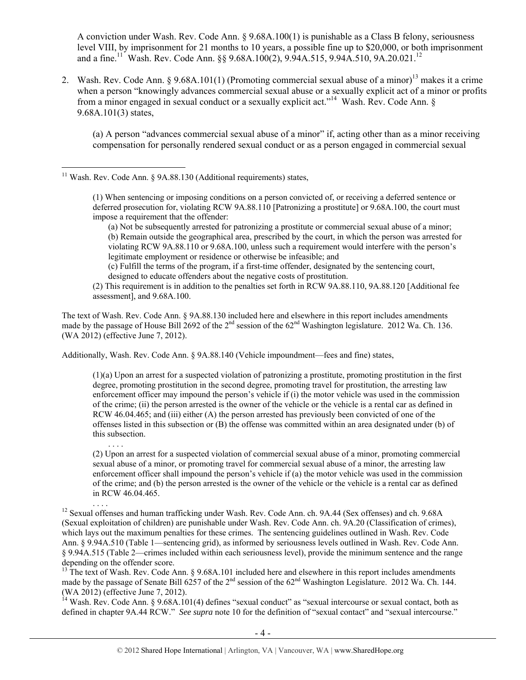A conviction under Wash. Rev. Code Ann. § 9.68A.100(1) is punishable as a Class B felony, seriousness level VIII, by imprisonment for 21 months to 10 years, a possible fine up to \$20,000, or both imprisonment and a fine.<sup>11</sup> Wash. Rev. Code Ann. §§ 9.68A.100(2), 9.94A.515, 9.94A.510, 9A.20.021.<sup>12</sup>

2. Wash. Rev. Code Ann. § 9.68A.101(1) (Promoting commercial sexual abuse of a minor)<sup>13</sup> makes it a crime when a person "knowingly advances commercial sexual abuse or a sexually explicit act of a minor or profits from a minor engaged in sexual conduct or a sexually explicit act."14 Wash. Rev. Code Ann. § 9.68A.101(3) states,

(a) A person "advances commercial sexual abuse of a minor" if, acting other than as a minor receiving compensation for personally rendered sexual conduct or as a person engaged in commercial sexual

 $11$  Wash. Rev. Code Ann. § 9A.88.130 (Additional requirements) states,

 $\overline{a}$ 

(a) Not be subsequently arrested for patronizing a prostitute or commercial sexual abuse of a minor; (b) Remain outside the geographical area, prescribed by the court, in which the person was arrested for violating RCW 9A.88.110 or 9.68A.100, unless such a requirement would interfere with the person's legitimate employment or residence or otherwise be infeasible; and

(c) Fulfill the terms of the program, if a first-time offender, designated by the sentencing court, designed to educate offenders about the negative costs of prostitution.

(2) This requirement is in addition to the penalties set forth in RCW 9A.88.110, 9A.88.120 [Additional fee assessment], and 9.68A.100.

The text of Wash. Rev. Code Ann. § 9A.88.130 included here and elsewhere in this report includes amendments made by the passage of House Bill 2692 of the 2<sup>nd</sup> session of the 62<sup>nd</sup> Washington legislature. 2012 Wa. Ch. 136. (WA 2012) (effective June 7, 2012).

Additionally, Wash. Rev. Code Ann. § 9A.88.140 (Vehicle impoundment—fees and fine) states,

(1)(a) Upon an arrest for a suspected violation of patronizing a prostitute, promoting prostitution in the first degree, promoting prostitution in the second degree, promoting travel for prostitution, the arresting law enforcement officer may impound the person's vehicle if (i) the motor vehicle was used in the commission of the crime; (ii) the person arrested is the owner of the vehicle or the vehicle is a rental car as defined in RCW 46.04.465; and (iii) either (A) the person arrested has previously been convicted of one of the offenses listed in this subsection or (B) the offense was committed within an area designated under (b) of this subsection.

(2) Upon an arrest for a suspected violation of commercial sexual abuse of a minor, promoting commercial sexual abuse of a minor, or promoting travel for commercial sexual abuse of a minor, the arresting law enforcement officer shall impound the person's vehicle if (a) the motor vehicle was used in the commission of the crime; and (b) the person arrested is the owner of the vehicle or the vehicle is a rental car as defined in RCW 46.04.465.

<sup>12</sup> Sexual offenses and human trafficking under Wash. Rev. Code Ann. ch. 9A.44 (Sex offenses) and ch. 9.68A (Sexual exploitation of children) are punishable under Wash. Rev. Code Ann. ch. 9A.20 (Classification of crimes), which lays out the maximum penalties for these crimes. The sentencing guidelines outlined in Wash. Rev. Code Ann. § 9.94A.510 (Table 1—sentencing grid), as informed by seriousness levels outlined in Wash. Rev. Code Ann. § 9.94A.515 (Table 2—crimes included within each seriousness level), provide the minimum sentence and the range depending on the offender score.

<sup>13</sup> The text of Wash. Rev. Code Ann. § 9.68A.101 included here and elsewhere in this report includes amendments made by the passage of Senate Bill 6257 of the 2<sup>nd</sup> session of the 62<sup>nd</sup> Washington Legislature. 2012 Wa. Ch. 144. (WA 2012) (effective June 7, 2012).

 $14$  Wash. Rev. Code Ann. § 9.68A.101(4) defines "sexual conduct" as "sexual intercourse or sexual contact, both as defined in chapter 9A.44 RCW." *See supra* note 10 for the definition of "sexual contact" and "sexual intercourse."

<sup>(1)</sup> When sentencing or imposing conditions on a person convicted of, or receiving a deferred sentence or deferred prosecution for, violating RCW 9A.88.110 [Patronizing a prostitute] or 9.68A.100, the court must impose a requirement that the offender: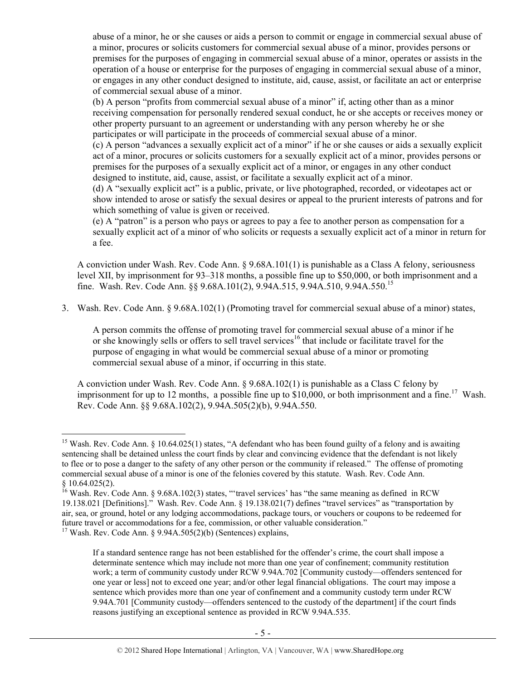abuse of a minor, he or she causes or aids a person to commit or engage in commercial sexual abuse of a minor, procures or solicits customers for commercial sexual abuse of a minor, provides persons or premises for the purposes of engaging in commercial sexual abuse of a minor, operates or assists in the operation of a house or enterprise for the purposes of engaging in commercial sexual abuse of a minor, or engages in any other conduct designed to institute, aid, cause, assist, or facilitate an act or enterprise of commercial sexual abuse of a minor.

(b) A person "profits from commercial sexual abuse of a minor" if, acting other than as a minor receiving compensation for personally rendered sexual conduct, he or she accepts or receives money or other property pursuant to an agreement or understanding with any person whereby he or she participates or will participate in the proceeds of commercial sexual abuse of a minor.

(c) A person "advances a sexually explicit act of a minor" if he or she causes or aids a sexually explicit act of a minor, procures or solicits customers for a sexually explicit act of a minor, provides persons or premises for the purposes of a sexually explicit act of a minor, or engages in any other conduct designed to institute, aid, cause, assist, or facilitate a sexually explicit act of a minor.

(d) A "sexually explicit act" is a public, private, or live photographed, recorded, or videotapes act or show intended to arose or satisfy the sexual desires or appeal to the prurient interests of patrons and for which something of value is given or received.

(e) A "patron" is a person who pays or agrees to pay a fee to another person as compensation for a sexually explicit act of a minor of who solicits or requests a sexually explicit act of a minor in return for a fee.

A conviction under Wash. Rev. Code Ann. § 9.68A.101(1) is punishable as a Class A felony, seriousness level XII, by imprisonment for 93–318 months, a possible fine up to \$50,000, or both imprisonment and a fine. Wash. Rev. Code Ann. §§ 9.68A.101(2), 9.94A.515, 9.94A.510, 9.94A.550.15

3. Wash. Rev. Code Ann. § 9.68A.102(1) (Promoting travel for commercial sexual abuse of a minor) states,

A person commits the offense of promoting travel for commercial sexual abuse of a minor if he or she knowingly sells or offers to sell travel services<sup>16</sup> that include or facilitate travel for the purpose of engaging in what would be commercial sexual abuse of a minor or promoting commercial sexual abuse of a minor, if occurring in this state.

A conviction under Wash. Rev. Code Ann. § 9.68A.102(1) is punishable as a Class C felony by imprisonment for up to 12 months, a possible fine up to \$10,000, or both imprisonment and a fine.<sup>17</sup> Wash. Rev. Code Ann. §§ 9.68A.102(2), 9.94A.505(2)(b), 9.94A.550.

<sup>&</sup>lt;sup>15</sup> Wash. Rev. Code Ann. § 10.64.025(1) states, "A defendant who has been found guilty of a felony and is awaiting sentencing shall be detained unless the court finds by clear and convincing evidence that the defendant is not likely to flee or to pose a danger to the safety of any other person or the community if released." The offense of promoting commercial sexual abuse of a minor is one of the felonies covered by this statute. Wash. Rev. Code Ann. § 10.64.025(2).

 $16$  Wash. Rev. Code Ann. § 9.68A.102(3) states, "'travel services' has "the same meaning as defined in RCW 19.138.021 [Definitions]." Wash. Rev. Code Ann. § 19.138.021(7) defines "travel services" as "transportation by air, sea, or ground, hotel or any lodging accommodations, package tours, or vouchers or coupons to be redeemed for future travel or accommodations for a fee, commission, or other valuable consideration." 17 Wash. Rev. Code Ann. § 9.94A.505(2)(b) (Sentences) explains,

If a standard sentence range has not been established for the offender's crime, the court shall impose a determinate sentence which may include not more than one year of confinement; community restitution work; a term of community custody under RCW 9.94A.702 [Community custody—offenders sentenced for one year or less] not to exceed one year; and/or other legal financial obligations. The court may impose a sentence which provides more than one year of confinement and a community custody term under RCW 9.94A.701 [Community custody—offenders sentenced to the custody of the department] if the court finds reasons justifying an exceptional sentence as provided in RCW 9.94A.535.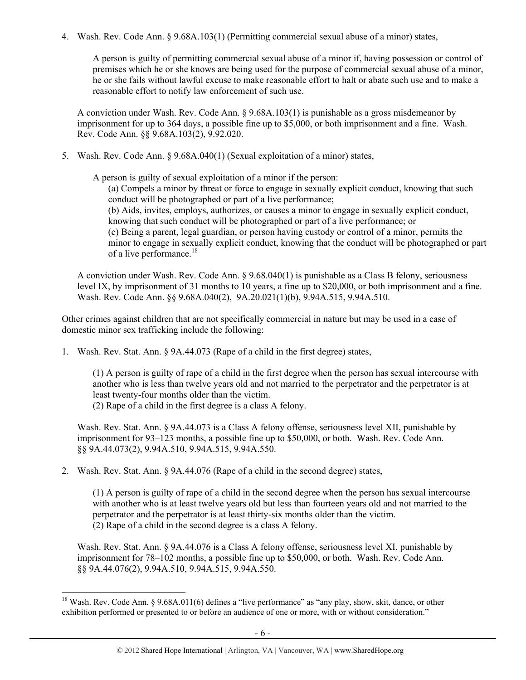4. Wash. Rev. Code Ann. § 9.68A.103(1) (Permitting commercial sexual abuse of a minor) states,

A person is guilty of permitting commercial sexual abuse of a minor if, having possession or control of premises which he or she knows are being used for the purpose of commercial sexual abuse of a minor, he or she fails without lawful excuse to make reasonable effort to halt or abate such use and to make a reasonable effort to notify law enforcement of such use.

A conviction under Wash. Rev. Code Ann. § 9.68A.103(1) is punishable as a gross misdemeanor by imprisonment for up to 364 days, a possible fine up to \$5,000, or both imprisonment and a fine. Wash. Rev. Code Ann. §§ 9.68A.103(2), 9.92.020.

5. Wash. Rev. Code Ann. § 9.68A.040(1) (Sexual exploitation of a minor) states,

A person is guilty of sexual exploitation of a minor if the person:

(a) Compels a minor by threat or force to engage in sexually explicit conduct, knowing that such conduct will be photographed or part of a live performance; (b) Aids, invites, employs, authorizes, or causes a minor to engage in sexually explicit conduct, knowing that such conduct will be photographed or part of a live performance; or (c) Being a parent, legal guardian, or person having custody or control of a minor, permits the minor to engage in sexually explicit conduct, knowing that the conduct will be photographed or part of a live performance.<sup>18</sup>

A conviction under Wash. Rev. Code Ann. § 9.68.040(1) is punishable as a Class B felony, seriousness level IX, by imprisonment of 31 months to 10 years, a fine up to \$20,000, or both imprisonment and a fine. Wash. Rev. Code Ann. §§ 9.68A.040(2), 9A.20.021(1)(b), 9.94A.515, 9.94A.510.

Other crimes against children that are not specifically commercial in nature but may be used in a case of domestic minor sex trafficking include the following:

1. Wash. Rev. Stat. Ann. § 9A.44.073 (Rape of a child in the first degree) states,

(1) A person is guilty of rape of a child in the first degree when the person has sexual intercourse with another who is less than twelve years old and not married to the perpetrator and the perpetrator is at least twenty-four months older than the victim.

(2) Rape of a child in the first degree is a class A felony.

 $\overline{a}$ 

Wash. Rev. Stat. Ann. § 9A.44.073 is a Class A felony offense, seriousness level XII, punishable by imprisonment for 93–123 months, a possible fine up to \$50,000, or both. Wash. Rev. Code Ann. §§ 9A.44.073(2), 9.94A.510, 9.94A.515, 9.94A.550.

2. Wash. Rev. Stat. Ann. § 9A.44.076 (Rape of a child in the second degree) states,

(1) A person is guilty of rape of a child in the second degree when the person has sexual intercourse with another who is at least twelve years old but less than fourteen years old and not married to the perpetrator and the perpetrator is at least thirty-six months older than the victim. (2) Rape of a child in the second degree is a class A felony.

Wash. Rev. Stat. Ann. § 9A.44.076 is a Class A felony offense, seriousness level XI, punishable by imprisonment for 78–102 months, a possible fine up to \$50,000, or both. Wash. Rev. Code Ann. §§ 9A.44.076(2), 9.94A.510, 9.94A.515, 9.94A.550.

<sup>&</sup>lt;sup>18</sup> Wash. Rev. Code Ann. § 9.68A.011(6) defines a "live performance" as "any play, show, skit, dance, or other exhibition performed or presented to or before an audience of one or more, with or without consideration."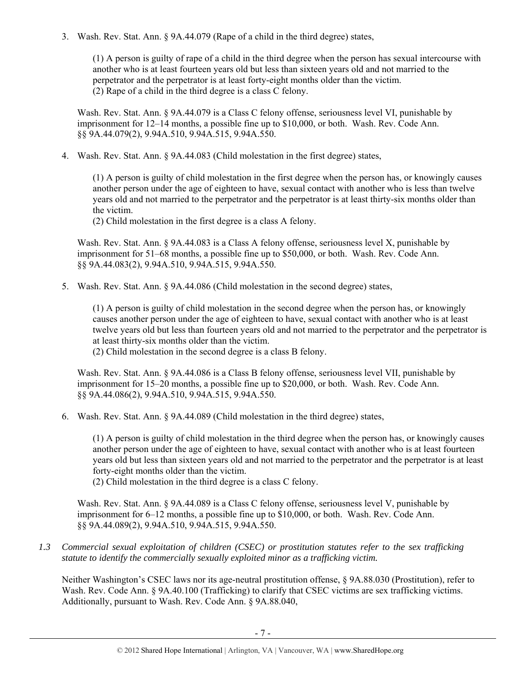3. Wash. Rev. Stat. Ann. § 9A.44.079 (Rape of a child in the third degree) states,

(1) A person is guilty of rape of a child in the third degree when the person has sexual intercourse with another who is at least fourteen years old but less than sixteen years old and not married to the perpetrator and the perpetrator is at least forty-eight months older than the victim. (2) Rape of a child in the third degree is a class C felony.

Wash. Rev. Stat. Ann. § 9A.44.079 is a Class C felony offense, seriousness level VI, punishable by imprisonment for 12–14 months, a possible fine up to \$10,000, or both. Wash. Rev. Code Ann. §§ 9A.44.079(2), 9.94A.510, 9.94A.515, 9.94A.550.

4. Wash. Rev. Stat. Ann. § 9A.44.083 (Child molestation in the first degree) states,

(1) A person is guilty of child molestation in the first degree when the person has, or knowingly causes another person under the age of eighteen to have, sexual contact with another who is less than twelve years old and not married to the perpetrator and the perpetrator is at least thirty-six months older than the victim.

(2) Child molestation in the first degree is a class A felony.

Wash. Rev. Stat. Ann. § 9A.44.083 is a Class A felony offense, seriousness level X, punishable by imprisonment for 51–68 months, a possible fine up to \$50,000, or both. Wash. Rev. Code Ann. §§ 9A.44.083(2), 9.94A.510, 9.94A.515, 9.94A.550.

5. Wash. Rev. Stat. Ann. § 9A.44.086 (Child molestation in the second degree) states,

(1) A person is guilty of child molestation in the second degree when the person has, or knowingly causes another person under the age of eighteen to have, sexual contact with another who is at least twelve years old but less than fourteen years old and not married to the perpetrator and the perpetrator is at least thirty-six months older than the victim.

(2) Child molestation in the second degree is a class B felony.

Wash. Rev. Stat. Ann. § 9A.44.086 is a Class B felony offense, seriousness level VII, punishable by imprisonment for 15–20 months, a possible fine up to \$20,000, or both. Wash. Rev. Code Ann. §§ 9A.44.086(2), 9.94A.510, 9.94A.515, 9.94A.550.

6. Wash. Rev. Stat. Ann. § 9A.44.089 (Child molestation in the third degree) states,

(1) A person is guilty of child molestation in the third degree when the person has, or knowingly causes another person under the age of eighteen to have, sexual contact with another who is at least fourteen years old but less than sixteen years old and not married to the perpetrator and the perpetrator is at least forty-eight months older than the victim.

(2) Child molestation in the third degree is a class C felony.

Wash. Rev. Stat. Ann. § 9A.44.089 is a Class C felony offense, seriousness level V, punishable by imprisonment for 6–12 months, a possible fine up to \$10,000, or both. Wash. Rev. Code Ann. §§ 9A.44.089(2), 9.94A.510, 9.94A.515, 9.94A.550.

*1.3 Commercial sexual exploitation of children (CSEC) or prostitution statutes refer to the sex trafficking statute to identify the commercially sexually exploited minor as a trafficking victim.* 

Neither Washington's CSEC laws nor its age-neutral prostitution offense, § 9A.88.030 (Prostitution), refer to Wash. Rev. Code Ann. § 9A.40.100 (Trafficking) to clarify that CSEC victims are sex trafficking victims. Additionally, pursuant to Wash. Rev. Code Ann. § 9A.88.040,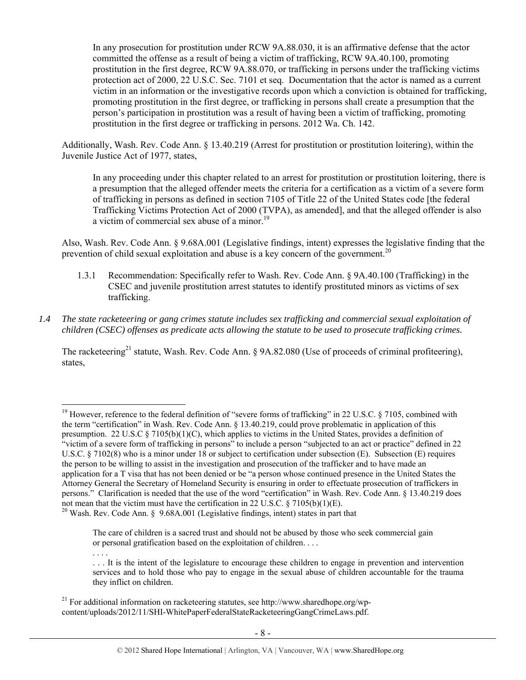In any prosecution for prostitution under RCW 9A.88.030, it is an affirmative defense that the actor committed the offense as a result of being a victim of trafficking, RCW 9A.40.100, promoting prostitution in the first degree, RCW 9A.88.070, or trafficking in persons under the trafficking victims protection act of 2000, 22 U.S.C. Sec. 7101 et seq. Documentation that the actor is named as a current victim in an information or the investigative records upon which a conviction is obtained for trafficking, promoting prostitution in the first degree, or trafficking in persons shall create a presumption that the person's participation in prostitution was a result of having been a victim of trafficking, promoting prostitution in the first degree or trafficking in persons. 2012 Wa. Ch. 142.

Additionally, Wash. Rev. Code Ann. § 13.40.219 (Arrest for prostitution or prostitution loitering), within the Juvenile Justice Act of 1977, states,

In any proceeding under this chapter related to an arrest for prostitution or prostitution loitering, there is a presumption that the alleged offender meets the criteria for a certification as a victim of a severe form of trafficking in persons as defined in section 7105 of Title 22 of the United States code [the federal Trafficking Victims Protection Act of 2000 (TVPA), as amended], and that the alleged offender is also a victim of commercial sex abuse of a minor.<sup>19</sup>

Also, Wash. Rev. Code Ann. § 9.68A.001 (Legislative findings, intent) expresses the legislative finding that the prevention of child sexual exploitation and abuse is a key concern of the government.<sup>20</sup>

- 1.3.1 Recommendation: Specifically refer to Wash. Rev. Code Ann. § 9A.40.100 (Trafficking) in the CSEC and juvenile prostitution arrest statutes to identify prostituted minors as victims of sex trafficking.
- *1.4 The state racketeering or gang crimes statute includes sex trafficking and commercial sexual exploitation of children (CSEC) offenses as predicate acts allowing the statute to be used to prosecute trafficking crimes.*

The racketeering<sup>21</sup> statute, Wash. Rev. Code Ann. § 9A.82.080 (Use of proceeds of criminal profiteering), states,

 $\overline{a}$ 

. . . .

<sup>21</sup> For additional information on racketeering statutes, see http://www.sharedhope.org/wpcontent/uploads/2012/11/SHI-WhitePaperFederalStateRacketeeringGangCrimeLaws.pdf.

<sup>&</sup>lt;sup>19</sup> However, reference to the federal definition of "severe forms of trafficking" in 22 U.S.C. § 7105, combined with the term "certification" in Wash. Rev. Code Ann. § 13.40.219, could prove problematic in application of this presumption. 22 U.S.C § 7105(b)(1)(C), which applies to victims in the United States, provides a definition of "victim of a severe form of trafficking in persons" to include a person "subjected to an act or practice" defined in 22 U.S.C. § 7102(8) who is a minor under 18 or subject to certification under subsection (E). Subsection (E) requires the person to be willing to assist in the investigation and prosecution of the trafficker and to have made an application for a T visa that has not been denied or be "a person whose continued presence in the United States the Attorney General the Secretary of Homeland Security is ensuring in order to effectuate prosecution of traffickers in persons." Clarification is needed that the use of the word "certification" in Wash. Rev. Code Ann. § 13.40.219 does not mean that the victim must have the certification in 22 U.S.C. § 7105(b)(1)(E).<br><sup>20</sup> Wash. Rev. Code Ann. § 9.68A.001 (Legislative findings, intent) states in part that

The care of children is a sacred trust and should not be abused by those who seek commercial gain or personal gratification based on the exploitation of children. . . .

<sup>. . .</sup> It is the intent of the legislature to encourage these children to engage in prevention and intervention services and to hold those who pay to engage in the sexual abuse of children accountable for the trauma they inflict on children.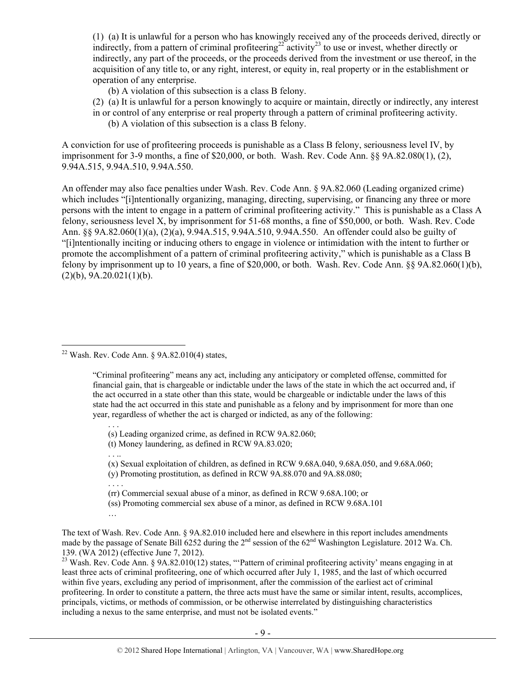(1) (a) It is unlawful for a person who has knowingly received any of the proceeds derived, directly or indirectly, from a pattern of criminal profiteering<sup>22</sup> activity<sup>23</sup> to use or invest, whether directly or indirectly, any part of the proceeds, or the proceeds derived from the investment or use thereof, in the acquisition of any title to, or any right, interest, or equity in, real property or in the establishment or operation of any enterprise.

(b) A violation of this subsection is a class B felony.

(2) (a) It is unlawful for a person knowingly to acquire or maintain, directly or indirectly, any interest in or control of any enterprise or real property through a pattern of criminal profiteering activity. (b) A violation of this subsection is a class B felony.

A conviction for use of profiteering proceeds is punishable as a Class B felony, seriousness level IV, by imprisonment for 3-9 months, a fine of \$20,000, or both. Wash. Rev. Code Ann. §§ 9A.82.080(1), (2), 9.94A.515, 9.94A.510, 9.94A.550.

An offender may also face penalties under Wash. Rev. Code Ann. § 9A.82.060 (Leading organized crime) which includes "[i]ntentionally organizing, managing, directing, supervising, or financing any three or more persons with the intent to engage in a pattern of criminal profiteering activity." This is punishable as a Class A felony, seriousness level X, by imprisonment for 51-68 months, a fine of \$50,000, or both. Wash. Rev. Code Ann. §§ 9A.82.060(1)(a), (2)(a), 9.94A.515, 9.94A.510, 9.94A.550. An offender could also be guilty of "[i]ntentionally inciting or inducing others to engage in violence or intimidation with the intent to further or promote the accomplishment of a pattern of criminal profiteering activity," which is punishable as a Class B felony by imprisonment up to 10 years, a fine of \$20,000, or both. Wash. Rev. Code Ann. §§ 9A.82.060(1)(b),  $(2)(b)$ , 9A.20.021 $(1)(b)$ .

 $\overline{a}$ <sup>22</sup> Wash. Rev. Code Ann. §  $9A.82.010(4)$  states,

> "Criminal profiteering" means any act, including any anticipatory or completed offense, committed for financial gain, that is chargeable or indictable under the laws of the state in which the act occurred and, if the act occurred in a state other than this state, would be chargeable or indictable under the laws of this state had the act occurred in this state and punishable as a felony and by imprisonment for more than one year, regardless of whether the act is charged or indicted, as any of the following:

. . . (s) Leading organized crime, as defined in RCW 9A.82.060;

(t) Money laundering, as defined in RCW 9A.83.020;

(x) Sexual exploitation of children, as defined in RCW 9.68A.040, 9.68A.050, and 9.68A.060;

(y) Promoting prostitution, as defined in RCW 9A.88.070 and 9A.88.080;

. . . .

. . ..

(rr) Commercial sexual abuse of a minor, as defined in RCW 9.68A.100; or

(ss) Promoting commercial sex abuse of a minor, as defined in RCW 9.68A.101

…

The text of Wash. Rev. Code Ann. § 9A.82.010 included here and elsewhere in this report includes amendments made by the passage of Senate Bill 6252 during the  $2<sup>nd</sup>$  session of the 62<sup>nd</sup> Washington Legislature. 2012 Wa. Ch. 139. (WA 2012) (effective June 7, 2012).

<sup>23</sup> Wash. Rev. Code Ann. § 9A.82.010(12) states, "Pattern of criminal profiteering activity' means engaging in at least three acts of criminal profiteering, one of which occurred after July 1, 1985, and the last of which occurred within five years, excluding any period of imprisonment, after the commission of the earliest act of criminal profiteering. In order to constitute a pattern, the three acts must have the same or similar intent, results, accomplices, principals, victims, or methods of commission, or be otherwise interrelated by distinguishing characteristics including a nexus to the same enterprise, and must not be isolated events."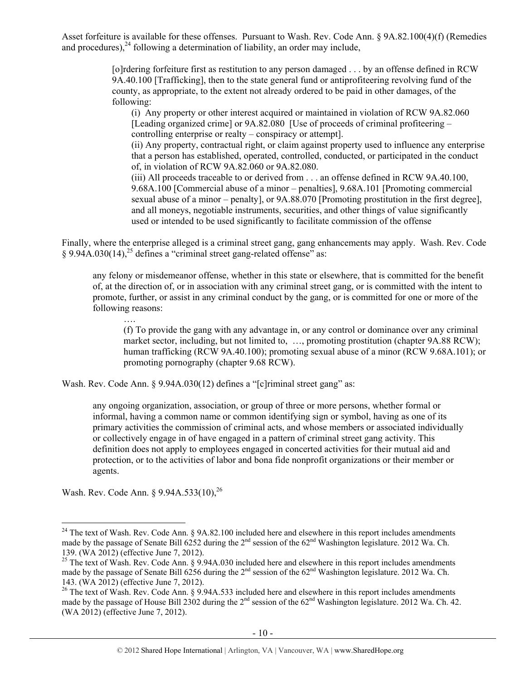Asset forfeiture is available for these offenses. Pursuant to Wash. Rev. Code Ann. § 9A.82.100(4)(f) (Remedies and procedures),  $^{24}$  following a determination of liability, an order may include,

> [o]rdering forfeiture first as restitution to any person damaged . . . by an offense defined in RCW 9A.40.100 [Trafficking], then to the state general fund or antiprofiteering revolving fund of the county, as appropriate, to the extent not already ordered to be paid in other damages, of the following:

(i) Any property or other interest acquired or maintained in violation of RCW 9A.82.060 [Leading organized crime] or 9A.82.080 [Use of proceeds of criminal profiteering – controlling enterprise or realty – conspiracy or attempt].

(ii) Any property, contractual right, or claim against property used to influence any enterprise that a person has established, operated, controlled, conducted, or participated in the conduct of, in violation of RCW 9A.82.060 or 9A.82.080.

(iii) All proceeds traceable to or derived from . . . an offense defined in RCW 9A.40.100, 9.68A.100 [Commercial abuse of a minor – penalties], 9.68A.101 [Promoting commercial sexual abuse of a minor – penalty], or  $9A.88.070$  [Promoting prostitution in the first degree], and all moneys, negotiable instruments, securities, and other things of value significantly used or intended to be used significantly to facilitate commission of the offense

Finally, where the enterprise alleged is a criminal street gang, gang enhancements may apply. Wash. Rev. Code  $\S 9.94A.030(14)$ <sup>25</sup> defines a "criminal street gang-related offense" as:

any felony or misdemeanor offense, whether in this state or elsewhere, that is committed for the benefit of, at the direction of, or in association with any criminal street gang, or is committed with the intent to promote, further, or assist in any criminal conduct by the gang, or is committed for one or more of the following reasons:

(f) To provide the gang with any advantage in, or any control or dominance over any criminal market sector, including, but not limited to, …, promoting prostitution (chapter 9A.88 RCW); human trafficking (RCW 9A.40.100); promoting sexual abuse of a minor (RCW 9.68A.101); or promoting pornography (chapter 9.68 RCW).

Wash. Rev. Code Ann. § 9.94A.030(12) defines a "[c]riminal street gang" as:

any ongoing organization, association, or group of three or more persons, whether formal or informal, having a common name or common identifying sign or symbol, having as one of its primary activities the commission of criminal acts, and whose members or associated individually or collectively engage in of have engaged in a pattern of criminal street gang activity. This definition does not apply to employees engaged in concerted activities for their mutual aid and protection, or to the activities of labor and bona fide nonprofit organizations or their member or agents.

Wash. Rev. Code Ann. § 9.94A.533(10),<sup>26</sup>

….

 $24$  The text of Wash. Rev. Code Ann. § 9A.82.100 included here and elsewhere in this report includes amendments made by the passage of Senate Bill 6252 during the  $2<sup>nd</sup>$  session of the 62<sup>nd</sup> Washington legislature. 2012 Wa. Ch. 139. (WA 2012) (effective June 7, 2012).

<sup>&</sup>lt;sup>25</sup> The text of Wash. Rev. Code Ann. § 9.94A.030 included here and elsewhere in this report includes amendments made by the passage of Senate Bill 6256 during the  $2^{nd}$  session of the 62<sup>nd</sup> Washington legislature. 2012 Wa. Ch. 143. (WA 2012) (effective June 7, 2012).

<sup>&</sup>lt;sup>26</sup> The text of Wash. Rev. Code Ann. § 9.94A.533 included here and elsewhere in this report includes amendments made by the passage of House Bill 2302 during the  $2^{nd}$  session of the  $62^{nd}$  Washington legislature. 2012 Wa. Ch. 42. (WA 2012) (effective June 7, 2012).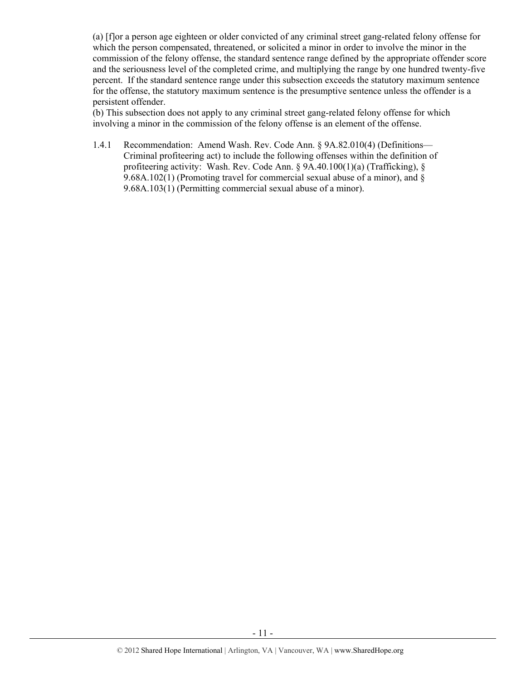(a) [f]or a person age eighteen or older convicted of any criminal street gang-related felony offense for which the person compensated, threatened, or solicited a minor in order to involve the minor in the commission of the felony offense, the standard sentence range defined by the appropriate offender score and the seriousness level of the completed crime, and multiplying the range by one hundred twenty-five percent. If the standard sentence range under this subsection exceeds the statutory maximum sentence for the offense, the statutory maximum sentence is the presumptive sentence unless the offender is a persistent offender.

(b) This subsection does not apply to any criminal street gang-related felony offense for which involving a minor in the commission of the felony offense is an element of the offense.

1.4.1 Recommendation: Amend Wash. Rev. Code Ann. § 9A.82.010(4) (Definitions— Criminal profiteering act) to include the following offenses within the definition of profiteering activity: Wash. Rev. Code Ann. § 9A.40.100(1)(a) (Trafficking), § 9.68A.102(1) (Promoting travel for commercial sexual abuse of a minor), and § 9.68A.103(1) (Permitting commercial sexual abuse of a minor).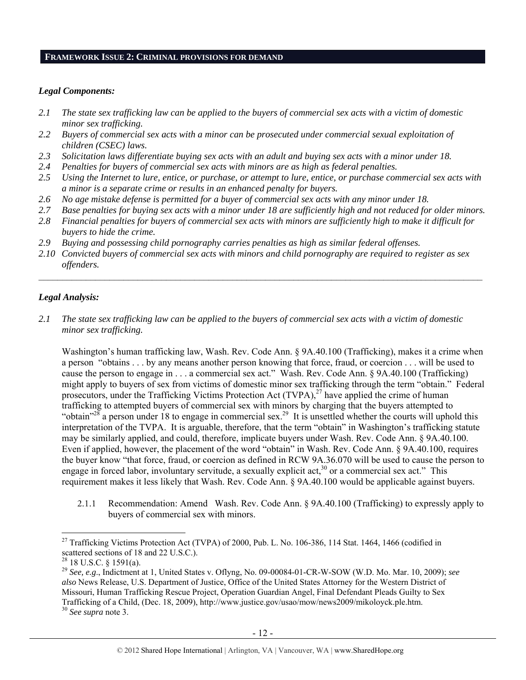#### **FRAMEWORK ISSUE 2: CRIMINAL PROVISIONS FOR DEMAND**

#### *Legal Components:*

- *2.1 The state sex trafficking law can be applied to the buyers of commercial sex acts with a victim of domestic minor sex trafficking.*
- *2.2 Buyers of commercial sex acts with a minor can be prosecuted under commercial sexual exploitation of children (CSEC) laws.*
- *2.3 Solicitation laws differentiate buying sex acts with an adult and buying sex acts with a minor under 18.*
- *2.4 Penalties for buyers of commercial sex acts with minors are as high as federal penalties.*
- *2.5 Using the Internet to lure, entice, or purchase, or attempt to lure, entice, or purchase commercial sex acts with a minor is a separate crime or results in an enhanced penalty for buyers.*
- *2.6 No age mistake defense is permitted for a buyer of commercial sex acts with any minor under 18.*
- *2.7 Base penalties for buying sex acts with a minor under 18 are sufficiently high and not reduced for older minors.*
- *2.8 Financial penalties for buyers of commercial sex acts with minors are sufficiently high to make it difficult for buyers to hide the crime.*
- *2.9 Buying and possessing child pornography carries penalties as high as similar federal offenses.*
- *2.10 Convicted buyers of commercial sex acts with minors and child pornography are required to register as sex offenders.*

#### *Legal Analysis:*

*2.1 The state sex trafficking law can be applied to the buyers of commercial sex acts with a victim of domestic minor sex trafficking.* 

Washington's human trafficking law, Wash. Rev. Code Ann. § 9A.40.100 (Trafficking), makes it a crime when a person "obtains . . . by any means another person knowing that force, fraud, or coercion . . . will be used to cause the person to engage in . . . a commercial sex act." Wash. Rev. Code Ann. § 9A.40.100 (Trafficking) might apply to buyers of sex from victims of domestic minor sex trafficking through the term "obtain." Federal prosecutors, under the Trafficking Victims Protection Act (TVPA),<sup>27</sup> have applied the crime of human trafficking to attempted buyers of commercial sex with minors by charging that the buyers attempted to "obtain"<sup>28</sup> a person under 18 to engage in commercial sex.<sup>29</sup> It is unsettled whether the courts will uphold this interpretation of the TVPA. It is arguable, therefore, that the term "obtain" in Washington's trafficking statute may be similarly applied, and could, therefore, implicate buyers under Wash. Rev. Code Ann. § 9A.40.100. Even if applied, however, the placement of the word "obtain" in Wash. Rev. Code Ann. § 9A.40.100, requires the buyer know "that force, fraud, or coercion as defined in RCW 9A.36.070 will be used to cause the person to engage in forced labor, involuntary servitude, a sexually explicit act,<sup>30</sup> or a commercial sex act." This requirement makes it less likely that Wash. Rev. Code Ann. § 9A.40.100 would be applicable against buyers.

2.1.1 Recommendation: Amend Wash. Rev. Code Ann. § 9A.40.100 (Trafficking) to expressly apply to buyers of commercial sex with minors.

<sup>&</sup>lt;sup>27</sup> Trafficking Victims Protection Act (TVPA) of 2000, Pub. L. No. 106-386, 114 Stat. 1464, 1466 (codified in scattered sections of 18 and 22 U.S.C.).

 $^{28}$  18 U.S.C. § 1591(a).

<sup>29</sup> *See, e.g*., Indictment at 1, United States v. Oflyng, No. 09-00084-01-CR-W-SOW (W.D. Mo. Mar. 10, 2009); *see also* News Release, U.S. Department of Justice, Office of the United States Attorney for the Western District of Missouri, Human Trafficking Rescue Project, Operation Guardian Angel, Final Defendant Pleads Guilty to Sex Trafficking of a Child, (Dec. 18, 2009), http://www.justice.gov/usao/mow/news2009/mikoloyck.ple.htm. 30 *See supra* note 3.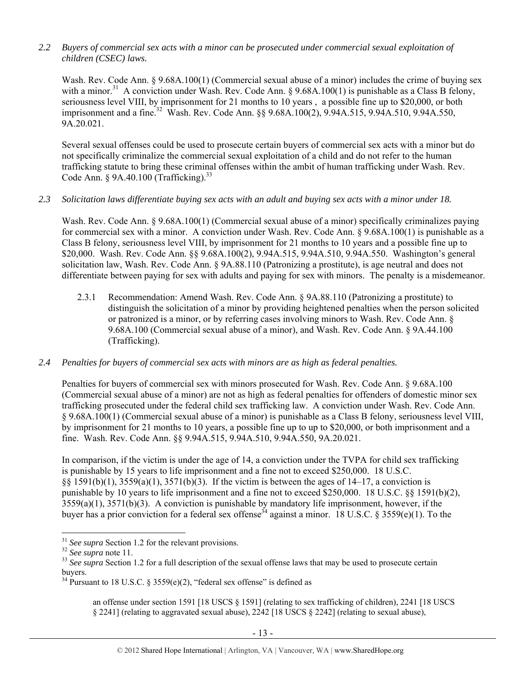## *2.2 Buyers of commercial sex acts with a minor can be prosecuted under commercial sexual exploitation of children (CSEC) laws.*

Wash. Rev. Code Ann. § 9.68A.100(1) (Commercial sexual abuse of a minor) includes the crime of buying sex with a minor.<sup>31</sup> A conviction under Wash. Rev. Code Ann. § 9.68A.100(1) is punishable as a Class B felony, seriousness level VIII, by imprisonment for 21 months to 10 years , a possible fine up to \$20,000, or both imprisonment and a fine.<sup>32</sup> Wash. Rev. Code Ann. §§ 9.68A.100(2), 9.94A.515, 9.94A.510, 9.94A.550, 9A.20.021.

Several sexual offenses could be used to prosecute certain buyers of commercial sex acts with a minor but do not specifically criminalize the commercial sexual exploitation of a child and do not refer to the human trafficking statute to bring these criminal offenses within the ambit of human trafficking under Wash. Rev. Code Ann.  $§$  9A.40.100 (Trafficking).<sup>33</sup>

#### *2.3 Solicitation laws differentiate buying sex acts with an adult and buying sex acts with a minor under 18.*

Wash. Rev. Code Ann. § 9.68A.100(1) (Commercial sexual abuse of a minor) specifically criminalizes paying for commercial sex with a minor. A conviction under Wash. Rev. Code Ann. § 9.68A.100(1) is punishable as a Class B felony, seriousness level VIII, by imprisonment for 21 months to 10 years and a possible fine up to \$20,000. Wash. Rev. Code Ann. §§ 9.68A.100(2), 9.94A.515, 9.94A.510, 9.94A.550. Washington's general solicitation law, Wash. Rev. Code Ann. § 9A.88.110 (Patronizing a prostitute), is age neutral and does not differentiate between paying for sex with adults and paying for sex with minors. The penalty is a misdemeanor.

2.3.1 Recommendation: Amend Wash. Rev. Code Ann. § 9A.88.110 (Patronizing a prostitute) to distinguish the solicitation of a minor by providing heightened penalties when the person solicited or patronized is a minor, or by referring cases involving minors to Wash. Rev. Code Ann. § 9.68A.100 (Commercial sexual abuse of a minor), and Wash. Rev. Code Ann. § 9A.44.100 (Trafficking).

# *2.4 Penalties for buyers of commercial sex acts with minors are as high as federal penalties.*

Penalties for buyers of commercial sex with minors prosecuted for Wash. Rev. Code Ann. § 9.68A.100 (Commercial sexual abuse of a minor) are not as high as federal penalties for offenders of domestic minor sex trafficking prosecuted under the federal child sex trafficking law. A conviction under Wash. Rev. Code Ann. § 9.68A.100(1) (Commercial sexual abuse of a minor) is punishable as a Class B felony, seriousness level VIII, by imprisonment for 21 months to 10 years, a possible fine up to up to \$20,000, or both imprisonment and a fine. Wash. Rev. Code Ann. §§ 9.94A.515, 9.94A.510, 9.94A.550, 9A.20.021.

In comparison, if the victim is under the age of 14, a conviction under the TVPA for child sex trafficking is punishable by 15 years to life imprisonment and a fine not to exceed \$250,000. 18 U.S.C. §§ 1591(b)(1), 3559(a)(1), 3571(b)(3). If the victim is between the ages of 14–17, a conviction is punishable by 10 years to life imprisonment and a fine not to exceed \$250,000. 18 U.S.C. §§ 1591(b)(2), 3559(a)(1), 3571(b)(3). A conviction is punishable by mandatory life imprisonment, however, if the buyer has a prior conviction for a federal sex offense<sup>34</sup> against a minor. 18 U.S.C. § 3559(e)(1). To the

 $\overline{a}$ 

an offense under section 1591 [18 USCS § 1591] (relating to sex trafficking of children), 2241 [18 USCS § 2241] (relating to aggravated sexual abuse), 2242 [18 USCS § 2242] (relating to sexual abuse),

<sup>&</sup>lt;sup>31</sup> *See supra* Section 1.2 for the relevant provisions.<br><sup>32</sup> *See supra* note 11.<br><sup>33</sup> *See supra* Section 1.2 for a full description of the sexual offense laws that may be used to prosecute certain buyers.

<sup>&</sup>lt;sup>34</sup> Pursuant to 18 U.S.C. § 3559(e)(2), "federal sex offense" is defined as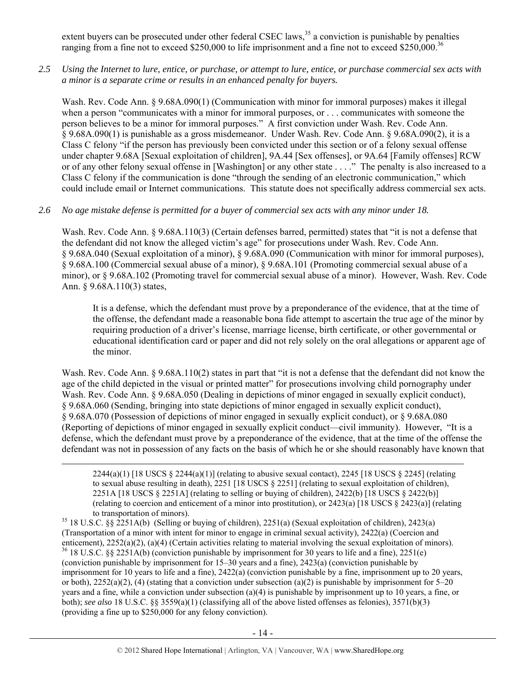extent buyers can be prosecuted under other federal CSEC laws,<sup>35</sup> a conviction is punishable by penalties ranging from a fine not to exceed \$250,000 to life imprisonment and a fine not to exceed \$250,000.<sup>36</sup>

*2.5 Using the Internet to lure, entice, or purchase, or attempt to lure, entice, or purchase commercial sex acts with a minor is a separate crime or results in an enhanced penalty for buyers.* 

Wash. Rev. Code Ann. § 9.68A.090(1) (Communication with minor for immoral purposes) makes it illegal when a person "communicates with a minor for immoral purposes, or . . . communicates with someone the person believes to be a minor for immoral purposes." A first conviction under Wash. Rev. Code Ann. § 9.68A.090(1) is punishable as a gross misdemeanor. Under Wash. Rev. Code Ann. § 9.68A.090(2), it is a Class C felony "if the person has previously been convicted under this section or of a felony sexual offense under chapter 9.68A [Sexual exploitation of children], 9A.44 [Sex offenses], or 9A.64 [Family offenses] RCW or of any other felony sexual offense in [Washington] or any other state . . . ." The penalty is also increased to a Class C felony if the communication is done "through the sending of an electronic communication," which could include email or Internet communications. This statute does not specifically address commercial sex acts.

### *2.6 No age mistake defense is permitted for a buyer of commercial sex acts with any minor under 18.*

Wash. Rev. Code Ann. § 9.68A.110(3) (Certain defenses barred, permitted) states that "it is not a defense that the defendant did not know the alleged victim's age" for prosecutions under Wash. Rev. Code Ann. § 9.68A.040 (Sexual exploitation of a minor), § 9.68A.090 (Communication with minor for immoral purposes), § 9.68A.100 (Commercial sexual abuse of a minor), § 9.68A.101 (Promoting commercial sexual abuse of a minor), or § 9.68A.102 (Promoting travel for commercial sexual abuse of a minor). However, Wash. Rev. Code Ann. § 9.68A.110(3) states,

It is a defense, which the defendant must prove by a preponderance of the evidence, that at the time of the offense, the defendant made a reasonable bona fide attempt to ascertain the true age of the minor by requiring production of a driver's license, marriage license, birth certificate, or other governmental or educational identification card or paper and did not rely solely on the oral allegations or apparent age of the minor.

Wash. Rev. Code Ann. § 9.68A.110(2) states in part that "it is not a defense that the defendant did not know the age of the child depicted in the visual or printed matter" for prosecutions involving child pornography under Wash. Rev. Code Ann. § 9.68A.050 (Dealing in depictions of minor engaged in sexually explicit conduct), § 9.68A.060 (Sending, bringing into state depictions of minor engaged in sexually explicit conduct), § 9.68A.070 (Possession of depictions of minor engaged in sexually explicit conduct), or § 9.68A.080 (Reporting of depictions of minor engaged in sexually explicit conduct—civil immunity). However, "It is a defense, which the defendant must prove by a preponderance of the evidence, that at the time of the offense the defendant was not in possession of any facts on the basis of which he or she should reasonably have known that

 2244(a)(1) [18 USCS § 2244(a)(1)] (relating to abusive sexual contact), 2245 [18 USCS § 2245] (relating to sexual abuse resulting in death), 2251 [18 USCS § 2251] (relating to sexual exploitation of children), 2251A [18 USCS § 2251A] (relating to selling or buying of children), 2422(b) [18 USCS § 2422(b)] (relating to coercion and enticement of a minor into prostitution), or 2423(a) [18 USCS § 2423(a)] (relating to transportation of minors).<br><sup>35</sup> 18 U.S.C. §§ 2251A(b) (Selling or buying of children), 2251(a) (Sexual exploitation of children), 2423(a)

(Transportation of a minor with intent for minor to engage in criminal sexual activity), 2422(a) (Coercion and enticement),  $2252(a)(2)$ ,  $(a)(4)$  (Certain activities relating to material involving the sexual exploitation of minors). <sup>36</sup> 18 U.S.C. §§ 2251A(b) (conviction punishable by imprisonment for 30 years to life and a fine), 22 (conviction punishable by imprisonment for 15–30 years and a fine), 2423(a) (conviction punishable by imprisonment for 10 years to life and a fine), 2422(a) (conviction punishable by a fine, imprisonment up to 20 years, or both),  $2252(a)(2)$ , (4) (stating that a conviction under subsection (a)(2) is punishable by imprisonment for 5–20 years and a fine, while a conviction under subsection (a)(4) is punishable by imprisonment up to 10 years, a fine, or both); *see also* 18 U.S.C. §§ 3559(a)(1) (classifying all of the above listed offenses as felonies), 3571(b)(3) (providing a fine up to \$250,000 for any felony conviction).

- 14 -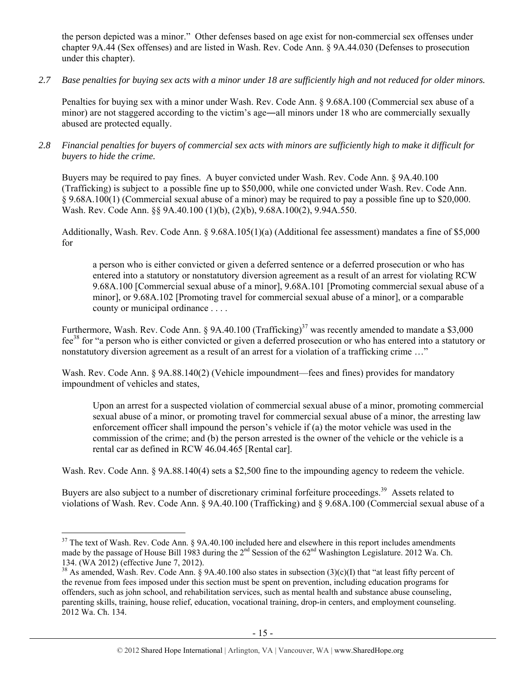the person depicted was a minor." Other defenses based on age exist for non-commercial sex offenses under chapter 9A.44 (Sex offenses) and are listed in Wash. Rev. Code Ann. § 9A.44.030 (Defenses to prosecution under this chapter).

*2.7 Base penalties for buying sex acts with a minor under 18 are sufficiently high and not reduced for older minors.* 

Penalties for buying sex with a minor under Wash. Rev. Code Ann. § 9.68A.100 (Commercial sex abuse of a minor) are not staggered according to the victim's age—all minors under 18 who are commercially sexually abused are protected equally.

*2.8 Financial penalties for buyers of commercial sex acts with minors are sufficiently high to make it difficult for buyers to hide the crime.* 

Buyers may be required to pay fines. A buyer convicted under Wash. Rev. Code Ann. § 9A.40.100 (Trafficking) is subject to a possible fine up to \$50,000, while one convicted under Wash. Rev. Code Ann. § 9.68A.100(1) (Commercial sexual abuse of a minor) may be required to pay a possible fine up to \$20,000. Wash. Rev. Code Ann. §§ 9A.40.100 (1)(b), (2)(b), 9.68A.100(2), 9.94A.550.

Additionally, Wash. Rev. Code Ann. § 9.68A.105(1)(a) (Additional fee assessment) mandates a fine of \$5,000 for

a person who is either convicted or given a deferred sentence or a deferred prosecution or who has entered into a statutory or nonstatutory diversion agreement as a result of an arrest for violating RCW 9.68A.100 [Commercial sexual abuse of a minor], 9.68A.101 [Promoting commercial sexual abuse of a minor], or 9.68A.102 [Promoting travel for commercial sexual abuse of a minor], or a comparable county or municipal ordinance . . . .

Furthermore, Wash. Rev. Code Ann. § 9A.40.100 (Trafficking)<sup>37</sup> was recently amended to mandate a \$3,000 fee38 for "a person who is either convicted or given a deferred prosecution or who has entered into a statutory or nonstatutory diversion agreement as a result of an arrest for a violation of a trafficking crime …"

Wash. Rev. Code Ann. § 9A.88.140(2) (Vehicle impoundment—fees and fines) provides for mandatory impoundment of vehicles and states,

Upon an arrest for a suspected violation of commercial sexual abuse of a minor, promoting commercial sexual abuse of a minor, or promoting travel for commercial sexual abuse of a minor, the arresting law enforcement officer shall impound the person's vehicle if (a) the motor vehicle was used in the commission of the crime; and (b) the person arrested is the owner of the vehicle or the vehicle is a rental car as defined in RCW 46.04.465 [Rental car].

Wash. Rev. Code Ann. § 9A.88.140(4) sets a \$2,500 fine to the impounding agency to redeem the vehicle.

Buyers are also subject to a number of discretionary criminal forfeiture proceedings.<sup>39</sup> Assets related to violations of Wash. Rev. Code Ann. § 9A.40.100 (Trafficking) and § 9.68A.100 (Commercial sexual abuse of a

 $37$  The text of Wash. Rev. Code Ann. § 9A.40.100 included here and elsewhere in this report includes amendments made by the passage of House Bill 1983 during the 2<sup>nd</sup> Session of the 62<sup>nd</sup> Washington Legislature. 2012 Wa. Ch. 134. (WA 2012) (effective June 7, 2012).

<sup>&</sup>lt;sup>38</sup> As amended, Wash. Rev. Code Ann. § 9A.40.100 also states in subsection (3)(c)(I) that "at least fifty percent of the revenue from fees imposed under this section must be spent on prevention, including education programs for offenders, such as john school, and rehabilitation services, such as mental health and substance abuse counseling, parenting skills, training, house relief, education, vocational training, drop-in centers, and employment counseling. 2012 Wa. Ch. 134.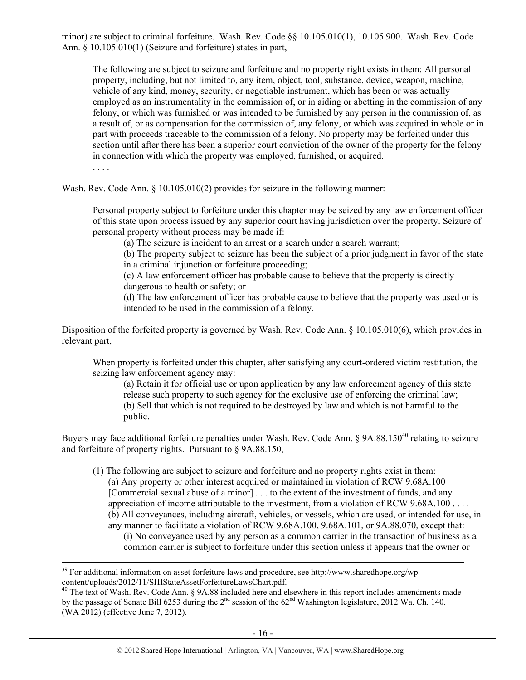minor) are subject to criminal forfeiture. Wash. Rev. Code §§ 10.105.010(1), 10.105.900. Wash. Rev. Code Ann. § 10.105.010(1) (Seizure and forfeiture) states in part,

The following are subject to seizure and forfeiture and no property right exists in them: All personal property, including, but not limited to, any item, object, tool, substance, device, weapon, machine, vehicle of any kind, money, security, or negotiable instrument, which has been or was actually employed as an instrumentality in the commission of, or in aiding or abetting in the commission of any felony, or which was furnished or was intended to be furnished by any person in the commission of, as a result of, or as compensation for the commission of, any felony, or which was acquired in whole or in part with proceeds traceable to the commission of a felony. No property may be forfeited under this section until after there has been a superior court conviction of the owner of the property for the felony in connection with which the property was employed, furnished, or acquired.

. . . .

Wash. Rev. Code Ann. § 10.105.010(2) provides for seizure in the following manner:

Personal property subject to forfeiture under this chapter may be seized by any law enforcement officer of this state upon process issued by any superior court having jurisdiction over the property. Seizure of personal property without process may be made if:

(a) The seizure is incident to an arrest or a search under a search warrant;

(b) The property subject to seizure has been the subject of a prior judgment in favor of the state in a criminal injunction or forfeiture proceeding;

(c) A law enforcement officer has probable cause to believe that the property is directly dangerous to health or safety; or

(d) The law enforcement officer has probable cause to believe that the property was used or is intended to be used in the commission of a felony.

Disposition of the forfeited property is governed by Wash. Rev. Code Ann. § 10.105.010(6), which provides in relevant part,

When property is forfeited under this chapter, after satisfying any court-ordered victim restitution, the seizing law enforcement agency may:

(a) Retain it for official use or upon application by any law enforcement agency of this state release such property to such agency for the exclusive use of enforcing the criminal law; (b) Sell that which is not required to be destroyed by law and which is not harmful to the public.

Buyers may face additional forfeiture penalties under Wash. Rev. Code Ann. § 9A.88.150<sup>40</sup> relating to seizure and forfeiture of property rights. Pursuant to § 9A.88.150,

(1) The following are subject to seizure and forfeiture and no property rights exist in them: (a) Any property or other interest acquired or maintained in violation of RCW 9.68A.100 [Commercial sexual abuse of a minor] . . . to the extent of the investment of funds, and any appreciation of income attributable to the investment, from a violation of RCW 9.68A.100 . . . . (b) All conveyances, including aircraft, vehicles, or vessels, which are used, or intended for use, in any manner to facilitate a violation of RCW 9.68A.100, 9.68A.101, or 9A.88.070, except that: (i) No conveyance used by any person as a common carrier in the transaction of business as a

common carrier is subject to forfeiture under this section unless it appears that the owner or

<sup>&</sup>lt;sup>39</sup> For additional information on asset forfeiture laws and procedure, see http://www.sharedhope.org/wpcontent/uploads/2012/11/SHIStateAssetForfeitureLawsChart.pdf. 40 The text of Wash. Rev. Code Ann. § 9A.88 included here and elsewhere in this report includes amendments made

by the passage of Senate Bill 6253 during the 2<sup>nd</sup> session of the 62<sup>nd</sup> Washington legislature, 2012 Wa. Ch. 140. (WA 2012) (effective June 7, 2012).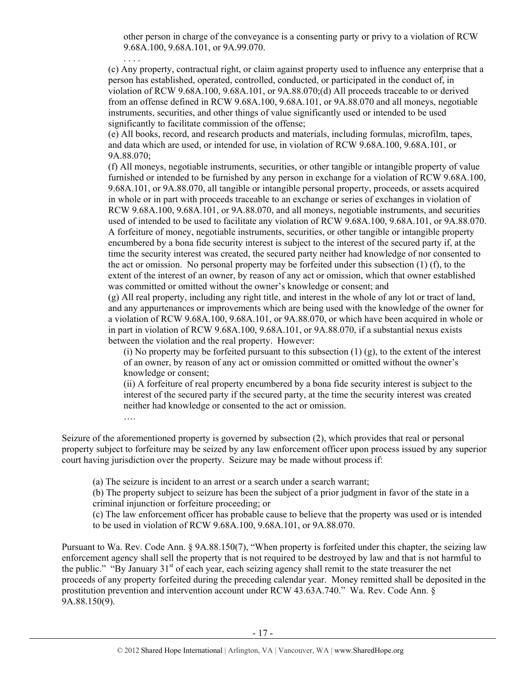other person in charge of the conveyance is a consenting party or privy to a violation of RCW 9.68A.100, 9.68A.101, or 9A.99.070.

(c) Any property, contractual right, or claim against property used to influence any enterprise that a person has established, operated, controlled, conducted, or participated in the conduct of, in violation of RCW 9.68A.100, 9.68A.101, or 9A.88.070;(d) All proceeds traceable to or derived from an offense defined in RCW 9.68A.100, 9.68A.101, or 9A.88.070 and all moneys, negotiable instruments, securities, and other things of value significantly used or intended to be used significantly to facilitate commission of the offense;

. . . .

….

(e) All books, record, and research products and materials, including formulas, microfilm, tapes, and data which are used, or intended for use, in violation of RCW 9.68A.100, 9.68A.101, or 9A.88.070;

(f) All moneys, negotiable instruments, securities, or other tangible or intangible property of value furnished or intended to be furnished by any person in exchange for a violation of RCW 9.68A.100, 9.68A.101, or 9A.88.070, all tangible or intangible personal property, proceeds, or assets acquired in whole or in part with proceeds traceable to an exchange or series of exchanges in violation of RCW 9.68A.100, 9.68A.101, or 9A.88.070, and all moneys, negotiable instruments, and securities used of intended to be used to facilitate any violation of RCW 9.68A.100, 9.68A.101, or 9A.88.070. A forfeiture of money, negotiable instruments, securities, or other tangible or intangible property encumbered by a bona fide security interest is subject to the interest of the secured party if, at the time the security interest was created, the secured party neither had knowledge of nor consented to the act or omission. No personal property may be forfeited under this subsection (1) (f), to the extent of the interest of an owner, by reason of any act or omission, which that owner established was committed or omitted without the owner's knowledge or consent; and

(g) All real property, including any right title, and interest in the whole of any lot or tract of land, and any appurtenances or improvements which are being used with the knowledge of the owner for a violation of RCW 9.68A.100, 9.68A.101, or 9A.88.070, or which have been acquired in whole or in part in violation of RCW 9.68A.100, 9.68A.101, or 9A.88.070, if a substantial nexus exists between the violation and the real property. However:

(i) No property may be forfeited pursuant to this subsection  $(1)$   $(g)$ , to the extent of the interest of an owner, by reason of any act or omission committed or omitted without the owner's knowledge or consent;

(ii) A forfeiture of real property encumbered by a bona fide security interest is subject to the interest of the secured party if the secured party, at the time the security interest was created neither had knowledge or consented to the act or omission.

Seizure of the aforementioned property is governed by subsection (2), which provides that real or personal property subject to forfeiture may be seized by any law enforcement officer upon process issued by any superior court having jurisdiction over the property. Seizure may be made without process if:

(a) The seizure is incident to an arrest or a search under a search warrant;

(b) The property subject to seizure has been the subject of a prior judgment in favor of the state in a criminal injunction or forfeiture proceeding; or

(c) The law enforcement officer has probable cause to believe that the property was used or is intended to be used in violation of RCW 9.68A.100, 9.68A.101, or 9A.88.070.

Pursuant to Wa. Rev. Code Ann. § 9A.88.150(7), "When property is forfeited under this chapter, the seizing law enforcement agency shall sell the property that is not required to be destroyed by law and that is not harmful to the public." "By January  $31<sup>st</sup>$  of each year, each seizing agency shall remit to the state treasurer the net proceeds of any property forfeited during the preceding calendar year. Money remitted shall be deposited in the prostitution prevention and intervention account under RCW 43.63A.740." Wa. Rev. Code Ann. § 9A.88.150(9).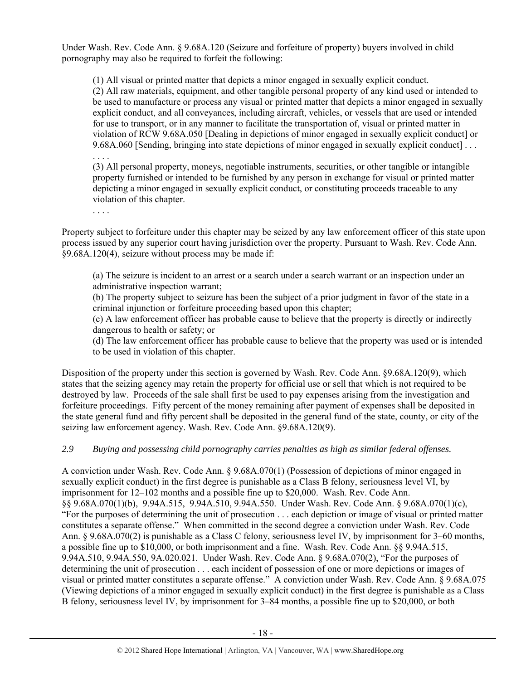Under Wash. Rev. Code Ann. § 9.68A.120 (Seizure and forfeiture of property) buyers involved in child pornography may also be required to forfeit the following:

(1) All visual or printed matter that depicts a minor engaged in sexually explicit conduct. (2) All raw materials, equipment, and other tangible personal property of any kind used or intended to be used to manufacture or process any visual or printed matter that depicts a minor engaged in sexually explicit conduct, and all conveyances, including aircraft, vehicles, or vessels that are used or intended for use to transport, or in any manner to facilitate the transportation of, visual or printed matter in violation of RCW 9.68A.050 [Dealing in depictions of minor engaged in sexually explicit conduct] or 9.68A.060 [Sending, bringing into state depictions of minor engaged in sexually explicit conduct] . . .

. . . .

(3) All personal property, moneys, negotiable instruments, securities, or other tangible or intangible property furnished or intended to be furnished by any person in exchange for visual or printed matter depicting a minor engaged in sexually explicit conduct, or constituting proceeds traceable to any violation of this chapter.

. . . .

Property subject to forfeiture under this chapter may be seized by any law enforcement officer of this state upon process issued by any superior court having jurisdiction over the property. Pursuant to Wash. Rev. Code Ann. §9.68A.120(4), seizure without process may be made if:

(a) The seizure is incident to an arrest or a search under a search warrant or an inspection under an administrative inspection warrant;

(b) The property subject to seizure has been the subject of a prior judgment in favor of the state in a criminal injunction or forfeiture proceeding based upon this chapter;

(c) A law enforcement officer has probable cause to believe that the property is directly or indirectly dangerous to health or safety; or

(d) The law enforcement officer has probable cause to believe that the property was used or is intended to be used in violation of this chapter.

Disposition of the property under this section is governed by Wash. Rev. Code Ann. §9.68A.120(9), which states that the seizing agency may retain the property for official use or sell that which is not required to be destroyed by law. Proceeds of the sale shall first be used to pay expenses arising from the investigation and forfeiture proceedings. Fifty percent of the money remaining after payment of expenses shall be deposited in the state general fund and fifty percent shall be deposited in the general fund of the state, county, or city of the seizing law enforcement agency. Wash. Rev. Code Ann. §9.68A.120(9).

# *2.9 Buying and possessing child pornography carries penalties as high as similar federal offenses.*

A conviction under Wash. Rev. Code Ann. § 9.68A.070(1) (Possession of depictions of minor engaged in sexually explicit conduct) in the first degree is punishable as a Class B felony, seriousness level VI, by imprisonment for 12–102 months and a possible fine up to \$20,000. Wash. Rev. Code Ann. §§ 9.68A.070(1)(b), 9.94A.515, 9.94A.510, 9.94A.550. Under Wash. Rev. Code Ann. § 9.68A.070(1)(c), "For the purposes of determining the unit of prosecution . . . each depiction or image of visual or printed matter constitutes a separate offense." When committed in the second degree a conviction under Wash. Rev. Code Ann. § 9.68A.070(2) is punishable as a Class C felony, seriousness level IV, by imprisonment for 3–60 months, a possible fine up to \$10,000, or both imprisonment and a fine. Wash. Rev. Code Ann. §§ 9.94A.515, 9.94A.510, 9.94A.550, 9A.020.021. Under Wash. Rev. Code Ann. § 9.68A.070(2), "For the purposes of determining the unit of prosecution . . . each incident of possession of one or more depictions or images of visual or printed matter constitutes a separate offense." A conviction under Wash. Rev. Code Ann. § 9.68A.075 (Viewing depictions of a minor engaged in sexually explicit conduct) in the first degree is punishable as a Class B felony, seriousness level IV, by imprisonment for 3–84 months, a possible fine up to \$20,000, or both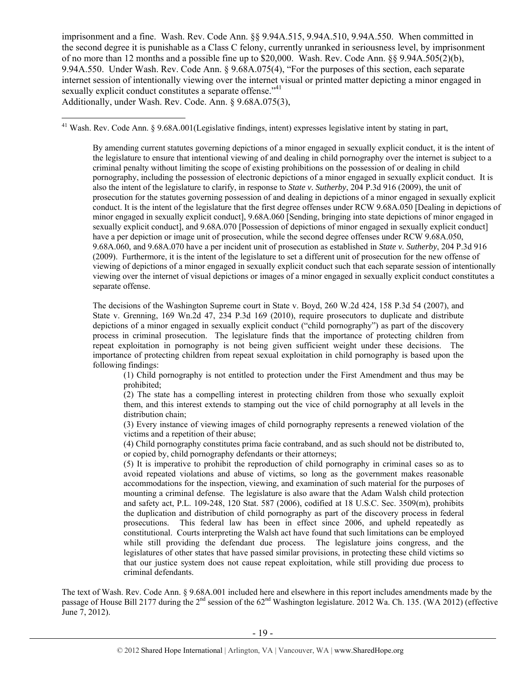imprisonment and a fine. Wash. Rev. Code Ann. §§ 9.94A.515, 9.94A.510, 9.94A.550. When committed in the second degree it is punishable as a Class C felony, currently unranked in seriousness level, by imprisonment of no more than 12 months and a possible fine up to \$20,000. Wash. Rev. Code Ann. §§ 9.94A.505(2)(b), 9.94A.550. Under Wash. Rev. Code Ann. § 9.68A.075(4), "For the purposes of this section, each separate internet session of intentionally viewing over the internet visual or printed matter depicting a minor engaged in sexually explicit conduct constitutes a separate offense."<sup>41</sup> Additionally, under Wash. Rev. Code. Ann. § 9.68A.075(3),

 $\overline{a}$  $41$  Wash. Rev. Code Ann. § 9.68A.001(Legislative findings, intent) expresses legislative intent by stating in part,

By amending current statutes governing depictions of a minor engaged in sexually explicit conduct, it is the intent of the legislature to ensure that intentional viewing of and dealing in child pornography over the internet is subject to a criminal penalty without limiting the scope of existing prohibitions on the possession of or dealing in child pornography, including the possession of electronic depictions of a minor engaged in sexually explicit conduct. It is also the intent of the legislature to clarify, in response to *State v. Sutherby*, 204 P.3d 916 (2009), the unit of prosecution for the statutes governing possession of and dealing in depictions of a minor engaged in sexually explicit conduct. It is the intent of the legislature that the first degree offenses under RCW 9.68A.050 [Dealing in depictions of minor engaged in sexually explicit conduct], 9.68A.060 [Sending, bringing into state depictions of minor engaged in sexually explicit conduct], and 9.68A.070 [Possession of depictions of minor engaged in sexually explicit conduct] have a per depiction or image unit of prosecution, while the second degree offenses under RCW 9.68A.050, 9.68A.060, and 9.68A.070 have a per incident unit of prosecution as established in *State v. Sutherby*, 204 P.3d 916 (2009). Furthermore, it is the intent of the legislature to set a different unit of prosecution for the new offense of viewing of depictions of a minor engaged in sexually explicit conduct such that each separate session of intentionally viewing over the internet of visual depictions or images of a minor engaged in sexually explicit conduct constitutes a separate offense.

The decisions of the Washington Supreme court in State v. Boyd, 260 W.2d 424, 158 P.3d 54 (2007), and State v. Grenning, 169 Wn.2d 47, 234 P.3d 169 (2010), require prosecutors to duplicate and distribute depictions of a minor engaged in sexually explicit conduct ("child pornography") as part of the discovery process in criminal prosecution. The legislature finds that the importance of protecting children from repeat exploitation in pornography is not being given sufficient weight under these decisions. The importance of protecting children from repeat sexual exploitation in child pornography is based upon the following findings:

(1) Child pornography is not entitled to protection under the First Amendment and thus may be prohibited;

(2) The state has a compelling interest in protecting children from those who sexually exploit them, and this interest extends to stamping out the vice of child pornography at all levels in the distribution chain;

(3) Every instance of viewing images of child pornography represents a renewed violation of the victims and a repetition of their abuse;

(4) Child pornography constitutes prima facie contraband, and as such should not be distributed to, or copied by, child pornography defendants or their attorneys;

(5) It is imperative to prohibit the reproduction of child pornography in criminal cases so as to avoid repeated violations and abuse of victims, so long as the government makes reasonable accommodations for the inspection, viewing, and examination of such material for the purposes of mounting a criminal defense. The legislature is also aware that the Adam Walsh child protection and safety act, P.L. 109-248, 120 Stat. 587 (2006), codified at 18 U.S.C. Sec. 3509(m), prohibits the duplication and distribution of child pornography as part of the discovery process in federal prosecutions. This federal law has been in effect since 2006, and upheld repeatedly as constitutional. Courts interpreting the Walsh act have found that such limitations can be employed while still providing the defendant due process. The legislature joins congress, and the legislatures of other states that have passed similar provisions, in protecting these child victims so that our justice system does not cause repeat exploitation, while still providing due process to criminal defendants.

The text of Wash. Rev. Code Ann. § 9.68A.001 included here and elsewhere in this report includes amendments made by the passage of House Bill 2177 during the  $2^{nd}$  session of the  $62^{nd}$  Washington legislature. 2012 Wa. Ch. 135. (WA 2012) (effective June 7, 2012).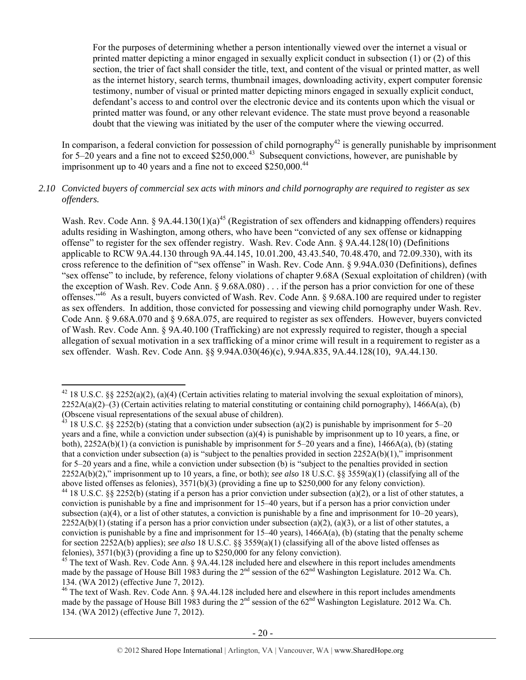For the purposes of determining whether a person intentionally viewed over the internet a visual or printed matter depicting a minor engaged in sexually explicit conduct in subsection (1) or (2) of this section, the trier of fact shall consider the title, text, and content of the visual or printed matter, as well as the internet history, search terms, thumbnail images, downloading activity, expert computer forensic testimony, number of visual or printed matter depicting minors engaged in sexually explicit conduct, defendant's access to and control over the electronic device and its contents upon which the visual or printed matter was found, or any other relevant evidence. The state must prove beyond a reasonable doubt that the viewing was initiated by the user of the computer where the viewing occurred.

In comparison, a federal conviction for possession of child pornography<sup>42</sup> is generally punishable by imprisonment for  $5-20$  years and a fine not to exceed  $$250,000<sup>43</sup>$  Subsequent convictions, however, are punishable by imprisonment up to 40 years and a fine not to exceed \$250,000.<sup>44</sup>

#### *2.10 Convicted buyers of commercial sex acts with minors and child pornography are required to register as sex offenders.*

Wash. Rev. Code Ann. § 9A.44.130(1)(a)<sup>45</sup> (Registration of sex offenders and kidnapping offenders) requires adults residing in Washington, among others, who have been "convicted of any sex offense or kidnapping offense" to register for the sex offender registry. Wash. Rev. Code Ann. § 9A.44.128(10) (Definitions applicable to RCW 9A.44.130 through 9A.44.145, 10.01.200, 43.43.540, 70.48.470, and 72.09.330), with its cross reference to the definition of "sex offense" in Wash. Rev. Code Ann. § 9.94A.030 (Definitions), defines "sex offense" to include, by reference, felony violations of chapter 9.68A (Sexual exploitation of children) (with the exception of Wash. Rev. Code Ann. § 9.68A.080) . . . if the person has a prior conviction for one of these offenses."46 As a result, buyers convicted of Wash. Rev. Code Ann. § 9.68A.100 are required under to register as sex offenders. In addition, those convicted for possessing and viewing child pornography under Wash. Rev. Code Ann. § 9.68A.070 and § 9.68A.075, are required to register as sex offenders. However, buyers convicted of Wash. Rev. Code Ann. § 9A.40.100 (Trafficking) are not expressly required to register, though a special allegation of sexual motivation in a sex trafficking of a minor crime will result in a requirement to register as a sex offender. Wash. Rev. Code Ann. §§ 9.94A.030(46)(c), 9.94A.835, 9A.44.128(10), 9A.44.130.

 $\overline{a}$ <sup>42</sup> 18 U.S.C. §§ 2252(a)(2), (a)(4) (Certain activities relating to material involving the sexual exploitation of minors),  $2252A(a)(2)$ –(3) (Certain activities relating to material constituting or containing child pornography), 1466A(a), (b) (Obscene visual representations of the sexual abuse of children).

<sup>&</sup>lt;sup>43</sup> 18 U.S.C. §§ 2252(b) (stating that a conviction under subsection (a)(2) is punishable by imprisonment for 5–20 years and a fine, while a conviction under subsection (a)(4) is punishable by imprisonment up to 10 years, a fine, or both),  $2252A(b)(1)$  (a conviction is punishable by imprisonment for 5–20 years and a fine), 1466A(a), (b) (stating that a conviction under subsection (a) is "subject to the penalties provided in section  $2252A(b)(1)$ ," imprisonment for 5–20 years and a fine, while a conviction under subsection (b) is "subject to the penalties provided in section 2252A(b)(2)," imprisonment up to 10 years, a fine, or both); *see also* 18 U.S.C. §§ 3559(a)(1) (classifying all of the above listed offenses as felonies), 3571(b)(3) (providing a fine up to \$250,000 for any felony conviction).

<sup>&</sup>lt;sup>44</sup> 18 U.S.C. §§ 2252(b) (stating if a person has a prior conviction under subsection (a)(2), or a list of other statutes, a conviction is punishable by a fine and imprisonment for 15–40 years, but if a person has a prior conviction under subsection (a)(4), or a list of other statutes, a conviction is punishable by a fine and imprisonment for  $10-20$  years),  $2252A(b)(1)$  (stating if a person has a prior conviction under subsection (a)(2), (a)(3), or a list of other statutes, a conviction is punishable by a fine and imprisonment for  $15-40$  years),  $1466A(a)$ , (b) (stating that the penalty scheme for section 2252A(b) applies); *see also* 18 U.S.C. §§ 3559(a)(1) (classifying all of the above listed offenses as felonies),  $3571(b)(3)$  (providing a fine up to \$250,000 for any felony conviction).

<sup>&</sup>lt;sup>45</sup> The text of Wash. Rev. Code Ann. § 9A.44.128 included here and elsewhere in this report includes amendments made by the passage of House Bill 1983 during the 2<sup>nd</sup> session of the 62<sup>nd</sup> Washington Legislature. 2012 Wa. Ch. 134. (WA 2012) (effective June 7, 2012).

<sup>&</sup>lt;sup>46</sup> The text of Wash. Rev. Code Ann. § 9A.44.128 included here and elsewhere in this report includes amendments made by the passage of House Bill 1983 during the  $2<sup>nd</sup>$  session of the 62<sup>nd</sup> Washington Legislature. 2012 Wa. Ch. 134. (WA 2012) (effective June 7, 2012).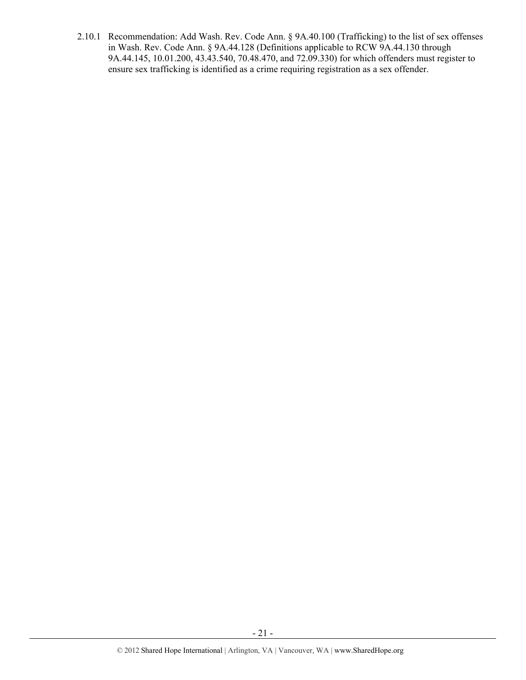2.10.1 Recommendation: Add Wash. Rev. Code Ann. § 9A.40.100 (Trafficking) to the list of sex offenses in Wash. Rev. Code Ann. § 9A.44.128 (Definitions applicable to RCW 9A.44.130 through 9A.44.145, 10.01.200, 43.43.540, 70.48.470, and 72.09.330) for which offenders must register to ensure sex trafficking is identified as a crime requiring registration as a sex offender.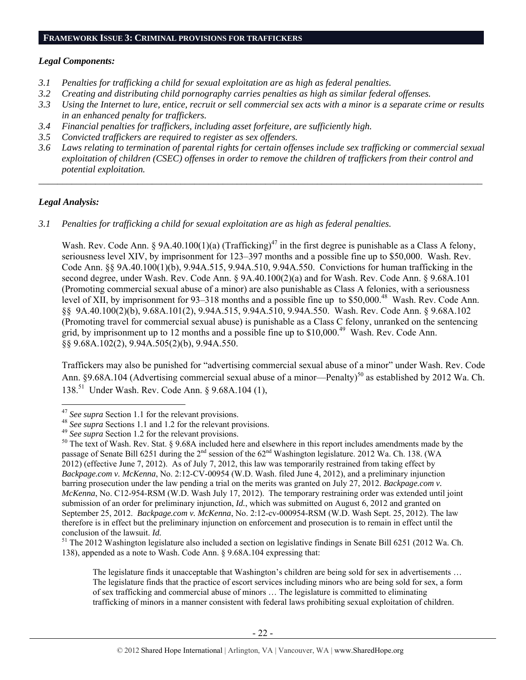#### *Legal Components:*

- *3.1 Penalties for trafficking a child for sexual exploitation are as high as federal penalties.*
- *3.2 Creating and distributing child pornography carries penalties as high as similar federal offenses.*
- *3.3 Using the Internet to lure, entice, recruit or sell commercial sex acts with a minor is a separate crime or results in an enhanced penalty for traffickers.*
- *3.4 Financial penalties for traffickers, including asset forfeiture, are sufficiently high.*
- *3.5 Convicted traffickers are required to register as sex offenders.*
- *3.6 Laws relating to termination of parental rights for certain offenses include sex trafficking or commercial sexual exploitation of children (CSEC) offenses in order to remove the children of traffickers from their control and potential exploitation.*

*\_\_\_\_\_\_\_\_\_\_\_\_\_\_\_\_\_\_\_\_\_\_\_\_\_\_\_\_\_\_\_\_\_\_\_\_\_\_\_\_\_\_\_\_\_\_\_\_\_\_\_\_\_\_\_\_\_\_\_\_\_\_\_\_\_\_\_\_\_\_\_\_\_\_\_\_\_\_\_\_\_\_\_\_\_\_\_\_\_\_\_\_\_\_* 

#### *Legal Analysis:*

 $\overline{a}$ 

*3.1 Penalties for trafficking a child for sexual exploitation are as high as federal penalties.* 

Wash. Rev. Code Ann. § 9A.40.100(1)(a) (Trafficking)<sup>47</sup> in the first degree is punishable as a Class A felony, seriousness level XIV, by imprisonment for 123–397 months and a possible fine up to \$50,000. Wash. Rev. Code Ann. §§ 9A.40.100(1)(b), 9.94A.515, 9.94A.510, 9.94A.550. Convictions for human trafficking in the second degree, under Wash. Rev. Code Ann. § 9A.40.100(2)(a) and for Wash. Rev. Code Ann. § 9.68A.101 (Promoting commercial sexual abuse of a minor) are also punishable as Class A felonies, with a seriousness level of XII, by imprisonment for 93–318 months and a possible fine up to \$50,000.<sup>48</sup> Wash. Rev. Code Ann. §§ 9A.40.100(2)(b), 9.68A.101(2), 9.94A.515, 9.94A.510, 9.94A.550. Wash. Rev. Code Ann. § 9.68A.102 (Promoting travel for commercial sexual abuse) is punishable as a Class C felony, unranked on the sentencing grid, by imprisonment up to 12 months and a possible fine up to \$10,000.<sup>49</sup> Wash. Rev. Code Ann. §§ 9.68A.102(2), 9.94A.505(2)(b), 9.94A.550.

Traffickers may also be punished for "advertising commercial sexual abuse of a minor" under Wash. Rev. Code Ann. §9.68A.104 (Advertising commercial sexual abuse of a minor—Penalty)<sup>50</sup> as established by 2012 Wa. Ch. 138.51 Under Wash. Rev. Code Ann. § 9.68A.104 (1),

<sup>&</sup>lt;sup>47</sup> See supra Section 1.1 for the relevant provisions.<br><sup>48</sup> See supra Sections 1.1 and 1.2 for the relevant provisions.<br><sup>49</sup> See supra Section 1.2 for the relevant provisions.<br><sup>50</sup> The text of Wash. Rev. Stat. § 9.68A in passage of Senate Bill 6251 during the 2<sup>nd</sup> session of the 62<sup>nd</sup> Washington legislature. 2012 Wa. Ch. 138. (WA 2012) (effective June 7, 2012). As of July 7, 2012, this law was temporarily restrained from taking effect by *Backpage.com v. McKenna*, No. 2:12-CV-00954 (W.D. Wash. filed June 4, 2012), and a preliminary injunction barring prosecution under the law pending a trial on the merits was granted on July 27, 2012. *Backpage.com v. McKenna*, No. C12-954-RSM (W.D. Wash July 17, 2012). The temporary restraining order was extended until joint submission of an order for preliminary injunction, *Id.*, which was submitted on August 6, 2012 and granted on September 25, 2012. *Backpage.com v. McKenna*, No. 2:12-cv-000954-RSM (W.D. Wash Sept. 25, 2012). The law therefore is in effect but the preliminary injunction on enforcement and prosecution is to remain in effect until the conclusion of the lawsuit.  $Id$ .

<sup>&</sup>lt;sup>51</sup> The 2012 Washington legislature also included a section on legislative findings in Senate Bill 6251 (2012 Wa. Ch. 138), appended as a note to Wash. Code Ann. § 9.68A.104 expressing that:

The legislature finds it unacceptable that Washington's children are being sold for sex in advertisements ... The legislature finds that the practice of escort services including minors who are being sold for sex, a form of sex trafficking and commercial abuse of minors … The legislature is committed to eliminating trafficking of minors in a manner consistent with federal laws prohibiting sexual exploitation of children.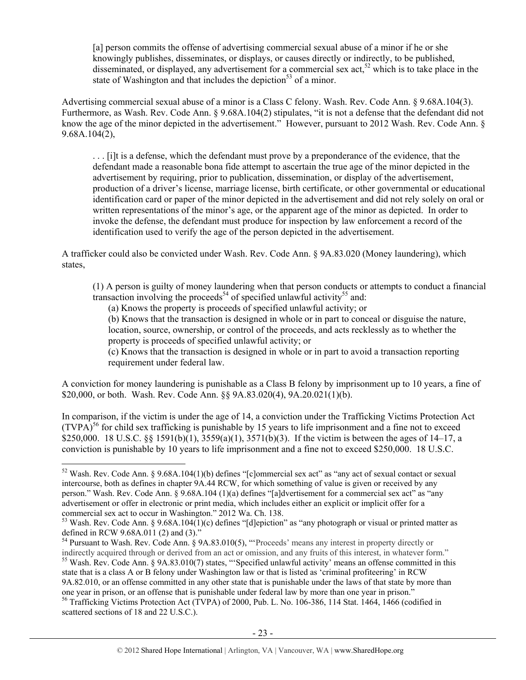[a] person commits the offense of advertising commercial sexual abuse of a minor if he or she knowingly publishes, disseminates, or displays, or causes directly or indirectly, to be published, disseminated, or displayed, any advertisement for a commercial sex act,  $52$  which is to take place in the state of Washington and that includes the depiction<sup>53</sup> of a minor.

Advertising commercial sexual abuse of a minor is a Class C felony. Wash. Rev. Code Ann. § 9.68A.104(3). Furthermore, as Wash. Rev. Code Ann. § 9.68A.104(2) stipulates, "it is not a defense that the defendant did not know the age of the minor depicted in the advertisement." However, pursuant to 2012 Wash. Rev. Code Ann. § 9.68A.104(2),

. . . [i]t is a defense, which the defendant must prove by a preponderance of the evidence, that the defendant made a reasonable bona fide attempt to ascertain the true age of the minor depicted in the advertisement by requiring, prior to publication, dissemination, or display of the advertisement, production of a driver's license, marriage license, birth certificate, or other governmental or educational identification card or paper of the minor depicted in the advertisement and did not rely solely on oral or written representations of the minor's age, or the apparent age of the minor as depicted. In order to invoke the defense, the defendant must produce for inspection by law enforcement a record of the identification used to verify the age of the person depicted in the advertisement.

A trafficker could also be convicted under Wash. Rev. Code Ann. § 9A.83.020 (Money laundering), which states,

(1) A person is guilty of money laundering when that person conducts or attempts to conduct a financial transaction involving the proceeds<sup>54</sup> of specified unlawful activity<sup>55</sup> and:

(a) Knows the property is proceeds of specified unlawful activity; or

(b) Knows that the transaction is designed in whole or in part to conceal or disguise the nature,

location, source, ownership, or control of the proceeds, and acts recklessly as to whether the property is proceeds of specified unlawful activity; or

(c) Knows that the transaction is designed in whole or in part to avoid a transaction reporting requirement under federal law.

A conviction for money laundering is punishable as a Class B felony by imprisonment up to 10 years, a fine of \$20,000, or both. Wash. Rev. Code Ann. §§ 9A.83.020(4), 9A.20.021(1)(b).

In comparison, if the victim is under the age of 14, a conviction under the Trafficking Victims Protection Act  $(TVPA)^{56}$  for child sex trafficking is punishable by 15 years to life imprisonment and a fine not to exceed \$250,000. 18 U.S.C. §§ 1591(b)(1), 3559(a)(1), 3571(b)(3). If the victim is between the ages of 14–17, a conviction is punishable by 10 years to life imprisonment and a fine not to exceed \$250,000. 18 U.S.C.

 $\overline{a}$ 

<sup>54</sup> Pursuant to Wash. Rev. Code Ann. § 9A.83.010(5), "Proceeds' means any interest in property directly or

indirectly acquired through or derived from an act or omission, and any fruits of this interest, in whatever form." <sup>55</sup> Wash. Rev. Code Ann. § 9A.83.010(7) states, "'Specified unlawful activity' means an offense committed in this state that is a class A or B felony under Washington law or that is listed as 'criminal profiteering' in RCW 9A.82.010, or an offense committed in any other state that is punishable under the laws of that state by more than one year in prison, or an offense that is punishable under federal law by more than one year in prison."

<sup>52</sup> Wash. Rev. Code Ann. § 9.68A.104(1)(b) defines "[c]ommercial sex act" as "any act of sexual contact or sexual intercourse, both as defines in chapter 9A.44 RCW, for which something of value is given or received by any person." Wash. Rev. Code Ann. § 9.68A.104 (1)(a) defines "[a]dvertisement for a commercial sex act" as "any advertisement or offer in electronic or print media, which includes either an explicit or implicit offer for a commercial sex act to occur in Washington." 2012 Wa. Ch. 138.

<sup>&</sup>lt;sup>53</sup> Wash. Rev. Code Ann. § 9.68A.104(1)(c) defines "[d]epiction" as "any photograph or visual or printed matter as defined in RCW 9.68A.011 (2) and (3)."

<sup>56</sup> Trafficking Victims Protection Act (TVPA) of 2000, Pub. L. No. 106-386, 114 Stat. 1464, 1466 (codified in scattered sections of 18 and 22 U.S.C.).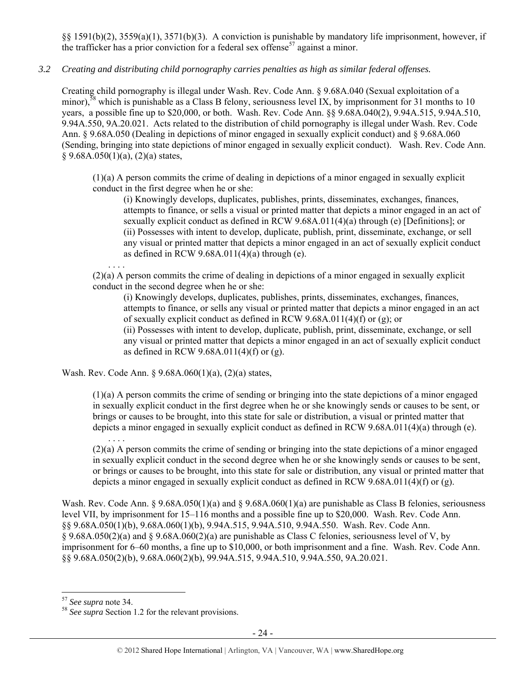§§ 1591(b)(2), 3559(a)(1), 3571(b)(3). A conviction is punishable by mandatory life imprisonment, however, if the trafficker has a prior conviction for a federal sex offense<sup>57</sup> against a minor.

# *3.2 Creating and distributing child pornography carries penalties as high as similar federal offenses.*

Creating child pornography is illegal under Wash. Rev. Code Ann. § 9.68A.040 (Sexual exploitation of a minor),<sup>58</sup> which is punishable as a Class B felony, seriousness level IX, by imprisonment for 31 months to 10 years, a possible fine up to \$20,000, or both. Wash. Rev. Code Ann. §§ 9.68A.040(2), 9.94A.515, 9.94A.510, 9.94A.550, 9A.20.021. Acts related to the distribution of child pornography is illegal under Wash. Rev. Code Ann. § 9.68A.050 (Dealing in depictions of minor engaged in sexually explicit conduct) and § 9.68A.060 (Sending, bringing into state depictions of minor engaged in sexually explicit conduct). Wash. Rev. Code Ann.  $§ 9.68A.050(1)(a), (2)(a) states,$ 

(1)(a) A person commits the crime of dealing in depictions of a minor engaged in sexually explicit conduct in the first degree when he or she:

(i) Knowingly develops, duplicates, publishes, prints, disseminates, exchanges, finances, attempts to finance, or sells a visual or printed matter that depicts a minor engaged in an act of sexually explicit conduct as defined in RCW 9.68A.011(4)(a) through (e) [Definitions]; or (ii) Possesses with intent to develop, duplicate, publish, print, disseminate, exchange, or sell any visual or printed matter that depicts a minor engaged in an act of sexually explicit conduct as defined in RCW  $9.68A.011(4)(a)$  through (e).

. . . . (2)(a) A person commits the crime of dealing in depictions of a minor engaged in sexually explicit conduct in the second degree when he or she:

(i) Knowingly develops, duplicates, publishes, prints, disseminates, exchanges, finances, attempts to finance, or sells any visual or printed matter that depicts a minor engaged in an act of sexually explicit conduct as defined in RCW 9.68A.011(4)(f) or (g); or

(ii) Possesses with intent to develop, duplicate, publish, print, disseminate, exchange, or sell any visual or printed matter that depicts a minor engaged in an act of sexually explicit conduct as defined in RCW 9.68A.011(4)(f) or (g).

Wash. Rev. Code Ann. § 9.68A.060(1)(a), (2)(a) states,

(1)(a) A person commits the crime of sending or bringing into the state depictions of a minor engaged in sexually explicit conduct in the first degree when he or she knowingly sends or causes to be sent, or brings or causes to be brought, into this state for sale or distribution, a visual or printed matter that depicts a minor engaged in sexually explicit conduct as defined in RCW 9.68A.011(4)(a) through (e).

. . . . (2)(a) A person commits the crime of sending or bringing into the state depictions of a minor engaged in sexually explicit conduct in the second degree when he or she knowingly sends or causes to be sent, or brings or causes to be brought, into this state for sale or distribution, any visual or printed matter that depicts a minor engaged in sexually explicit conduct as defined in RCW 9.68A.011(4)(f) or (g).

Wash. Rev. Code Ann. §  $9.68A.050(1)(a)$  and §  $9.68A.060(1)(a)$  are punishable as Class B felonies, seriousness level VII, by imprisonment for 15–116 months and a possible fine up to \$20,000. Wash. Rev. Code Ann. §§ 9.68A.050(1)(b), 9.68A.060(1)(b), 9.94A.515, 9.94A.510, 9.94A.550. Wash. Rev. Code Ann. § 9.68A.050(2)(a) and § 9.68A.060(2)(a) are punishable as Class C felonies, seriousness level of V, by imprisonment for 6–60 months, a fine up to \$10,000, or both imprisonment and a fine. Wash. Rev. Code Ann. §§ 9.68A.050(2)(b), 9.68A.060(2)(b), 99.94A.515, 9.94A.510, 9.94A.550, 9A.20.021.

<sup>&</sup>lt;sup>57</sup> See supra note 34.

<sup>&</sup>lt;sup>58</sup> See supra Section 1.2 for the relevant provisions.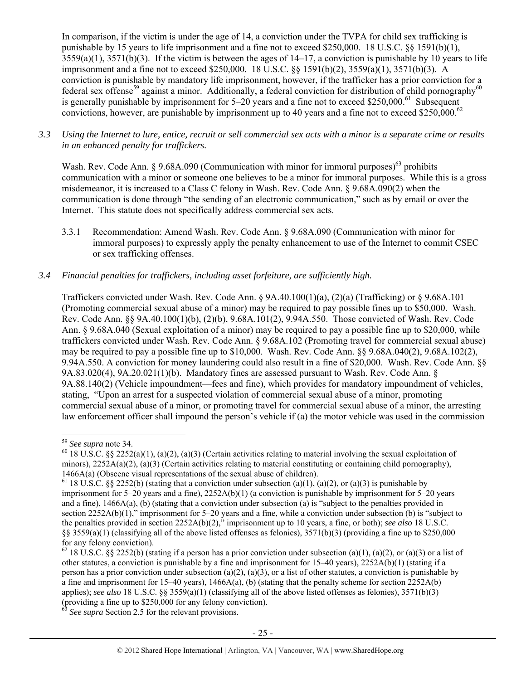In comparison, if the victim is under the age of 14, a conviction under the TVPA for child sex trafficking is punishable by 15 years to life imprisonment and a fine not to exceed \$250,000. 18 U.S.C. §§ 1591(b)(1),  $3559(a)(1)$ ,  $3571(b)(3)$ . If the victim is between the ages of  $14-17$ , a conviction is punishable by 10 years to life imprisonment and a fine not to exceed \$250,000. 18 U.S.C. §§ 1591(b)(2), 3559(a)(1), 3571(b)(3). A conviction is punishable by mandatory life imprisonment, however, if the trafficker has a prior conviction for a federal sex offense<sup>59</sup> against a minor. Additionally, a federal conviction for distribution of child pornography<sup>60</sup> is generally punishable by imprisonment for  $5-20$  years and a fine not to exceed \$250,000.<sup>61</sup> Subsequent convictions, however, are punishable by imprisonment up to 40 years and a fine not to exceed \$250,000.<sup>62</sup>

*3.3 Using the Internet to lure, entice, recruit or sell commercial sex acts with a minor is a separate crime or results in an enhanced penalty for traffickers.* 

Wash. Rev. Code Ann. § 9.68A.090 (Communication with minor for immoral purposes)<sup>63</sup> prohibits communication with a minor or someone one believes to be a minor for immoral purposes. While this is a gross misdemeanor, it is increased to a Class C felony in Wash. Rev. Code Ann. § 9.68A.090(2) when the communication is done through "the sending of an electronic communication," such as by email or over the Internet. This statute does not specifically address commercial sex acts.

3.3.1 Recommendation: Amend Wash. Rev. Code Ann. § 9.68A.090 (Communication with minor for immoral purposes) to expressly apply the penalty enhancement to use of the Internet to commit CSEC or sex trafficking offenses.

### *3.4 Financial penalties for traffickers, including asset forfeiture, are sufficiently high.*

Traffickers convicted under Wash. Rev. Code Ann. § 9A.40.100(1)(a), (2)(a) (Trafficking) or § 9.68A.101 (Promoting commercial sexual abuse of a minor) may be required to pay possible fines up to \$50,000. Wash. Rev. Code Ann. §§ 9A.40.100(1)(b), (2)(b), 9.68A.101(2), 9.94A.550. Those convicted of Wash. Rev. Code Ann. § 9.68A.040 (Sexual exploitation of a minor) may be required to pay a possible fine up to \$20,000, while traffickers convicted under Wash. Rev. Code Ann. § 9.68A.102 (Promoting travel for commercial sexual abuse) may be required to pay a possible fine up to \$10,000. Wash. Rev. Code Ann. §§ 9.68A.040(2), 9.68A.102(2), 9.94A.550. A conviction for money laundering could also result in a fine of \$20,000. Wash. Rev. Code Ann. §§ 9A.83.020(4), 9A.20.021(1)(b). Mandatory fines are assessed pursuant to Wash. Rev. Code Ann. § 9A.88.140(2) (Vehicle impoundment—fees and fine), which provides for mandatory impoundment of vehicles, stating, "Upon an arrest for a suspected violation of commercial sexual abuse of a minor, promoting commercial sexual abuse of a minor, or promoting travel for commercial sexual abuse of a minor, the arresting law enforcement officer shall impound the person's vehicle if (a) the motor vehicle was used in the commission

<sup>&</sup>lt;sup>59</sup> *See supra* note 34.<br><sup>60</sup> 18 U.S.C. §§ 2252(a)(1), (a)(2), (a)(3) (Certain activities relating to material involving the sexual exploitation of minors),  $2252A(a)(2)$ ,  $(a)(3)$  (Certain activities relating to material constituting or containing child pornography),

<sup>1466</sup>A(a) (Obscene visual representations of the sexual abuse of children).<br><sup>61</sup> 18 U.S.C. §§ 2252(b) (stating that a conviction under subsection (a)(1), (a)(2), or (a)(3) is punishable by imprisonment for 5–20 years and a fine), 2252A(b)(1) (a conviction is punishable by imprisonment for 5–20 years and a fine), 1466A(a), (b) (stating that a conviction under subsection (a) is "subject to the penalties provided in section 2252A(b)(1)," imprisonment for 5–20 years and a fine, while a conviction under subsection (b) is "subject to the penalties provided in section 2252A(b)(2)," imprisonment up to 10 years, a fine, or both); *see also* 18 U.S.C.  $\S$ § 3559(a)(1) (classifying all of the above listed offenses as felonies), 3571(b)(3) (providing a fine up to \$250,000 for any felony conviction).

<sup>&</sup>lt;sup>62</sup> 18 U.S.C. §§ 2252(b) (stating if a person has a prior conviction under subsection (a)(1), (a)(2), or (a)(3) or a list of other statutes, a conviction is punishable by a fine and imprisonment for 15–40 years), 2252A(b)(1) (stating if a person has a prior conviction under subsection (a)(2), (a)(3), or a list of other statutes, a conviction is punishable by a fine and imprisonment for 15–40 years),  $1466A(a)$ , (b) (stating that the penalty scheme for section 2252A(b) applies); *see also* 18 U.S.C. §§ 3559(a)(1) (classifying all of the above listed offenses as felonies), 3571(b)(3) (providing a fine up to \$250,000 for any felony conviction).

<sup>&</sup>lt;sup>63</sup> See supra Section 2.5 for the relevant provisions.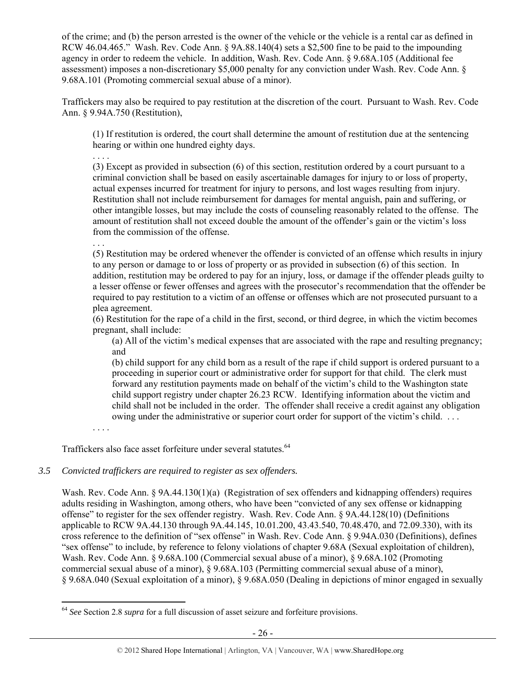of the crime; and (b) the person arrested is the owner of the vehicle or the vehicle is a rental car as defined in RCW 46.04.465." Wash. Rev. Code Ann. § 9A.88.140(4) sets a \$2,500 fine to be paid to the impounding agency in order to redeem the vehicle. In addition, Wash. Rev. Code Ann. § 9.68A.105 (Additional fee assessment) imposes a non-discretionary \$5,000 penalty for any conviction under Wash. Rev. Code Ann. § 9.68A.101 (Promoting commercial sexual abuse of a minor).

Traffickers may also be required to pay restitution at the discretion of the court. Pursuant to Wash. Rev. Code Ann. § 9.94A.750 (Restitution),

(1) If restitution is ordered, the court shall determine the amount of restitution due at the sentencing hearing or within one hundred eighty days.

. . . .

(3) Except as provided in subsection (6) of this section, restitution ordered by a court pursuant to a criminal conviction shall be based on easily ascertainable damages for injury to or loss of property, actual expenses incurred for treatment for injury to persons, and lost wages resulting from injury. Restitution shall not include reimbursement for damages for mental anguish, pain and suffering, or other intangible losses, but may include the costs of counseling reasonably related to the offense. The amount of restitution shall not exceed double the amount of the offender's gain or the victim's loss from the commission of the offense.

. . .

(5) Restitution may be ordered whenever the offender is convicted of an offense which results in injury to any person or damage to or loss of property or as provided in subsection (6) of this section. In addition, restitution may be ordered to pay for an injury, loss, or damage if the offender pleads guilty to a lesser offense or fewer offenses and agrees with the prosecutor's recommendation that the offender be required to pay restitution to a victim of an offense or offenses which are not prosecuted pursuant to a plea agreement.

(6) Restitution for the rape of a child in the first, second, or third degree, in which the victim becomes pregnant, shall include:

(a) All of the victim's medical expenses that are associated with the rape and resulting pregnancy; and

(b) child support for any child born as a result of the rape if child support is ordered pursuant to a proceeding in superior court or administrative order for support for that child. The clerk must forward any restitution payments made on behalf of the victim's child to the Washington state child support registry under chapter 26.23 RCW. Identifying information about the victim and child shall not be included in the order. The offender shall receive a credit against any obligation owing under the administrative or superior court order for support of the victim's child. . . .

. . . .

 $\overline{a}$ 

Traffickers also face asset forfeiture under several statutes.<sup>64</sup>

# *3.5 Convicted traffickers are required to register as sex offenders.*

Wash. Rev. Code Ann. § 9A.44.130(1)(a) (Registration of sex offenders and kidnapping offenders) requires adults residing in Washington, among others, who have been "convicted of any sex offense or kidnapping offense" to register for the sex offender registry. Wash. Rev. Code Ann. § 9A.44.128(10) (Definitions applicable to RCW 9A.44.130 through 9A.44.145, 10.01.200, 43.43.540, 70.48.470, and 72.09.330), with its cross reference to the definition of "sex offense" in Wash. Rev. Code Ann. § 9.94A.030 (Definitions), defines "sex offense" to include, by reference to felony violations of chapter 9.68A (Sexual exploitation of children), Wash. Rev. Code Ann. § 9.68A.100 (Commercial sexual abuse of a minor), § 9.68A.102 (Promoting commercial sexual abuse of a minor), § 9.68A.103 (Permitting commercial sexual abuse of a minor), § 9.68A.040 (Sexual exploitation of a minor), § 9.68A.050 (Dealing in depictions of minor engaged in sexually

<sup>64</sup> *See* Section 2.8 *supra* for a full discussion of asset seizure and forfeiture provisions.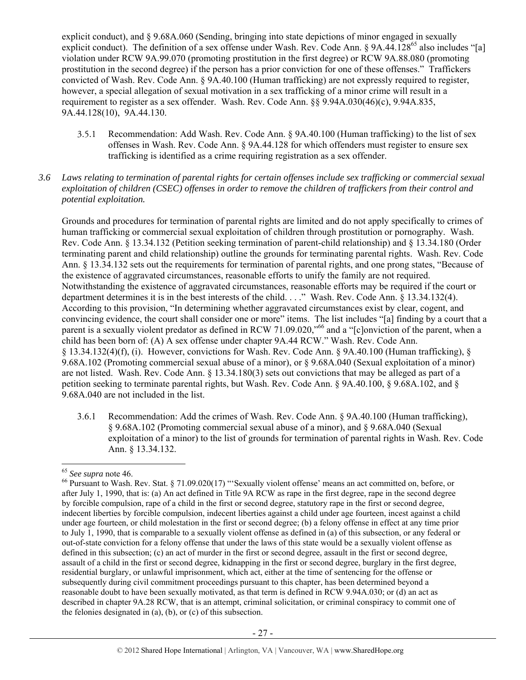explicit conduct), and § 9.68A.060 (Sending, bringing into state depictions of minor engaged in sexually explicit conduct). The definition of a sex offense under Wash. Rev. Code Ann. § 9A.44.128<sup>65</sup> also includes "[a] violation under RCW 9A.99.070 (promoting prostitution in the first degree) or RCW 9A.88.080 (promoting prostitution in the second degree) if the person has a prior conviction for one of these offenses." Traffickers convicted of Wash. Rev. Code Ann. § 9A.40.100 (Human trafficking) are not expressly required to register, however, a special allegation of sexual motivation in a sex trafficking of a minor crime will result in a requirement to register as a sex offender. Wash. Rev. Code Ann. §§ 9.94A.030(46)(c), 9.94A.835, 9A.44.128(10), 9A.44.130.

3.5.1 Recommendation: Add Wash. Rev. Code Ann. § 9A.40.100 (Human trafficking) to the list of sex offenses in Wash. Rev. Code Ann. § 9A.44.128 for which offenders must register to ensure sex trafficking is identified as a crime requiring registration as a sex offender.

#### *3.6 Laws relating to termination of parental rights for certain offenses include sex trafficking or commercial sexual exploitation of children (CSEC) offenses in order to remove the children of traffickers from their control and potential exploitation.*

Grounds and procedures for termination of parental rights are limited and do not apply specifically to crimes of human trafficking or commercial sexual exploitation of children through prostitution or pornography. Wash. Rev. Code Ann. § 13.34.132 (Petition seeking termination of parent-child relationship) and § 13.34.180 (Order terminating parent and child relationship) outline the grounds for terminating parental rights. Wash. Rev. Code Ann. § 13.34.132 sets out the requirements for termination of parental rights, and one prong states, "Because of the existence of aggravated circumstances, reasonable efforts to unify the family are not required. Notwithstanding the existence of aggravated circumstances, reasonable efforts may be required if the court or department determines it is in the best interests of the child. . . ." Wash. Rev. Code Ann. § 13.34.132(4). According to this provision, "In determining whether aggravated circumstances exist by clear, cogent, and convincing evidence, the court shall consider one or more" items. The list includes "[a] finding by a court that a parent is a sexually violent predator as defined in RCW 71.09.020,"<sup>66</sup> and a "[c]onviction of the parent, when a child has been born of: (A) A sex offense under chapter 9A.44 RCW." Wash. Rev. Code Ann.  $\S$  13.34.132(4)(f), (i). However, convictions for Wash. Rev. Code Ann.  $\S$  9A.40.100 (Human trafficking),  $\S$ 9.68A.102 (Promoting commercial sexual abuse of a minor), or § 9.68A.040 (Sexual exploitation of a minor) are not listed. Wash. Rev. Code Ann. § 13.34.180(3) sets out convictions that may be alleged as part of a petition seeking to terminate parental rights, but Wash. Rev. Code Ann. § 9A.40.100, § 9.68A.102, and § 9.68A.040 are not included in the list.

3.6.1 Recommendation: Add the crimes of Wash. Rev. Code Ann. § 9A.40.100 (Human trafficking), § 9.68A.102 (Promoting commercial sexual abuse of a minor), and § 9.68A.040 (Sexual exploitation of a minor) to the list of grounds for termination of parental rights in Wash. Rev. Code Ann. § 13.34.132.

 $\overline{a}$ 

<sup>&</sup>lt;sup>65</sup> See supra note 46.<br><sup>66</sup> Pursuant to Wash. Rev. Stat. § 71.09.020(17) "'Sexually violent offense' means an act committed on, before, or after July 1, 1990, that is: (a) An act defined in Title 9A RCW as rape in the first degree, rape in the second degree by forcible compulsion, rape of a child in the first or second degree, statutory rape in the first or second degree, indecent liberties by forcible compulsion, indecent liberties against a child under age fourteen, incest against a child under age fourteen, or child molestation in the first or second degree; (b) a felony offense in effect at any time prior to July 1, 1990, that is comparable to a sexually violent offense as defined in (a) of this subsection, or any federal or out-of-state conviction for a felony offense that under the laws of this state would be a sexually violent offense as defined in this subsection; (c) an act of murder in the first or second degree, assault in the first or second degree, assault of a child in the first or second degree, kidnapping in the first or second degree, burglary in the first degree, residential burglary, or unlawful imprisonment, which act, either at the time of sentencing for the offense or subsequently during civil commitment proceedings pursuant to this chapter, has been determined beyond a reasonable doubt to have been sexually motivated, as that term is defined in RCW 9.94A.030; or (d) an act as described in chapter 9A.28 RCW, that is an attempt, criminal solicitation, or criminal conspiracy to commit one of the felonies designated in (a), (b), or (c) of this subsection.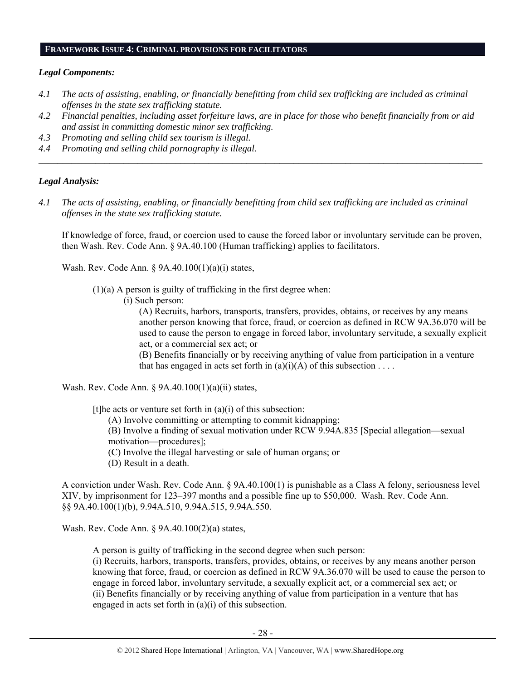## **FRAMEWORK ISSUE 4: CRIMINAL PROVISIONS FOR FACILITATORS**

#### *Legal Components:*

- *4.1 The acts of assisting, enabling, or financially benefitting from child sex trafficking are included as criminal offenses in the state sex trafficking statute.*
- *4.2 Financial penalties, including asset forfeiture laws, are in place for those who benefit financially from or aid and assist in committing domestic minor sex trafficking.*

*\_\_\_\_\_\_\_\_\_\_\_\_\_\_\_\_\_\_\_\_\_\_\_\_\_\_\_\_\_\_\_\_\_\_\_\_\_\_\_\_\_\_\_\_\_\_\_\_\_\_\_\_\_\_\_\_\_\_\_\_\_\_\_\_\_\_\_\_\_\_\_\_\_\_\_\_\_\_\_\_\_\_\_\_\_\_\_\_\_\_\_\_\_\_* 

- *4.3 Promoting and selling child sex tourism is illegal.*
- *4.4 Promoting and selling child pornography is illegal.*

#### *Legal Analysis:*

*4.1 The acts of assisting, enabling, or financially benefitting from child sex trafficking are included as criminal offenses in the state sex trafficking statute.* 

If knowledge of force, fraud, or coercion used to cause the forced labor or involuntary servitude can be proven, then Wash. Rev. Code Ann. § 9A.40.100 (Human trafficking) applies to facilitators.

Wash. Rev. Code Ann. § 9A.40.100(1)(a)(i) states,

 $(1)(a)$  A person is guilty of trafficking in the first degree when:

(i) Such person:

(A) Recruits, harbors, transports, transfers, provides, obtains, or receives by any means another person knowing that force, fraud, or coercion as defined in RCW 9A.36.070 will be used to cause the person to engage in forced labor, involuntary servitude, a sexually explicit act, or a commercial sex act; or

(B) Benefits financially or by receiving anything of value from participation in a venture that has engaged in acts set forth in (a)(i)(A) of this subsection . . . .

Wash. Rev. Code Ann. § 9A.40.100(1)(a)(ii) states,

[t] he acts or venture set forth in  $(a)(i)$  of this subsection:

(A) Involve committing or attempting to commit kidnapping;

(B) Involve a finding of sexual motivation under RCW 9.94A.835 [Special allegation—sexual motivation—procedures];

(C) Involve the illegal harvesting or sale of human organs; or

(D) Result in a death.

A conviction under Wash. Rev. Code Ann. § 9A.40.100(1) is punishable as a Class A felony, seriousness level XIV, by imprisonment for 123–397 months and a possible fine up to \$50,000. Wash. Rev. Code Ann. §§ 9A.40.100(1)(b), 9.94A.510, 9.94A.515, 9.94A.550.

Wash. Rev. Code Ann. § 9A.40.100(2)(a) states,

A person is guilty of trafficking in the second degree when such person:

(i) Recruits, harbors, transports, transfers, provides, obtains, or receives by any means another person knowing that force, fraud, or coercion as defined in RCW 9A.36.070 will be used to cause the person to engage in forced labor, involuntary servitude, a sexually explicit act, or a commercial sex act; or (ii) Benefits financially or by receiving anything of value from participation in a venture that has engaged in acts set forth in (a)(i) of this subsection.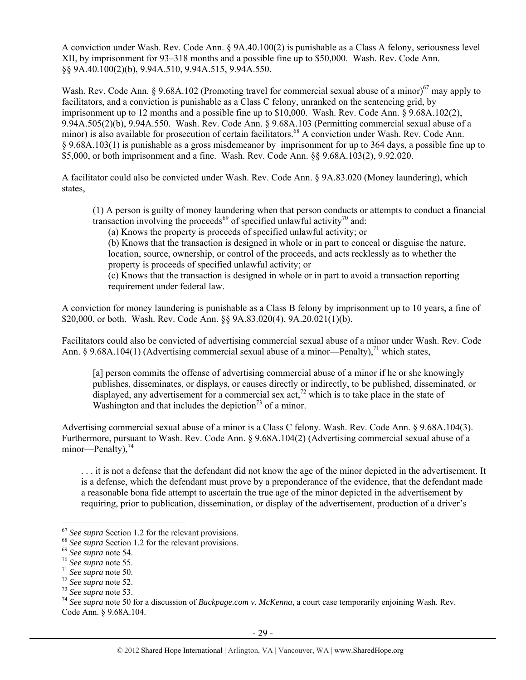A conviction under Wash. Rev. Code Ann. § 9A.40.100(2) is punishable as a Class A felony, seriousness level XII, by imprisonment for 93–318 months and a possible fine up to \$50,000. Wash. Rev. Code Ann. §§ 9A.40.100(2)(b), 9.94A.510, 9.94A.515, 9.94A.550.

Wash. Rev. Code Ann. § 9.68A.102 (Promoting travel for commercial sexual abuse of a minor)<sup>67</sup> may apply to facilitators, and a conviction is punishable as a Class C felony, unranked on the sentencing grid, by imprisonment up to 12 months and a possible fine up to \$10,000. Wash. Rev. Code Ann. § 9.68A.102(2), 9.94A.505(2)(b), 9.94A.550. Wash. Rev. Code Ann. § 9.68A.103 (Permitting commercial sexual abuse of a minor) is also available for prosecution of certain facilitators.<sup>68</sup> A conviction under Wash. Rev. Code Ann. § 9.68A.103(1) is punishable as a gross misdemeanor by imprisonment for up to 364 days, a possible fine up to \$5,000, or both imprisonment and a fine. Wash. Rev. Code Ann. §§ 9.68A.103(2), 9.92.020.

A facilitator could also be convicted under Wash. Rev. Code Ann. § 9A.83.020 (Money laundering), which states,

(1) A person is guilty of money laundering when that person conducts or attempts to conduct a financial transaction involving the proceeds<sup>69</sup> of specified unlawful activity<sup>70</sup> and:

(a) Knows the property is proceeds of specified unlawful activity; or

(b) Knows that the transaction is designed in whole or in part to conceal or disguise the nature, location, source, ownership, or control of the proceeds, and acts recklessly as to whether the property is proceeds of specified unlawful activity; or

(c) Knows that the transaction is designed in whole or in part to avoid a transaction reporting requirement under federal law.

A conviction for money laundering is punishable as a Class B felony by imprisonment up to 10 years, a fine of \$20,000, or both. Wash. Rev. Code Ann. §§ 9A.83.020(4), 9A.20.021(1)(b).

Facilitators could also be convicted of advertising commercial sexual abuse of a minor under Wash. Rev. Code Ann. § 9.68A.104(1) (Advertising commercial sexual abuse of a minor—Penalty),<sup>71</sup> which states,

[a] person commits the offense of advertising commercial abuse of a minor if he or she knowingly publishes, disseminates, or displays, or causes directly or indirectly, to be published, disseminated, or displayed, any advertisement for a commercial sex  $\text{act}^{72}$  which is to take place in the state of Washington and that includes the depiction<sup>73</sup> of a minor.

Advertising commercial sexual abuse of a minor is a Class C felony. Wash. Rev. Code Ann. § 9.68A.104(3). Furthermore, pursuant to Wash. Rev. Code Ann. § 9.68A.104(2) (Advertising commercial sexual abuse of a minor—Penalty), $^{74}$ 

. . . it is not a defense that the defendant did not know the age of the minor depicted in the advertisement. It is a defense, which the defendant must prove by a preponderance of the evidence, that the defendant made a reasonable bona fide attempt to ascertain the true age of the minor depicted in the advertisement by requiring, prior to publication, dissemination, or display of the advertisement, production of a driver's

<sup>&</sup>lt;sup>67</sup> See supra Section 1.2 for the relevant provisions.<br><sup>68</sup> See supra note 54.<br><sup>69</sup> See supra note 55.<br><sup>70</sup> See supra note 55.<br><sup>71</sup> See supra note 50.<br><sup>72</sup> See supra note 52.<br><sup>73</sup> See supra note 53.<br><sup>74</sup> See supra note 5 Code Ann. § 9.68A.104.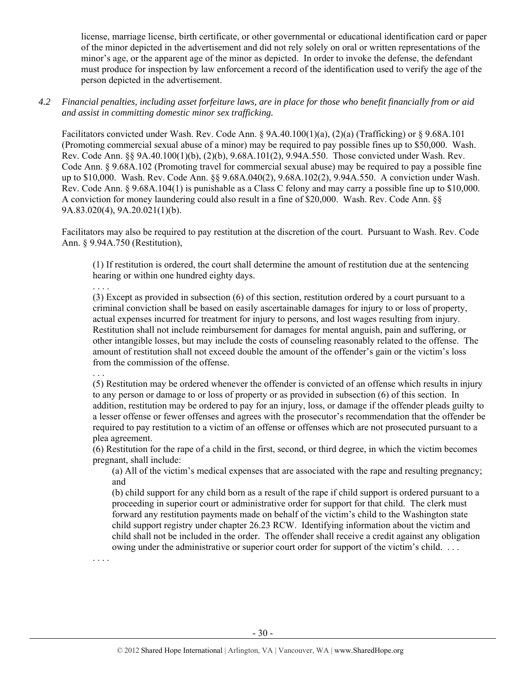license, marriage license, birth certificate, or other governmental or educational identification card or paper of the minor depicted in the advertisement and did not rely solely on oral or written representations of the minor's age, or the apparent age of the minor as depicted. In order to invoke the defense, the defendant must produce for inspection by law enforcement a record of the identification used to verify the age of the person depicted in the advertisement.

*4.2 Financial penalties, including asset forfeiture laws, are in place for those who benefit financially from or aid and assist in committing domestic minor sex trafficking.* 

Facilitators convicted under Wash. Rev. Code Ann. § 9A.40.100(1)(a), (2)(a) (Trafficking) or § 9.68A.101 (Promoting commercial sexual abuse of a minor) may be required to pay possible fines up to \$50,000. Wash. Rev. Code Ann. §§ 9A.40.100(1)(b), (2)(b), 9.68A.101(2), 9.94A.550. Those convicted under Wash. Rev. Code Ann. § 9.68A.102 (Promoting travel for commercial sexual abuse) may be required to pay a possible fine up to \$10,000. Wash. Rev. Code Ann. §§ 9.68A.040(2), 9.68A.102(2), 9.94A.550. A conviction under Wash. Rev. Code Ann. § 9.68A.104(1) is punishable as a Class C felony and may carry a possible fine up to \$10,000. A conviction for money laundering could also result in a fine of \$20,000. Wash. Rev. Code Ann. §§ 9A.83.020(4), 9A.20.021(1)(b).

Facilitators may also be required to pay restitution at the discretion of the court. Pursuant to Wash. Rev. Code Ann. § 9.94A.750 (Restitution),

(1) If restitution is ordered, the court shall determine the amount of restitution due at the sentencing hearing or within one hundred eighty days.

. . . .

. . .

. . . .

(3) Except as provided in subsection (6) of this section, restitution ordered by a court pursuant to a criminal conviction shall be based on easily ascertainable damages for injury to or loss of property, actual expenses incurred for treatment for injury to persons, and lost wages resulting from injury. Restitution shall not include reimbursement for damages for mental anguish, pain and suffering, or other intangible losses, but may include the costs of counseling reasonably related to the offense. The amount of restitution shall not exceed double the amount of the offender's gain or the victim's loss from the commission of the offense.

(5) Restitution may be ordered whenever the offender is convicted of an offense which results in injury to any person or damage to or loss of property or as provided in subsection (6) of this section. In addition, restitution may be ordered to pay for an injury, loss, or damage if the offender pleads guilty to a lesser offense or fewer offenses and agrees with the prosecutor's recommendation that the offender be required to pay restitution to a victim of an offense or offenses which are not prosecuted pursuant to a plea agreement.

(6) Restitution for the rape of a child in the first, second, or third degree, in which the victim becomes pregnant, shall include:

(a) All of the victim's medical expenses that are associated with the rape and resulting pregnancy; and

(b) child support for any child born as a result of the rape if child support is ordered pursuant to a proceeding in superior court or administrative order for support for that child. The clerk must forward any restitution payments made on behalf of the victim's child to the Washington state child support registry under chapter 26.23 RCW. Identifying information about the victim and child shall not be included in the order. The offender shall receive a credit against any obligation owing under the administrative or superior court order for support of the victim's child. . . .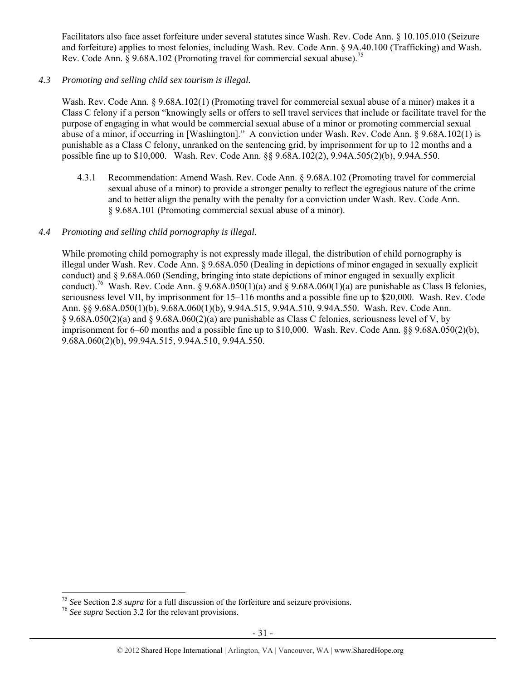Facilitators also face asset forfeiture under several statutes since Wash. Rev. Code Ann. § 10.105.010 (Seizure and forfeiture) applies to most felonies, including Wash. Rev. Code Ann. § 9A.40.100 (Trafficking) and Wash. Rev. Code Ann.  $\hat{\delta}$  9.68A.102 (Promoting travel for commercial sexual abuse).<sup>75</sup>

*4.3 Promoting and selling child sex tourism is illegal.* 

Wash. Rev. Code Ann. § 9.68A.102(1) (Promoting travel for commercial sexual abuse of a minor) makes it a Class C felony if a person "knowingly sells or offers to sell travel services that include or facilitate travel for the purpose of engaging in what would be commercial sexual abuse of a minor or promoting commercial sexual abuse of a minor, if occurring in [Washington]." A conviction under Wash. Rev. Code Ann. § 9.68A.102(1) is punishable as a Class C felony, unranked on the sentencing grid, by imprisonment for up to 12 months and a possible fine up to \$10,000. Wash. Rev. Code Ann. §§ 9.68A.102(2), 9.94A.505(2)(b), 9.94A.550.

4.3.1 Recommendation: Amend Wash. Rev. Code Ann. § 9.68A.102 (Promoting travel for commercial sexual abuse of a minor) to provide a stronger penalty to reflect the egregious nature of the crime and to better align the penalty with the penalty for a conviction under Wash. Rev. Code Ann. § 9.68A.101 (Promoting commercial sexual abuse of a minor).

### *4.4 Promoting and selling child pornography is illegal.*

While promoting child pornography is not expressly made illegal, the distribution of child pornography is illegal under Wash. Rev. Code Ann. § 9.68A.050 (Dealing in depictions of minor engaged in sexually explicit conduct) and § 9.68A.060 (Sending, bringing into state depictions of minor engaged in sexually explicit conduct).<sup>76</sup> Wash. Rev. Code Ann. § 9.68A.050(1)(a) and § 9.68A.060(1)(a) are punishable as Class B felonies, seriousness level VII, by imprisonment for 15–116 months and a possible fine up to \$20,000. Wash. Rev. Code Ann. §§ 9.68A.050(1)(b), 9.68A.060(1)(b), 9.94A.515, 9.94A.510, 9.94A.550. Wash. Rev. Code Ann. § 9.68A.050(2)(a) and § 9.68A.060(2)(a) are punishable as Class C felonies, seriousness level of V, by imprisonment for 6–60 months and a possible fine up to \$10,000. Wash. Rev. Code Ann. §§ 9.68A.050(2)(b), 9.68A.060(2)(b), 99.94A.515, 9.94A.510, 9.94A.550.

<sup>75</sup> *See* Section 2.8 *supra* for a full discussion of the forfeiture and seizure provisions. 76 *See supra* Section 3.2 for the relevant provisions.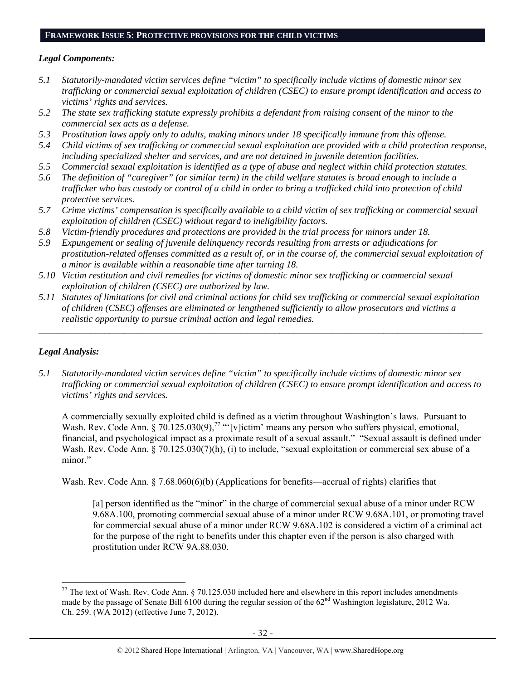# **FRAMEWORK ISSUE 5: PROTECTIVE PROVISIONS FOR THE CHILD VICTIMS**

#### *Legal Components:*

- *5.1 Statutorily-mandated victim services define "victim" to specifically include victims of domestic minor sex trafficking or commercial sexual exploitation of children (CSEC) to ensure prompt identification and access to victims' rights and services.*
- *5.2 The state sex trafficking statute expressly prohibits a defendant from raising consent of the minor to the commercial sex acts as a defense.*
- *5.3 Prostitution laws apply only to adults, making minors under 18 specifically immune from this offense.*
- *5.4 Child victims of sex trafficking or commercial sexual exploitation are provided with a child protection response, including specialized shelter and services, and are not detained in juvenile detention facilities.*
- *5.5 Commercial sexual exploitation is identified as a type of abuse and neglect within child protection statutes.*
- *5.6 The definition of "caregiver" (or similar term) in the child welfare statutes is broad enough to include a trafficker who has custody or control of a child in order to bring a trafficked child into protection of child protective services.*
- *5.7 Crime victims' compensation is specifically available to a child victim of sex trafficking or commercial sexual exploitation of children (CSEC) without regard to ineligibility factors.*
- *5.8 Victim-friendly procedures and protections are provided in the trial process for minors under 18.*
- *5.9 Expungement or sealing of juvenile delinquency records resulting from arrests or adjudications for prostitution-related offenses committed as a result of, or in the course of, the commercial sexual exploitation of a minor is available within a reasonable time after turning 18.*
- *5.10 Victim restitution and civil remedies for victims of domestic minor sex trafficking or commercial sexual exploitation of children (CSEC) are authorized by law.*
- *5.11 Statutes of limitations for civil and criminal actions for child sex trafficking or commercial sexual exploitation of children (CSEC) offenses are eliminated or lengthened sufficiently to allow prosecutors and victims a realistic opportunity to pursue criminal action and legal remedies.*

*\_\_\_\_\_\_\_\_\_\_\_\_\_\_\_\_\_\_\_\_\_\_\_\_\_\_\_\_\_\_\_\_\_\_\_\_\_\_\_\_\_\_\_\_\_\_\_\_\_\_\_\_\_\_\_\_\_\_\_\_\_\_\_\_\_\_\_\_\_\_\_\_\_\_\_\_\_\_\_\_\_\_\_\_\_\_\_\_\_\_\_\_\_\_* 

# *Legal Analysis:*

 $\overline{a}$ 

*5.1 Statutorily-mandated victim services define "victim" to specifically include victims of domestic minor sex trafficking or commercial sexual exploitation of children (CSEC) to ensure prompt identification and access to victims' rights and services.* 

A commercially sexually exploited child is defined as a victim throughout Washington's laws. Pursuant to Wash. Rev. Code Ann. § 70.125.030(9),<sup>77</sup> "'[v]ictim' means any person who suffers physical, emotional, financial, and psychological impact as a proximate result of a sexual assault." "Sexual assault is defined under Wash. Rev. Code Ann. § 70.125.030(7)(h), (i) to include, "sexual exploitation or commercial sex abuse of a minor."

Wash. Rev. Code Ann. § 7.68.060(6)(b) (Applications for benefits—accrual of rights) clarifies that

[a] person identified as the "minor" in the charge of commercial sexual abuse of a minor under RCW 9.68A.100, promoting commercial sexual abuse of a minor under RCW 9.68A.101, or promoting travel for commercial sexual abuse of a minor under RCW 9.68A.102 is considered a victim of a criminal act for the purpose of the right to benefits under this chapter even if the person is also charged with prostitution under RCW 9A.88.030.

 $^{77}$  The text of Wash. Rev. Code Ann. § 70.125.030 included here and elsewhere in this report includes amendments made by the passage of Senate Bill 6100 during the regular session of the 62<sup>nd</sup> Washington legislature, 2012 Wa. Ch. 259. (WA 2012) (effective June 7, 2012).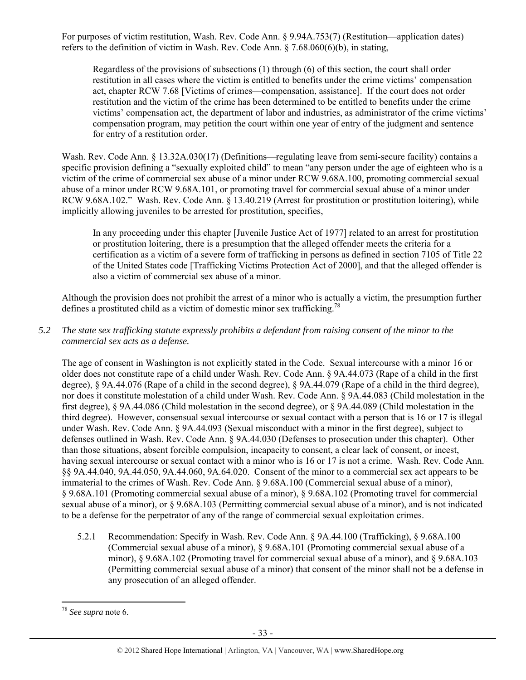For purposes of victim restitution, Wash. Rev. Code Ann. § 9.94A.753(7) (Restitution—application dates) refers to the definition of victim in Wash. Rev. Code Ann. § 7.68.060(6)(b), in stating,

Regardless of the provisions of subsections (1) through (6) of this section, the court shall order restitution in all cases where the victim is entitled to benefits under the crime victims' compensation act, chapter RCW 7.68 [Victims of crimes—compensation, assistance]. If the court does not order restitution and the victim of the crime has been determined to be entitled to benefits under the crime victims' compensation act, the department of labor and industries, as administrator of the crime victims' compensation program, may petition the court within one year of entry of the judgment and sentence for entry of a restitution order.

Wash. Rev. Code Ann. § 13.32A.030(17) (Definitions—regulating leave from semi-secure facility) contains a specific provision defining a "sexually exploited child" to mean "any person under the age of eighteen who is a victim of the crime of commercial sex abuse of a minor under RCW 9.68A.100, promoting commercial sexual abuse of a minor under RCW 9.68A.101, or promoting travel for commercial sexual abuse of a minor under RCW 9.68A.102." Wash. Rev. Code Ann. § 13.40.219 (Arrest for prostitution or prostitution loitering), while implicitly allowing juveniles to be arrested for prostitution, specifies,

In any proceeding under this chapter [Juvenile Justice Act of 1977] related to an arrest for prostitution or prostitution loitering, there is a presumption that the alleged offender meets the criteria for a certification as a victim of a severe form of trafficking in persons as defined in section 7105 of Title 22 of the United States code [Trafficking Victims Protection Act of 2000], and that the alleged offender is also a victim of commercial sex abuse of a minor.

Although the provision does not prohibit the arrest of a minor who is actually a victim, the presumption further defines a prostituted child as a victim of domestic minor sex trafficking.<sup>78</sup>

*5.2 The state sex trafficking statute expressly prohibits a defendant from raising consent of the minor to the commercial sex acts as a defense.* 

The age of consent in Washington is not explicitly stated in the Code. Sexual intercourse with a minor 16 or older does not constitute rape of a child under Wash. Rev. Code Ann. § 9A.44.073 (Rape of a child in the first degree), § 9A.44.076 (Rape of a child in the second degree), § 9A.44.079 (Rape of a child in the third degree), nor does it constitute molestation of a child under Wash. Rev. Code Ann. § 9A.44.083 (Child molestation in the first degree), § 9A.44.086 (Child molestation in the second degree), or § 9A.44.089 (Child molestation in the third degree). However, consensual sexual intercourse or sexual contact with a person that is 16 or 17 is illegal under Wash. Rev. Code Ann. § 9A.44.093 (Sexual misconduct with a minor in the first degree), subject to defenses outlined in Wash. Rev. Code Ann. § 9A.44.030 (Defenses to prosecution under this chapter). Other than those situations, absent forcible compulsion, incapacity to consent, a clear lack of consent, or incest, having sexual intercourse or sexual contact with a minor who is 16 or 17 is not a crime. Wash. Rev. Code Ann. §§ 9A.44.040, 9A.44.050, 9A.44.060, 9A.64.020. Consent of the minor to a commercial sex act appears to be immaterial to the crimes of Wash. Rev. Code Ann. § 9.68A.100 (Commercial sexual abuse of a minor), § 9.68A.101 (Promoting commercial sexual abuse of a minor), § 9.68A.102 (Promoting travel for commercial sexual abuse of a minor), or § 9.68A.103 (Permitting commercial sexual abuse of a minor), and is not indicated to be a defense for the perpetrator of any of the range of commercial sexual exploitation crimes.

5.2.1 Recommendation: Specify in Wash. Rev. Code Ann. § 9A.44.100 (Trafficking), § 9.68A.100 (Commercial sexual abuse of a minor), § 9.68A.101 (Promoting commercial sexual abuse of a minor), § 9.68A.102 (Promoting travel for commercial sexual abuse of a minor), and § 9.68A.103 (Permitting commercial sexual abuse of a minor) that consent of the minor shall not be a defense in any prosecution of an alleged offender.

<sup>78</sup> *See supra* note 6.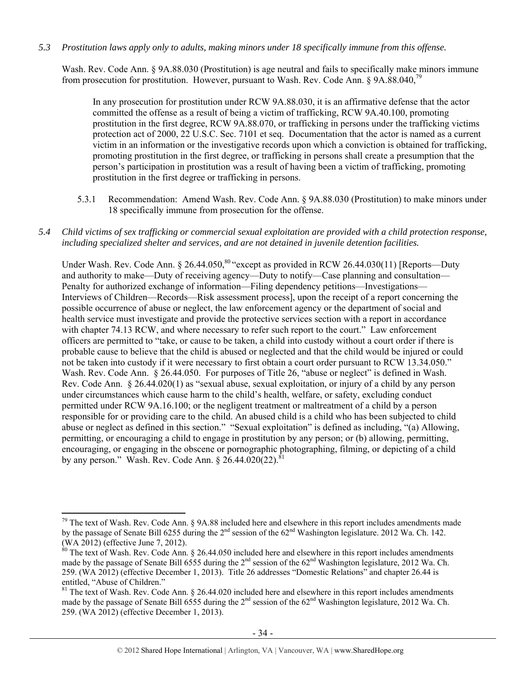*5.3 Prostitution laws apply only to adults, making minors under 18 specifically immune from this offense.* 

Wash. Rev. Code Ann. § 9A.88.030 (Prostitution) is age neutral and fails to specifically make minors immune from prosecution for prostitution. However, pursuant to Wash. Rev. Code Ann. § 9A.88.040,79

In any prosecution for prostitution under RCW 9A.88.030, it is an affirmative defense that the actor committed the offense as a result of being a victim of trafficking, RCW 9A.40.100, promoting prostitution in the first degree, RCW 9A.88.070, or trafficking in persons under the trafficking victims protection act of 2000, 22 U.S.C. Sec. 7101 et seq. Documentation that the actor is named as a current victim in an information or the investigative records upon which a conviction is obtained for trafficking, promoting prostitution in the first degree, or trafficking in persons shall create a presumption that the person's participation in prostitution was a result of having been a victim of trafficking, promoting prostitution in the first degree or trafficking in persons.

- 5.3.1 Recommendation: Amend Wash. Rev. Code Ann. § 9A.88.030 (Prostitution) to make minors under 18 specifically immune from prosecution for the offense.
- *5.4 Child victims of sex trafficking or commercial sexual exploitation are provided with a child protection response, including specialized shelter and services, and are not detained in juvenile detention facilities.*

Under Wash. Rev. Code Ann. § 26.44.050,<sup>80</sup> "except as provided in RCW 26.44.030(11) [Reports—Duty and authority to make—Duty of receiving agency—Duty to notify—Case planning and consultation— Penalty for authorized exchange of information—Filing dependency petitions—Investigations— Interviews of Children—Records—Risk assessment process], upon the receipt of a report concerning the possible occurrence of abuse or neglect, the law enforcement agency or the department of social and health service must investigate and provide the protective services section with a report in accordance with chapter 74.13 RCW, and where necessary to refer such report to the court." Law enforcement officers are permitted to "take, or cause to be taken, a child into custody without a court order if there is probable cause to believe that the child is abused or neglected and that the child would be injured or could not be taken into custody if it were necessary to first obtain a court order pursuant to RCW 13.34.050." Wash. Rev. Code Ann. § 26.44.050. For purposes of Title 26, "abuse or neglect" is defined in Wash. Rev. Code Ann. § 26.44.020(1) as "sexual abuse, sexual exploitation, or injury of a child by any person under circumstances which cause harm to the child's health, welfare, or safety, excluding conduct permitted under RCW 9A.16.100; or the negligent treatment or maltreatment of a child by a person responsible for or providing care to the child. An abused child is a child who has been subjected to child abuse or neglect as defined in this section." "Sexual exploitation" is defined as including, "(a) Allowing, permitting, or encouraging a child to engage in prostitution by any person; or (b) allowing, permitting, encouraging, or engaging in the obscene or pornographic photographing, filming, or depicting of a child by any person." Wash. Rev. Code Ann.  $\frac{26.44.020(22)^{81}}{2}$ 

 $79$  The text of Wash. Rev. Code Ann. § 9A.88 included here and elsewhere in this report includes amendments made by the passage of Senate Bill 6255 during the 2<sup>nd</sup> session of the 62<sup>nd</sup> Washington legislature. 2012 Wa. Ch. 142. (WA 2012) (effective June 7, 2012).

<sup>&</sup>lt;sup>80</sup> The text of Wash. Rev. Code Ann. § 26.44.050 included here and elsewhere in this report includes amendments made by the passage of Senate Bill 6555 during the 2<sup>nd</sup> session of the 62<sup>nd</sup> Washington legislature, 2012 Wa. Ch. 259. (WA 2012) (effective December 1, 2013). Title 26 addresses "Domestic Relations" and chapter 26.44 is entitled, "Abuse of Children."

 $81$  The text of Wash. Rev. Code Ann. § 26.44.020 included here and elsewhere in this report includes amendments made by the passage of Senate Bill 6555 during the  $2<sup>nd</sup>$  session of the 62<sup>nd</sup> Washington legislature, 2012 Wa. Ch. 259. (WA 2012) (effective December 1, 2013).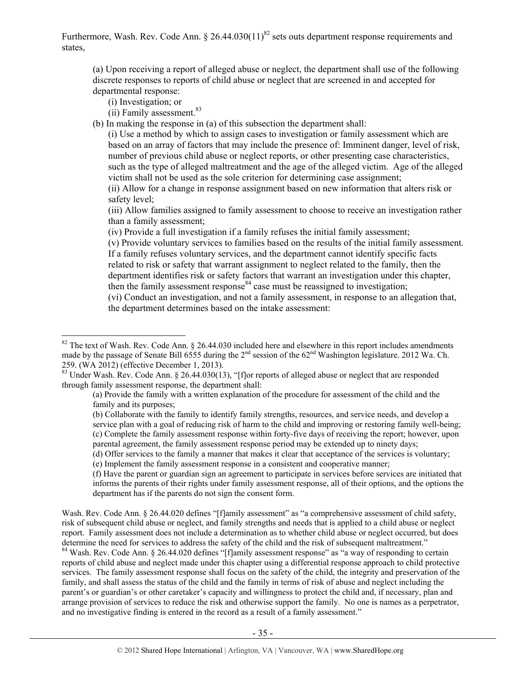Furthermore, Wash. Rev. Code Ann. § 26.44.030(11)<sup>82</sup> sets outs department response requirements and states,

(a) Upon receiving a report of alleged abuse or neglect, the department shall use of the following discrete responses to reports of child abuse or neglect that are screened in and accepted for departmental response:

(i) Investigation; or

 $\overline{a}$ 

- (ii) Family assessment.<sup>83</sup>
- (b) In making the response in (a) of this subsection the department shall:

(i) Use a method by which to assign cases to investigation or family assessment which are based on an array of factors that may include the presence of: Imminent danger, level of risk, number of previous child abuse or neglect reports, or other presenting case characteristics, such as the type of alleged maltreatment and the age of the alleged victim. Age of the alleged victim shall not be used as the sole criterion for determining case assignment;

(ii) Allow for a change in response assignment based on new information that alters risk or safety level;

(iii) Allow families assigned to family assessment to choose to receive an investigation rather than a family assessment;

(iv) Provide a full investigation if a family refuses the initial family assessment;

(v) Provide voluntary services to families based on the results of the initial family assessment. If a family refuses voluntary services, and the department cannot identify specific facts related to risk or safety that warrant assignment to neglect related to the family, then the department identifies risk or safety factors that warrant an investigation under this chapter, then the family assessment response<sup>84</sup> case must be reassigned to investigation;

(vi) Conduct an investigation, and not a family assessment, in response to an allegation that, the department determines based on the intake assessment:

(e) Implement the family assessment response in a consistent and cooperative manner;

(f) Have the parent or guardian sign an agreement to participate in services before services are initiated that informs the parents of their rights under family assessment response, all of their options, and the options the department has if the parents do not sign the consent form.

Wash. Rev. Code Ann. § 26.44.020 defines "[f]amily assessment" as "a comprehensive assessment of child safety, risk of subsequent child abuse or neglect, and family strengths and needs that is applied to a child abuse or neglect report. Family assessment does not include a determination as to whether child abuse or neglect occurred, but does determine the need for services to address the safety of the child and the risk of subsequent maltreatment."<br><sup>84</sup> Wash. Rev. Code Ann. § 26.44.020 defines "[f]amily assessment response" as "a way of responding to certain

reports of child abuse and neglect made under this chapter using a differential response approach to child protective services. The family assessment response shall focus on the safety of the child, the integrity and preservation of the family, and shall assess the status of the child and the family in terms of risk of abuse and neglect including the parent's or guardian's or other caretaker's capacity and willingness to protect the child and, if necessary, plan and arrange provision of services to reduce the risk and otherwise support the family. No one is names as a perpetrator, and no investigative finding is entered in the record as a result of a family assessment."

<sup>&</sup>lt;sup>82</sup> The text of Wash. Rev. Code Ann. § 26.44.030 included here and elsewhere in this report includes amendments made by the passage of Senate Bill 6555 during the  $2^{nd}$  session of the 62<sup>nd</sup> Washington legislature. 2012 Wa. Ch. 259. (WA 2012) (effective December 1, 2013).

<sup>&</sup>lt;sup>83</sup> Under Wash. Rev. Code Ann. § 26.44.030(13), "[f]or reports of alleged abuse or neglect that are responded through family assessment response, the department shall:

<sup>(</sup>a) Provide the family with a written explanation of the procedure for assessment of the child and the family and its purposes;

<sup>(</sup>b) Collaborate with the family to identify family strengths, resources, and service needs, and develop a service plan with a goal of reducing risk of harm to the child and improving or restoring family well-being; (c) Complete the family assessment response within forty-five days of receiving the report; however, upon parental agreement, the family assessment response period may be extended up to ninety days;

<sup>(</sup>d) Offer services to the family a manner that makes it clear that acceptance of the services is voluntary;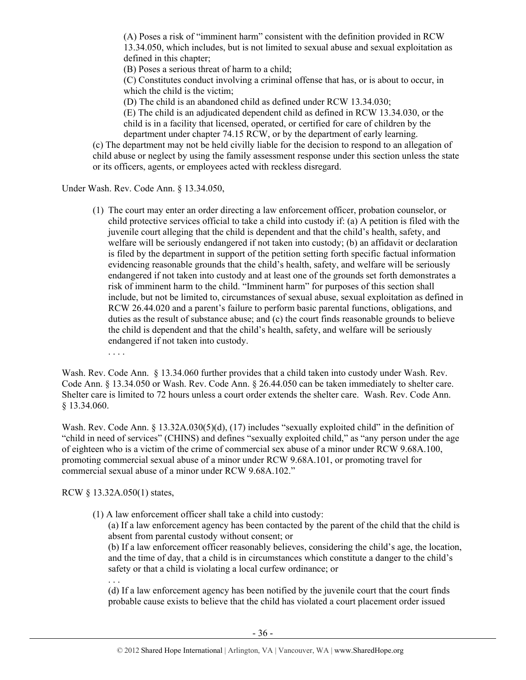(A) Poses a risk of "imminent harm" consistent with the definition provided in RCW 13.34.050, which includes, but is not limited to sexual abuse and sexual exploitation as defined in this chapter;

(B) Poses a serious threat of harm to a child;

(C) Constitutes conduct involving a criminal offense that has, or is about to occur, in which the child is the victim;

(D) The child is an abandoned child as defined under RCW 13.34.030;

(E) The child is an adjudicated dependent child as defined in RCW 13.34.030, or the child is in a facility that licensed, operated, or certified for care of children by the department under chapter 74.15 RCW, or by the department of early learning.

(c) The department may not be held civilly liable for the decision to respond to an allegation of child abuse or neglect by using the family assessment response under this section unless the state or its officers, agents, or employees acted with reckless disregard.

Under Wash. Rev. Code Ann. § 13.34.050,

- (1) The court may enter an order directing a law enforcement officer, probation counselor, or child protective services official to take a child into custody if: (a) A petition is filed with the juvenile court alleging that the child is dependent and that the child's health, safety, and welfare will be seriously endangered if not taken into custody; (b) an affidavit or declaration is filed by the department in support of the petition setting forth specific factual information evidencing reasonable grounds that the child's health, safety, and welfare will be seriously endangered if not taken into custody and at least one of the grounds set forth demonstrates a risk of imminent harm to the child. "Imminent harm" for purposes of this section shall include, but not be limited to, circumstances of sexual abuse, sexual exploitation as defined in RCW 26.44.020 and a parent's failure to perform basic parental functions, obligations, and duties as the result of substance abuse; and (c) the court finds reasonable grounds to believe the child is dependent and that the child's health, safety, and welfare will be seriously endangered if not taken into custody.
	- . . . .

Wash. Rev. Code Ann. § 13.34.060 further provides that a child taken into custody under Wash. Rev. Code Ann. § 13.34.050 or Wash. Rev. Code Ann. § 26.44.050 can be taken immediately to shelter care. Shelter care is limited to 72 hours unless a court order extends the shelter care. Wash. Rev. Code Ann. § 13.34.060.

Wash. Rev. Code Ann. § 13.32A.030(5)(d), (17) includes "sexually exploited child" in the definition of "child in need of services" (CHINS) and defines "sexually exploited child," as "any person under the age of eighteen who is a victim of the crime of commercial sex abuse of a minor under RCW 9.68A.100, promoting commercial sexual abuse of a minor under RCW 9.68A.101, or promoting travel for commercial sexual abuse of a minor under RCW 9.68A.102."

RCW § 13.32A.050(1) states,

- (1) A law enforcement officer shall take a child into custody:
	- (a) If a law enforcement agency has been contacted by the parent of the child that the child is absent from parental custody without consent; or

(b) If a law enforcement officer reasonably believes, considering the child's age, the location, and the time of day, that a child is in circumstances which constitute a danger to the child's safety or that a child is violating a local curfew ordinance; or

. . .

(d) If a law enforcement agency has been notified by the juvenile court that the court finds probable cause exists to believe that the child has violated a court placement order issued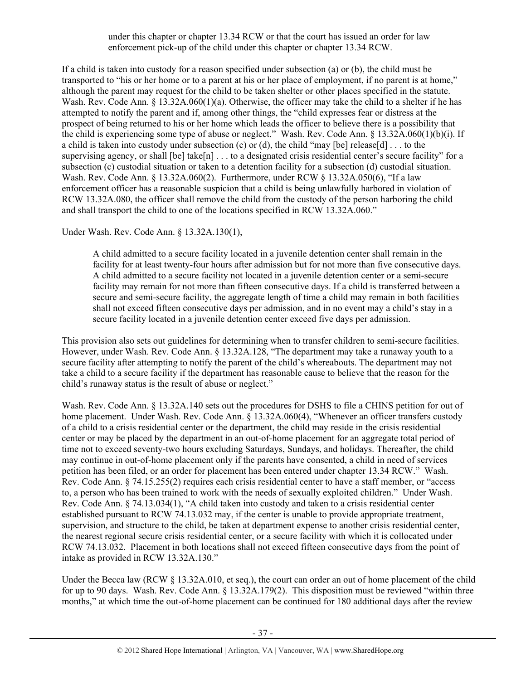under this chapter or chapter 13.34 RCW or that the court has issued an order for law enforcement pick-up of the child under this chapter or chapter 13.34 RCW.

If a child is taken into custody for a reason specified under subsection (a) or (b), the child must be transported to "his or her home or to a parent at his or her place of employment, if no parent is at home," although the parent may request for the child to be taken shelter or other places specified in the statute. Wash. Rev. Code Ann. § 13.32A.060(1)(a). Otherwise, the officer may take the child to a shelter if he has attempted to notify the parent and if, among other things, the "child expresses fear or distress at the prospect of being returned to his or her home which leads the officer to believe there is a possibility that the child is experiencing some type of abuse or neglect." Wash. Rev. Code Ann. § 13.32A.060(1)(b)(i). If a child is taken into custody under subsection (c) or (d), the child "may [be] release[d]  $\dots$  to the supervising agency, or shall [be] take[n] . . . to a designated crisis residential center's secure facility" for a subsection (c) custodial situation or taken to a detention facility for a subsection (d) custodial situation. Wash. Rev. Code Ann. § 13.32A.060(2). Furthermore, under RCW § 13.32A.050(6), "If a law enforcement officer has a reasonable suspicion that a child is being unlawfully harbored in violation of RCW 13.32A.080, the officer shall remove the child from the custody of the person harboring the child and shall transport the child to one of the locations specified in RCW 13.32A.060."

Under Wash. Rev. Code Ann. § 13.32A.130(1),

A child admitted to a secure facility located in a juvenile detention center shall remain in the facility for at least twenty-four hours after admission but for not more than five consecutive days. A child admitted to a secure facility not located in a juvenile detention center or a semi-secure facility may remain for not more than fifteen consecutive days. If a child is transferred between a secure and semi-secure facility, the aggregate length of time a child may remain in both facilities shall not exceed fifteen consecutive days per admission, and in no event may a child's stay in a secure facility located in a juvenile detention center exceed five days per admission.

This provision also sets out guidelines for determining when to transfer children to semi-secure facilities. However, under Wash. Rev. Code Ann. § 13.32A.128, "The department may take a runaway youth to a secure facility after attempting to notify the parent of the child's whereabouts. The department may not take a child to a secure facility if the department has reasonable cause to believe that the reason for the child's runaway status is the result of abuse or neglect."

Wash. Rev. Code Ann. § 13.32A.140 sets out the procedures for DSHS to file a CHINS petition for out of home placement. Under Wash. Rev. Code Ann. § 13.32A.060(4), "Whenever an officer transfers custody of a child to a crisis residential center or the department, the child may reside in the crisis residential center or may be placed by the department in an out-of-home placement for an aggregate total period of time not to exceed seventy-two hours excluding Saturdays, Sundays, and holidays. Thereafter, the child may continue in out-of-home placement only if the parents have consented, a child in need of services petition has been filed, or an order for placement has been entered under chapter 13.34 RCW." Wash. Rev. Code Ann. § 74.15.255(2) requires each crisis residential center to have a staff member, or "access to, a person who has been trained to work with the needs of sexually exploited children." Under Wash. Rev. Code Ann. § 74.13.034(1), "A child taken into custody and taken to a crisis residential center established pursuant to RCW 74.13.032 may, if the center is unable to provide appropriate treatment, supervision, and structure to the child, be taken at department expense to another crisis residential center, the nearest regional secure crisis residential center, or a secure facility with which it is collocated under RCW 74.13.032. Placement in both locations shall not exceed fifteen consecutive days from the point of intake as provided in RCW 13.32A.130."

Under the Becca law (RCW § 13.32A.010, et seq.), the court can order an out of home placement of the child for up to 90 days. Wash. Rev. Code Ann. § 13.32A.179(2). This disposition must be reviewed "within three months," at which time the out-of-home placement can be continued for 180 additional days after the review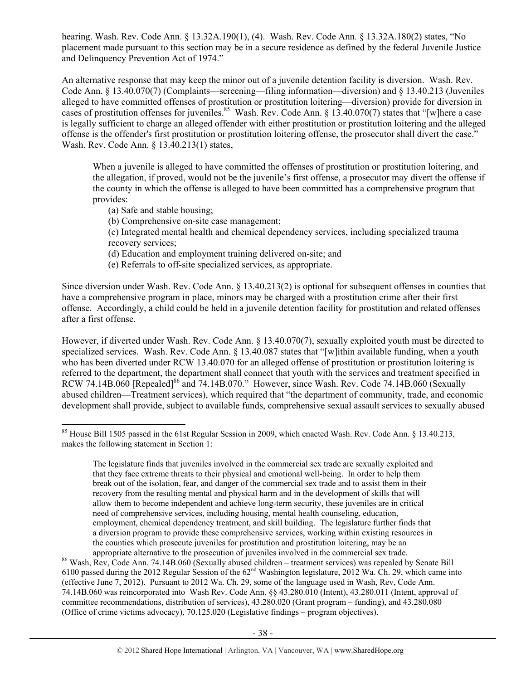hearing. Wash. Rev. Code Ann. § 13.32A.190(1), (4). Wash. Rev. Code Ann. § 13.32A.180(2) states, "No placement made pursuant to this section may be in a secure residence as defined by the federal Juvenile Justice and Delinquency Prevention Act of 1974."

An alternative response that may keep the minor out of a juvenile detention facility is diversion. Wash. Rev. Code Ann. § 13.40.070(7) (Complaints—screening—filing information—diversion) and § 13.40.213 (Juveniles alleged to have committed offenses of prostitution or prostitution loitering—diversion) provide for diversion in cases of prostitution offenses for juveniles.<sup>85</sup> Wash. Rev. Code Ann. § 13.40.070(7) states that "[w]here a case is legally sufficient to charge an alleged offender with either prostitution or prostitution loitering and the alleged offense is the offender's first prostitution or prostitution loitering offense, the prosecutor shall divert the case." Wash. Rev. Code Ann. § 13.40.213(1) states,

When a juvenile is alleged to have committed the offenses of prostitution or prostitution loitering, and the allegation, if proved, would not be the juvenile's first offense, a prosecutor may divert the offense if the county in which the offense is alleged to have been committed has a comprehensive program that provides:

(a) Safe and stable housing;

 $\overline{a}$ 

- (b) Comprehensive on-site case management;
- (c) Integrated mental health and chemical dependency services, including specialized trauma recovery services;
- (d) Education and employment training delivered on-site; and
- (e) Referrals to off-site specialized services, as appropriate.

Since diversion under Wash. Rev. Code Ann. § 13.40.213(2) is optional for subsequent offenses in counties that have a comprehensive program in place, minors may be charged with a prostitution crime after their first offense. Accordingly, a child could be held in a juvenile detention facility for prostitution and related offenses after a first offense.

However, if diverted under Wash. Rev. Code Ann. § 13.40.070(7), sexually exploited youth must be directed to specialized services. Wash. Rev. Code Ann. § 13.40.087 states that "[w]ithin available funding, when a youth who has been diverted under RCW 13.40.070 for an alleged offense of prostitution or prostitution loitering is referred to the department, the department shall connect that youth with the services and treatment specified in RCW 74.14B.060 [Repealed]<sup>86</sup> and 74.14B.070." However, since Wash. Rev. Code 74.14B.060 (Sexually abused children—Treatment services), which required that "the department of community, trade, and economic development shall provide, subject to available funds, comprehensive sexual assault services to sexually abused

appropriate alternative to the prosecution of juveniles involved in the commercial sex trade. 86 Wash, Rev, Code Ann. 74.14B.060 (Sexually abused children – treatment services) was repealed by Senate Bill 6100 passed during the 2012 Regular Session of the 62nd Washington legislature, 2012 Wa. Ch. 29, which came into (effective June 7, 2012). Pursuant to 2012 Wa. Ch. 29, some of the language used in Wash, Rev, Code Ann. 74.14B.060 was reincorporated into Wash Rev. Code Ann. §§ 43.280.010 (Intent), 43.280.011 (Intent, approval of committee recommendations, distribution of services), 43.280.020 (Grant program – funding), and 43.280.080 (Office of crime victims advocacy), 70.125.020 (Legislative findings – program objectives).

<sup>&</sup>lt;sup>85</sup> House Bill 1505 passed in the 61st Regular Session in 2009, which enacted Wash. Rev. Code Ann. § 13.40.213, makes the following statement in Section 1:

The legislature finds that juveniles involved in the commercial sex trade are sexually exploited and that they face extreme threats to their physical and emotional well-being. In order to help them break out of the isolation, fear, and danger of the commercial sex trade and to assist them in their recovery from the resulting mental and physical harm and in the development of skills that will allow them to become independent and achieve long-term security, these juveniles are in critical need of comprehensive services, including housing, mental health counseling, education, employment, chemical dependency treatment, and skill building. The legislature further finds that a diversion program to provide these comprehensive services, working within existing resources in the counties which prosecute juveniles for prostitution and prostitution loitering, may be an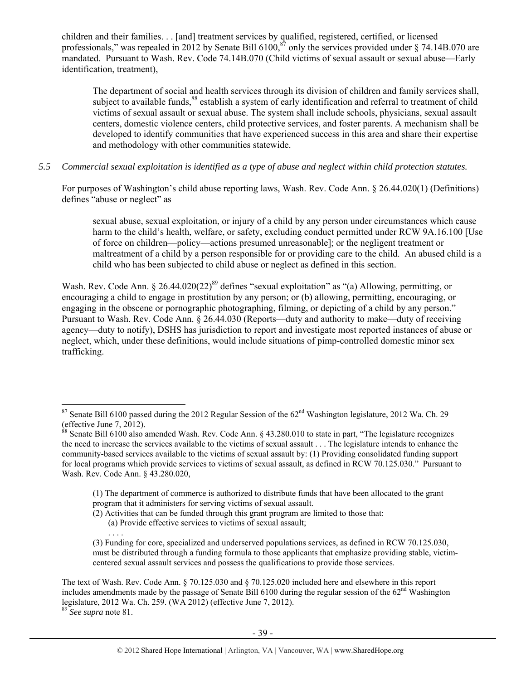children and their families. . . [and] treatment services by qualified, registered, certified, or licensed professionals," was repealed in 2012 by Senate Bill  $6100$ ,  $\frac{87}{3}$  only the services provided under  $\frac{874.14B.070}{2}$  are mandated. Pursuant to Wash. Rev. Code 74.14B.070 (Child victims of sexual assault or sexual abuse—Early identification, treatment),

The department of social and health services through its division of children and family services shall, subject to available funds, $88$  establish a system of early identification and referral to treatment of child victims of sexual assault or sexual abuse. The system shall include schools, physicians, sexual assault centers, domestic violence centers, child protective services, and foster parents. A mechanism shall be developed to identify communities that have experienced success in this area and share their expertise and methodology with other communities statewide.

#### *5.5 Commercial sexual exploitation is identified as a type of abuse and neglect within child protection statutes.*

For purposes of Washington's child abuse reporting laws, Wash. Rev. Code Ann. § 26.44.020(1) (Definitions) defines "abuse or neglect" as

sexual abuse, sexual exploitation, or injury of a child by any person under circumstances which cause harm to the child's health, welfare, or safety, excluding conduct permitted under RCW 9A.16.100 [Use of force on children—policy—actions presumed unreasonable]; or the negligent treatment or maltreatment of a child by a person responsible for or providing care to the child. An abused child is a child who has been subjected to child abuse or neglect as defined in this section.

Wash. Rev. Code Ann. § 26.44.020(22)<sup>89</sup> defines "sexual exploitation" as "(a) Allowing, permitting, or encouraging a child to engage in prostitution by any person; or (b) allowing, permitting, encouraging, or engaging in the obscene or pornographic photographing, filming, or depicting of a child by any person." Pursuant to Wash. Rev. Code Ann. § 26.44.030 (Reports—duty and authority to make—duty of receiving agency—duty to notify), DSHS has jurisdiction to report and investigate most reported instances of abuse or neglect, which, under these definitions, would include situations of pimp-controlled domestic minor sex trafficking.

(a) Provide effective services to victims of sexual assault;

<sup>&</sup>lt;sup>87</sup> Senate Bill 6100 passed during the 2012 Regular Session of the  $62<sup>nd</sup>$  Washington legislature, 2012 Wa. Ch. 29 (effective June 7,  $2012$ ).

<sup>&</sup>lt;sup>88</sup> Senate Bill 6100 also amended Wash. Rev. Code Ann.  $\S$  43.280.010 to state in part, "The legislature recognizes" the need to increase the services available to the victims of sexual assault . . . The legislature intends to enhance the community-based services available to the victims of sexual assault by: (1) Providing consolidated funding support for local programs which provide services to victims of sexual assault, as defined in RCW 70.125.030." Pursuant to Wash. Rev. Code Ann. § 43.280.020,

<sup>(1)</sup> The department of commerce is authorized to distribute funds that have been allocated to the grant program that it administers for serving victims of sexual assault.

<sup>(2)</sup> Activities that can be funded through this grant program are limited to those that:

<sup>. . . .</sup>  (3) Funding for core, specialized and underserved populations services, as defined in RCW 70.125.030, must be distributed through a funding formula to those applicants that emphasize providing stable, victimcentered sexual assault services and possess the qualifications to provide those services.

The text of Wash. Rev. Code Ann. § 70.125.030 and § 70.125.020 included here and elsewhere in this report includes amendments made by the passage of Senate Bill  $6100$  during the regular session of the  $62<sup>nd</sup>$  Washington legislature, 2012 Wa. Ch. 259. (WA 2012) (effective June 7, 2012).

<sup>89</sup> *See supra* note 81.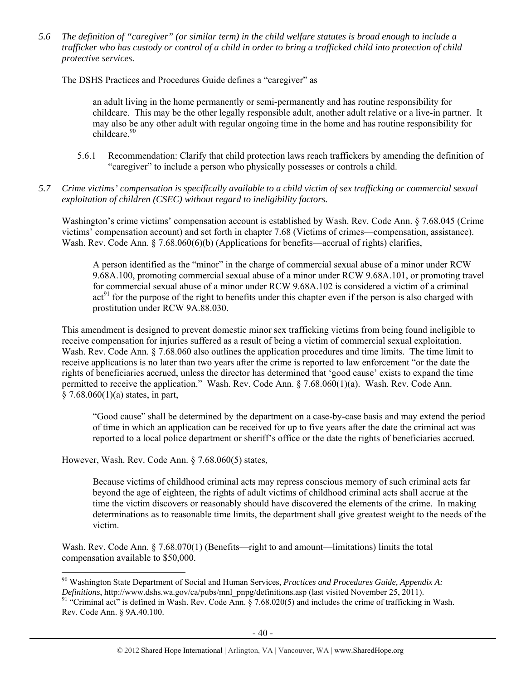*5.6 The definition of "caregiver" (or similar term) in the child welfare statutes is broad enough to include a*  trafficker who has custody or control of a child in order to bring a trafficked child into protection of child *protective services.* 

The DSHS Practices and Procedures Guide defines a "caregiver" as

an adult living in the home permanently or semi-permanently and has routine responsibility for childcare. This may be the other legally responsible adult, another adult relative or a live-in partner. It may also be any other adult with regular ongoing time in the home and has routine responsibility for childcare<sup>90</sup>

- 5.6.1 Recommendation: Clarify that child protection laws reach traffickers by amending the definition of "caregiver" to include a person who physically possesses or controls a child.
- *5.7 Crime victims' compensation is specifically available to a child victim of sex trafficking or commercial sexual exploitation of children (CSEC) without regard to ineligibility factors.*

Washington's crime victims' compensation account is established by Wash. Rev. Code Ann. § 7.68.045 (Crime victims' compensation account) and set forth in chapter 7.68 (Victims of crimes—compensation, assistance). Wash. Rev. Code Ann. § 7.68.060(6)(b) (Applications for benefits—accrual of rights) clarifies,

A person identified as the "minor" in the charge of commercial sexual abuse of a minor under RCW 9.68A.100, promoting commercial sexual abuse of a minor under RCW 9.68A.101, or promoting travel for commercial sexual abuse of a minor under RCW 9.68A.102 is considered a victim of a criminal act<sup>91</sup> for the purpose of the right to benefits under this chapter even if the person is also charged with prostitution under RCW 9A.88.030.

This amendment is designed to prevent domestic minor sex trafficking victims from being found ineligible to receive compensation for injuries suffered as a result of being a victim of commercial sexual exploitation. Wash. Rev. Code Ann. § 7.68.060 also outlines the application procedures and time limits. The time limit to receive applications is no later than two years after the crime is reported to law enforcement "or the date the rights of beneficiaries accrued, unless the director has determined that 'good cause' exists to expand the time permitted to receive the application." Wash. Rev. Code Ann. § 7.68.060(1)(a). Wash. Rev. Code Ann.  $§ 7.68.060(1)(a)$  states, in part,

"Good cause" shall be determined by the department on a case-by-case basis and may extend the period of time in which an application can be received for up to five years after the date the criminal act was reported to a local police department or sheriff's office or the date the rights of beneficiaries accrued.

However, Wash. Rev. Code Ann. § 7.68.060(5) states,

Because victims of childhood criminal acts may repress conscious memory of such criminal acts far beyond the age of eighteen, the rights of adult victims of childhood criminal acts shall accrue at the time the victim discovers or reasonably should have discovered the elements of the crime. In making determinations as to reasonable time limits, the department shall give greatest weight to the needs of the victim.

Wash. Rev. Code Ann. § 7.68.070(1) (Benefits—right to and amount—limitations) limits the total compensation available to \$50,000.

 $\overline{a}$ 90 Washington State Department of Social and Human Services, *Practices and Procedures Guide, Appendix A: Definitions*, http://www.dshs.wa.gov/ca/pubs/mnl\_pnpg/definitions.asp (last visited November 25, 2011).<br><sup>91</sup> "Criminal act" is defined in Wash. Rev. Code Ann. § 7.68.020(5) and includes the crime of trafficking in Wash.

Rev. Code Ann. § 9A.40.100.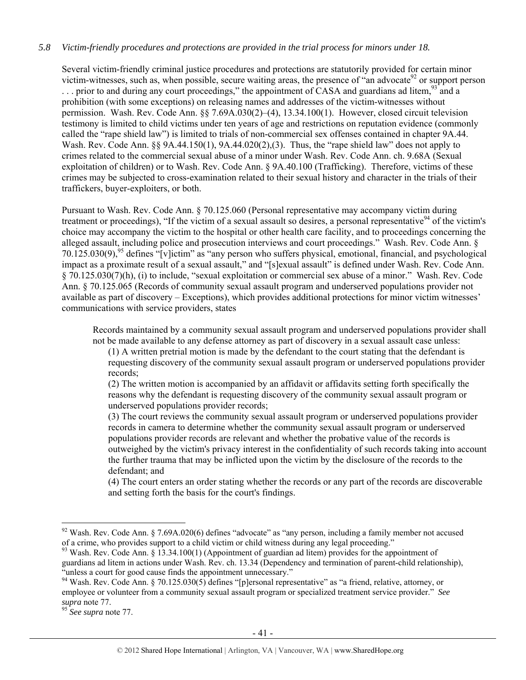## *5.8 Victim-friendly procedures and protections are provided in the trial process for minors under 18.*

Several victim-friendly criminal justice procedures and protections are statutorily provided for certain minor victim-witnesses, such as, when possible, secure waiting areas, the presence of "an advocate<sup>92</sup> or support person  $\ldots$  prior to and during any court proceedings," the appointment of CASA and guardians ad litem,  $93$  and a prohibition (with some exceptions) on releasing names and addresses of the victim-witnesses without permission. Wash. Rev. Code Ann. §§ 7.69A.030(2)–(4), 13.34.100(1). However, closed circuit television testimony is limited to child victims under ten years of age and restrictions on reputation evidence (commonly called the "rape shield law") is limited to trials of non-commercial sex offenses contained in chapter 9A.44. Wash. Rev. Code Ann. §§ 9A.44.150(1), 9A.44.020(2), (3). Thus, the "rape shield law" does not apply to crimes related to the commercial sexual abuse of a minor under Wash. Rev. Code Ann. ch. 9.68A (Sexual exploitation of children) or to Wash. Rev. Code Ann. § 9A.40.100 (Trafficking). Therefore, victims of these crimes may be subjected to cross-examination related to their sexual history and character in the trials of their traffickers, buyer-exploiters, or both.

Pursuant to Wash. Rev. Code Ann. § 70.125.060 (Personal representative may accompany victim during treatment or proceedings), "If the victim of a sexual assault so desires, a personal representative $94$  of the victim's choice may accompany the victim to the hospital or other health care facility, and to proceedings concerning the alleged assault, including police and prosecution interviews and court proceedings." Wash. Rev. Code Ann. §  $70.125.030(9)$ ,<sup>95</sup> defines "[v]ictim" as "any person who suffers physical, emotional, financial, and psychological impact as a proximate result of a sexual assault," and "[s]exual assault" is defined under Wash. Rev. Code Ann. § 70.125.030(7)(h), (i) to include, "sexual exploitation or commercial sex abuse of a minor." Wash. Rev. Code Ann. § 70.125.065 (Records of community sexual assault program and underserved populations provider not available as part of discovery – Exceptions), which provides additional protections for minor victim witnesses' communications with service providers, states

Records maintained by a community sexual assault program and underserved populations provider shall not be made available to any defense attorney as part of discovery in a sexual assault case unless:

(1) A written pretrial motion is made by the defendant to the court stating that the defendant is requesting discovery of the community sexual assault program or underserved populations provider records;

(2) The written motion is accompanied by an affidavit or affidavits setting forth specifically the reasons why the defendant is requesting discovery of the community sexual assault program or underserved populations provider records;

(3) The court reviews the community sexual assault program or underserved populations provider records in camera to determine whether the community sexual assault program or underserved populations provider records are relevant and whether the probative value of the records is outweighed by the victim's privacy interest in the confidentiality of such records taking into account the further trauma that may be inflicted upon the victim by the disclosure of the records to the defendant; and

(4) The court enters an order stating whether the records or any part of the records are discoverable and setting forth the basis for the court's findings.

 $92$  Wash. Rev. Code Ann. § 7.69A.020(6) defines "advocate" as "any person, including a family member not accused of a crime, who provides support to a child victim or child witness during any legal proceeding."<br><sup>93</sup> Wash. Rev. Code Ann. § 13.34.100(1) (Appointment of guardian ad litem) provides for the appointment of

guardians ad litem in actions under Wash. Rev. ch. 13.34 (Dependency and termination of parent-child relationship), "unless a court for good cause finds the appointment unnecessary."

<sup>&</sup>lt;sup>94</sup> Wash. Rev. Code Ann. § 70.125.030(5) defines "[p]ersonal representative" as "a friend, relative, attorney, or employee or volunteer from a community sexual assault program or specialized treatment service provider." *See supra* note 77. 95 *See supra* note 77.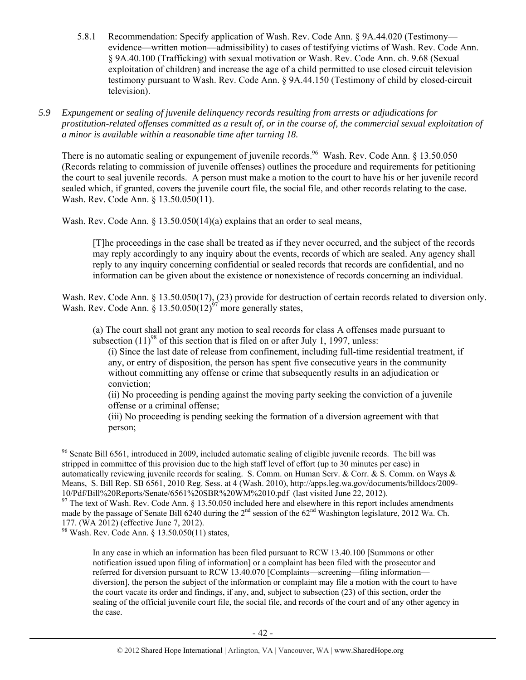- 5.8.1 Recommendation: Specify application of Wash. Rev. Code Ann. § 9A.44.020 (Testimony evidence—written motion—admissibility) to cases of testifying victims of Wash. Rev. Code Ann. § 9A.40.100 (Trafficking) with sexual motivation or Wash. Rev. Code Ann. ch. 9.68 (Sexual exploitation of children) and increase the age of a child permitted to use closed circuit television testimony pursuant to Wash. Rev. Code Ann. § 9A.44.150 (Testimony of child by closed-circuit television).
- *5.9 Expungement or sealing of juvenile delinquency records resulting from arrests or adjudications for prostitution-related offenses committed as a result of, or in the course of, the commercial sexual exploitation of a minor is available within a reasonable time after turning 18.*

There is no automatic sealing or expungement of juvenile records.<sup>96</sup> Wash. Rev. Code Ann. § 13.50.050 (Records relating to commission of juvenile offenses) outlines the procedure and requirements for petitioning the court to seal juvenile records. A person must make a motion to the court to have his or her juvenile record sealed which, if granted, covers the juvenile court file, the social file, and other records relating to the case. Wash. Rev. Code Ann. § 13.50.050(11).

Wash. Rev. Code Ann. § 13.50.050(14)(a) explains that an order to seal means,

[T]he proceedings in the case shall be treated as if they never occurred, and the subject of the records may reply accordingly to any inquiry about the events, records of which are sealed. Any agency shall reply to any inquiry concerning confidential or sealed records that records are confidential, and no information can be given about the existence or nonexistence of records concerning an individual.

Wash. Rev. Code Ann. § 13.50.050(17), (23) provide for destruction of certain records related to diversion only. Wash. Rev. Code Ann. § 13.50.050(12)<sup>97</sup> more generally states,

(a) The court shall not grant any motion to seal records for class A offenses made pursuant to subsection  $(11)^{98}$  of this section that is filed on or after July 1, 1997, unless:

(i) Since the last date of release from confinement, including full-time residential treatment, if any, or entry of disposition, the person has spent five consecutive years in the community without committing any offense or crime that subsequently results in an adjudication or conviction;

(ii) No proceeding is pending against the moving party seeking the conviction of a juvenile offense or a criminal offense;

(iii) No proceeding is pending seeking the formation of a diversion agreement with that person;

<sup>&</sup>lt;sup>96</sup> Senate Bill 6561, introduced in 2009, included automatic sealing of eligible juvenile records. The bill was stripped in committee of this provision due to the high staff level of effort (up to 30 minutes per case) in automatically reviewing juvenile records for sealing. S. Comm. on Human Serv. & Corr. & S. Comm. on Ways & Means, S. Bill Rep. SB 6561, 2010 Reg. Sess. at 4 (Wash. 2010), http://apps.leg.wa.gov/documents/billdocs/2009- 10/Pdf/Bill%20Reports/Senate/6561%20SBR%20WM%2010.pdf (last visited June 22, 2012).

 $97$  The text of Wash. Rev. Code Ann. § 13.50.050 included here and elsewhere in this report includes amendments made by the passage of Senate Bill 6240 during the 2<sup>nd</sup> session of the 62<sup>nd</sup> Washington legislature, 2012 Wa. Ch. 177. (WA 2012) (effective June 7, 2012).

 $98$  Wash. Rev. Code Ann. § 13.50.050(11) states,

In any case in which an information has been filed pursuant to RCW 13.40.100 [Summons or other notification issued upon filing of information] or a complaint has been filed with the prosecutor and referred for diversion pursuant to RCW 13.40.070 [Complaints—screening—filing information diversion], the person the subject of the information or complaint may file a motion with the court to have the court vacate its order and findings, if any, and, subject to subsection (23) of this section, order the sealing of the official juvenile court file, the social file, and records of the court and of any other agency in the case.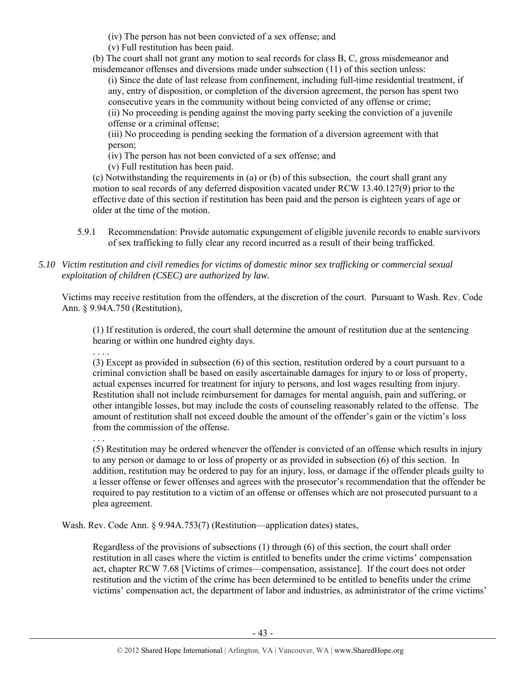(iv) The person has not been convicted of a sex offense; and

(v) Full restitution has been paid.

(b) The court shall not grant any motion to seal records for class B, C, gross misdemeanor and misdemeanor offenses and diversions made under subsection (11) of this section unless:

(i) Since the date of last release from confinement, including full-time residential treatment, if any, entry of disposition, or completion of the diversion agreement, the person has spent two consecutive years in the community without being convicted of any offense or crime; (ii) No proceeding is pending against the moving party seeking the conviction of a juvenile offense or a criminal offense;

(iii) No proceeding is pending seeking the formation of a diversion agreement with that person;

(iv) The person has not been convicted of a sex offense; and

(v) Full restitution has been paid.

(c) Notwithstanding the requirements in (a) or (b) of this subsection, the court shall grant any motion to seal records of any deferred disposition vacated under RCW 13.40.127(9) prior to the effective date of this section if restitution has been paid and the person is eighteen years of age or older at the time of the motion.

- 5.9.1 Recommendation: Provide automatic expungement of eligible juvenile records to enable survivors of sex trafficking to fully clear any record incurred as a result of their being trafficked.
- *5.10 Victim restitution and civil remedies for victims of domestic minor sex trafficking or commercial sexual exploitation of children (CSEC) are authorized by law.*

Victims may receive restitution from the offenders, at the discretion of the court. Pursuant to Wash. Rev. Code Ann. § 9.94A.750 (Restitution),

(1) If restitution is ordered, the court shall determine the amount of restitution due at the sentencing hearing or within one hundred eighty days.

. . . . (3) Except as provided in subsection (6) of this section, restitution ordered by a court pursuant to a criminal conviction shall be based on easily ascertainable damages for injury to or loss of property, actual expenses incurred for treatment for injury to persons, and lost wages resulting from injury. Restitution shall not include reimbursement for damages for mental anguish, pain and suffering, or other intangible losses, but may include the costs of counseling reasonably related to the offense. The amount of restitution shall not exceed double the amount of the offender's gain or the victim's loss from the commission of the offense.

. . .

(5) Restitution may be ordered whenever the offender is convicted of an offense which results in injury to any person or damage to or loss of property or as provided in subsection (6) of this section. In addition, restitution may be ordered to pay for an injury, loss, or damage if the offender pleads guilty to a lesser offense or fewer offenses and agrees with the prosecutor's recommendation that the offender be required to pay restitution to a victim of an offense or offenses which are not prosecuted pursuant to a plea agreement.

Wash. Rev. Code Ann. § 9.94A.753(7) (Restitution—application dates) states,

Regardless of the provisions of subsections (1) through (6) of this section, the court shall order restitution in all cases where the victim is entitled to benefits under the crime victims' compensation act, chapter RCW 7.68 [Victims of crimes—compensation, assistance]. If the court does not order restitution and the victim of the crime has been determined to be entitled to benefits under the crime victims' compensation act, the department of labor and industries, as administrator of the crime victims'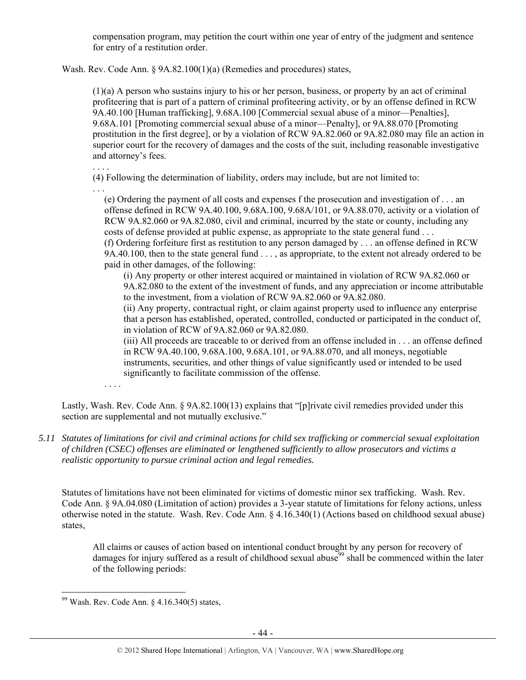compensation program, may petition the court within one year of entry of the judgment and sentence for entry of a restitution order.

Wash. Rev. Code Ann. § 9A.82.100(1)(a) (Remedies and procedures) states,

(1)(a) A person who sustains injury to his or her person, business, or property by an act of criminal profiteering that is part of a pattern of criminal profiteering activity, or by an offense defined in RCW 9A.40.100 [Human trafficking], 9.68A.100 [Commercial sexual abuse of a minor—Penalties], 9.68A.101 [Promoting commercial sexual abuse of a minor—Penalty], or 9A.88.070 [Promoting prostitution in the first degree], or by a violation of RCW 9A.82.060 or 9A.82.080 may file an action in superior court for the recovery of damages and the costs of the suit, including reasonable investigative and attorney's fees.

(4) Following the determination of liability, orders may include, but are not limited to:

. . . (e) Ordering the payment of all costs and expenses f the prosecution and investigation of . . . an offense defined in RCW 9A.40.100, 9.68A.100, 9.68A/101, or 9A.88.070, activity or a violation of RCW 9A.82.060 or 9A.82.080, civil and criminal, incurred by the state or county, including any costs of defense provided at public expense, as appropriate to the state general fund . . .

(f) Ordering forfeiture first as restitution to any person damaged by . . . an offense defined in RCW 9A.40.100, then to the state general fund . . . , as appropriate, to the extent not already ordered to be paid in other damages, of the following:

(i) Any property or other interest acquired or maintained in violation of RCW 9A.82.060 or 9A.82.080 to the extent of the investment of funds, and any appreciation or income attributable to the investment, from a violation of RCW 9A.82.060 or 9A.82.080.

(ii) Any property, contractual right, or claim against property used to influence any enterprise that a person has established, operated, controlled, conducted or participated in the conduct of, in violation of RCW of 9A.82.060 or 9A.82.080.

(iii) All proceeds are traceable to or derived from an offense included in . . . an offense defined in RCW 9A.40.100, 9.68A.100, 9.68A.101, or 9A.88.070, and all moneys, negotiable instruments, securities, and other things of value significantly used or intended to be used significantly to facilitate commission of the offense.

. . . .

. . . .

Lastly, Wash. Rev. Code Ann. § 9A.82.100(13) explains that "[p]rivate civil remedies provided under this section are supplemental and not mutually exclusive."

*5.11 Statutes of limitations for civil and criminal actions for child sex trafficking or commercial sexual exploitation of children (CSEC) offenses are eliminated or lengthened sufficiently to allow prosecutors and victims a realistic opportunity to pursue criminal action and legal remedies.* 

Statutes of limitations have not been eliminated for victims of domestic minor sex trafficking. Wash. Rev. Code Ann. § 9A.04.080 (Limitation of action) provides a 3-year statute of limitations for felony actions, unless otherwise noted in the statute. Wash. Rev. Code Ann. § 4.16.340(1) (Actions based on childhood sexual abuse) states,

All claims or causes of action based on intentional conduct brought by any person for recovery of damages for injury suffered as a result of childhood sexual abuse<sup>99</sup> shall be commenced within the later of the following periods:

 $99$  Wash. Rev. Code Ann. § 4.16.340(5) states,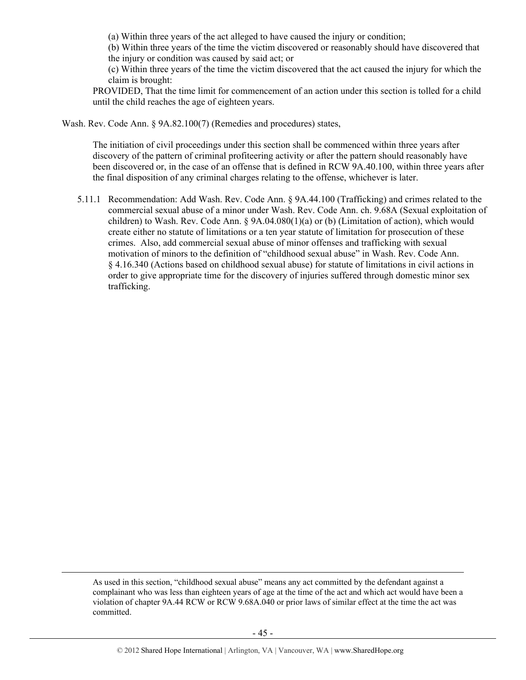(a) Within three years of the act alleged to have caused the injury or condition;

(b) Within three years of the time the victim discovered or reasonably should have discovered that the injury or condition was caused by said act; or

(c) Within three years of the time the victim discovered that the act caused the injury for which the claim is brought:

PROVIDED, That the time limit for commencement of an action under this section is tolled for a child until the child reaches the age of eighteen years.

Wash. Rev. Code Ann. § 9A.82.100(7) (Remedies and procedures) states,

The initiation of civil proceedings under this section shall be commenced within three years after discovery of the pattern of criminal profiteering activity or after the pattern should reasonably have been discovered or, in the case of an offense that is defined in RCW 9A.40.100, within three years after the final disposition of any criminal charges relating to the offense, whichever is later.

5.11.1 Recommendation: Add Wash. Rev. Code Ann. § 9A.44.100 (Trafficking) and crimes related to the commercial sexual abuse of a minor under Wash. Rev. Code Ann. ch. 9.68A (Sexual exploitation of children) to Wash. Rev. Code Ann. § 9A.04.080(1)(a) or (b) (Limitation of action), which would create either no statute of limitations or a ten year statute of limitation for prosecution of these crimes. Also, add commercial sexual abuse of minor offenses and trafficking with sexual motivation of minors to the definition of "childhood sexual abuse" in Wash. Rev. Code Ann. § 4.16.340 (Actions based on childhood sexual abuse) for statute of limitations in civil actions in order to give appropriate time for the discovery of injuries suffered through domestic minor sex trafficking.

 As used in this section, "childhood sexual abuse" means any act committed by the defendant against a complainant who was less than eighteen years of age at the time of the act and which act would have been a violation of chapter 9A.44 RCW or RCW 9.68A.040 or prior laws of similar effect at the time the act was committed.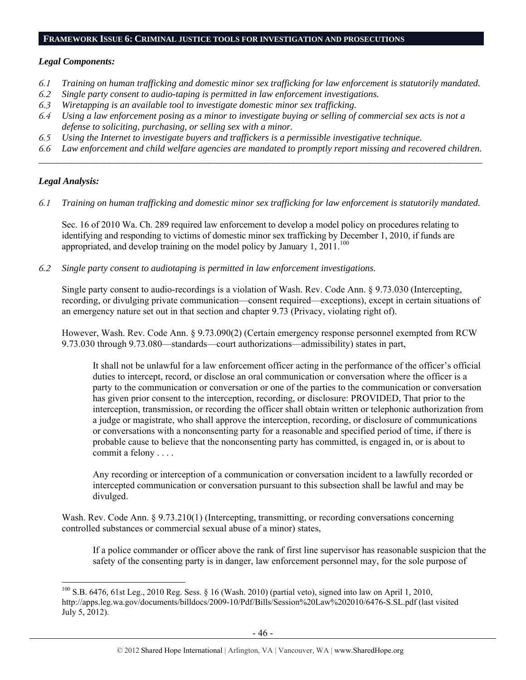#### **FRAMEWORK ISSUE 6: CRIMINAL JUSTICE TOOLS FOR INVESTIGATION AND PROSECUTIONS**

#### *Legal Components:*

- *6.1 Training on human trafficking and domestic minor sex trafficking for law enforcement is statutorily mandated.*
- *6.2 Single party consent to audio-taping is permitted in law enforcement investigations.*
- *6.3 Wiretapping is an available tool to investigate domestic minor sex trafficking.*
- *6.4 Using a law enforcement posing as a minor to investigate buying or selling of commercial sex acts is not a defense to soliciting, purchasing, or selling sex with a minor.*
- *6.5 Using the Internet to investigate buyers and traffickers is a permissible investigative technique.*
- *6.6 Law enforcement and child welfare agencies are mandated to promptly report missing and recovered children. \_\_\_\_\_\_\_\_\_\_\_\_\_\_\_\_\_\_\_\_\_\_\_\_\_\_\_\_\_\_\_\_\_\_\_\_\_\_\_\_\_\_\_\_\_\_\_\_\_\_\_\_\_\_\_\_\_\_\_\_\_\_\_\_\_\_\_\_\_\_\_\_\_\_\_\_\_\_\_\_\_\_\_\_\_\_\_\_\_\_\_\_\_\_*

### *Legal Analysis:*

 $\overline{a}$ 

*6.1 Training on human trafficking and domestic minor sex trafficking for law enforcement is statutorily mandated.* 

Sec. 16 of 2010 Wa. Ch. 289 required law enforcement to develop a model policy on procedures relating to identifying and responding to victims of domestic minor sex trafficking by December 1, 2010, if funds are appropriated, and develop training on the model policy by January  $1, 2011$ <sup>100</sup>

*6.2 Single party consent to audiotaping is permitted in law enforcement investigations.* 

Single party consent to audio-recordings is a violation of Wash. Rev. Code Ann. § 9.73.030 (Intercepting, recording, or divulging private communication—consent required—exceptions), except in certain situations of an emergency nature set out in that section and chapter 9.73 (Privacy, violating right of).

However, Wash. Rev. Code Ann. § 9.73.090(2) (Certain emergency response personnel exempted from RCW 9.73.030 through 9.73.080—standards—court authorizations—admissibility) states in part,

It shall not be unlawful for a law enforcement officer acting in the performance of the officer's official duties to intercept, record, or disclose an oral communication or conversation where the officer is a party to the communication or conversation or one of the parties to the communication or conversation has given prior consent to the interception, recording, or disclosure: PROVIDED, That prior to the interception, transmission, or recording the officer shall obtain written or telephonic authorization from a judge or magistrate, who shall approve the interception, recording, or disclosure of communications or conversations with a nonconsenting party for a reasonable and specified period of time, if there is probable cause to believe that the nonconsenting party has committed, is engaged in, or is about to commit a felony . . . .

Any recording or interception of a communication or conversation incident to a lawfully recorded or intercepted communication or conversation pursuant to this subsection shall be lawful and may be divulged.

Wash. Rev. Code Ann. § 9.73.210(1) (Intercepting, transmitting, or recording conversations concerning controlled substances or commercial sexual abuse of a minor) states,

If a police commander or officer above the rank of first line supervisor has reasonable suspicion that the safety of the consenting party is in danger, law enforcement personnel may, for the sole purpose of

<sup>100</sup> S.B. 6476, 61st Leg., 2010 Reg. Sess. § 16 (Wash. 2010) (partial veto), signed into law on April 1, 2010, http://apps.leg.wa.gov/documents/billdocs/2009-10/Pdf/Bills/Session%20Law%202010/6476-S.SL.pdf (last visited July 5, 2012).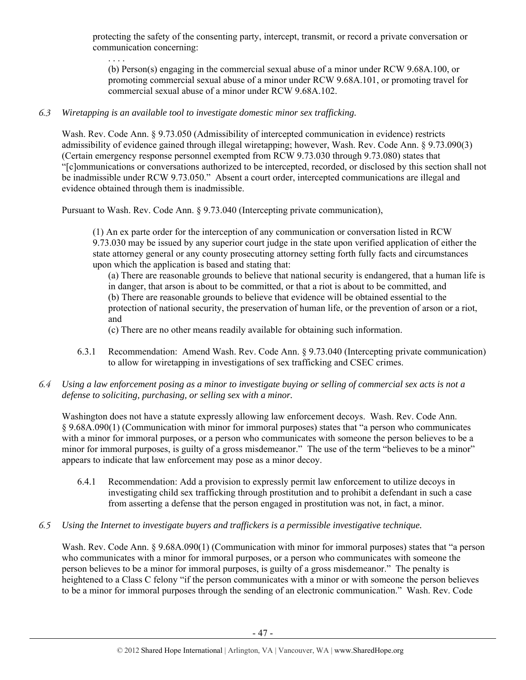protecting the safety of the consenting party, intercept, transmit, or record a private conversation or communication concerning:

(b) Person(s) engaging in the commercial sexual abuse of a minor under RCW 9.68A.100, or promoting commercial sexual abuse of a minor under RCW 9.68A.101, or promoting travel for commercial sexual abuse of a minor under RCW 9.68A.102.

### *6.3 Wiretapping is an available tool to investigate domestic minor sex trafficking.*

. . . .

Wash. Rev. Code Ann. § 9.73.050 (Admissibility of intercepted communication in evidence) restricts admissibility of evidence gained through illegal wiretapping; however, Wash. Rev. Code Ann. § 9.73.090(3) (Certain emergency response personnel exempted from RCW 9.73.030 through 9.73.080) states that "[c]ommunications or conversations authorized to be intercepted, recorded, or disclosed by this section shall not be inadmissible under RCW 9.73.050." Absent a court order, intercepted communications are illegal and evidence obtained through them is inadmissible.

Pursuant to Wash. Rev. Code Ann. § 9.73.040 (Intercepting private communication),

(1) An ex parte order for the interception of any communication or conversation listed in RCW 9.73.030 may be issued by any superior court judge in the state upon verified application of either the state attorney general or any county prosecuting attorney setting forth fully facts and circumstances upon which the application is based and stating that:

(a) There are reasonable grounds to believe that national security is endangered, that a human life is in danger, that arson is about to be committed, or that a riot is about to be committed, and (b) There are reasonable grounds to believe that evidence will be obtained essential to the protection of national security, the preservation of human life, or the prevention of arson or a riot, and

(c) There are no other means readily available for obtaining such information.

- 6.3.1 Recommendation: Amend Wash. Rev. Code Ann. § 9.73.040 (Intercepting private communication) to allow for wiretapping in investigations of sex trafficking and CSEC crimes.
- *6.4 Using a law enforcement posing as a minor to investigate buying or selling of commercial sex acts is not a defense to soliciting, purchasing, or selling sex with a minor.*

Washington does not have a statute expressly allowing law enforcement decoys. Wash. Rev. Code Ann. § 9.68A.090(1) (Communication with minor for immoral purposes) states that "a person who communicates with a minor for immoral purposes, or a person who communicates with someone the person believes to be a minor for immoral purposes, is guilty of a gross misdemeanor." The use of the term "believes to be a minor" appears to indicate that law enforcement may pose as a minor decoy.

6.4.1 Recommendation: Add a provision to expressly permit law enforcement to utilize decoys in investigating child sex trafficking through prostitution and to prohibit a defendant in such a case from asserting a defense that the person engaged in prostitution was not, in fact, a minor.

#### *6.5 Using the Internet to investigate buyers and traffickers is a permissible investigative technique.*

Wash. Rev. Code Ann. § 9.68A.090(1) (Communication with minor for immoral purposes) states that "a person who communicates with a minor for immoral purposes, or a person who communicates with someone the person believes to be a minor for immoral purposes, is guilty of a gross misdemeanor." The penalty is heightened to a Class C felony "if the person communicates with a minor or with someone the person believes to be a minor for immoral purposes through the sending of an electronic communication." Wash. Rev. Code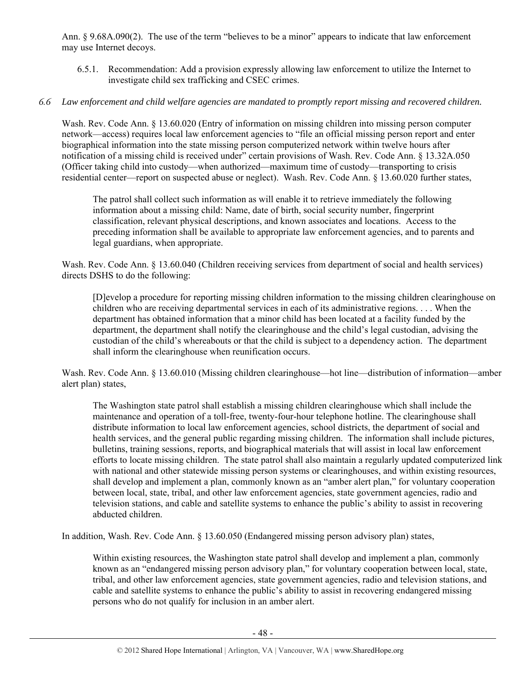Ann. § 9.68A.090(2). The use of the term "believes to be a minor" appears to indicate that law enforcement may use Internet decoys.

6.5.1. Recommendation: Add a provision expressly allowing law enforcement to utilize the Internet to investigate child sex trafficking and CSEC crimes.

#### *6.6 Law enforcement and child welfare agencies are mandated to promptly report missing and recovered children.*

Wash. Rev. Code Ann. § 13.60.020 (Entry of information on missing children into missing person computer network—access) requires local law enforcement agencies to "file an official missing person report and enter biographical information into the state missing person computerized network within twelve hours after notification of a missing child is received under" certain provisions of Wash. Rev. Code Ann. § 13.32A.050 (Officer taking child into custody—when authorized—maximum time of custody—transporting to crisis residential center—report on suspected abuse or neglect). Wash. Rev. Code Ann. § 13.60.020 further states,

The patrol shall collect such information as will enable it to retrieve immediately the following information about a missing child: Name, date of birth, social security number, fingerprint classification, relevant physical descriptions, and known associates and locations. Access to the preceding information shall be available to appropriate law enforcement agencies, and to parents and legal guardians, when appropriate.

Wash. Rev. Code Ann. § 13.60.040 (Children receiving services from department of social and health services) directs DSHS to do the following:

[D]evelop a procedure for reporting missing children information to the missing children clearinghouse on children who are receiving departmental services in each of its administrative regions. . . . When the department has obtained information that a minor child has been located at a facility funded by the department, the department shall notify the clearinghouse and the child's legal custodian, advising the custodian of the child's whereabouts or that the child is subject to a dependency action. The department shall inform the clearinghouse when reunification occurs.

Wash. Rev. Code Ann. § 13.60.010 (Missing children clearinghouse—hot line—distribution of information—amber alert plan) states,

The Washington state patrol shall establish a missing children clearinghouse which shall include the maintenance and operation of a toll-free, twenty-four-hour telephone hotline. The clearinghouse shall distribute information to local law enforcement agencies, school districts, the department of social and health services, and the general public regarding missing children. The information shall include pictures, bulletins, training sessions, reports, and biographical materials that will assist in local law enforcement efforts to locate missing children. The state patrol shall also maintain a regularly updated computerized link with national and other statewide missing person systems or clearinghouses, and within existing resources, shall develop and implement a plan, commonly known as an "amber alert plan," for voluntary cooperation between local, state, tribal, and other law enforcement agencies, state government agencies, radio and television stations, and cable and satellite systems to enhance the public's ability to assist in recovering abducted children.

In addition, Wash. Rev. Code Ann. § 13.60.050 (Endangered missing person advisory plan) states,

Within existing resources, the Washington state patrol shall develop and implement a plan, commonly known as an "endangered missing person advisory plan," for voluntary cooperation between local, state, tribal, and other law enforcement agencies, state government agencies, radio and television stations, and cable and satellite systems to enhance the public's ability to assist in recovering endangered missing persons who do not qualify for inclusion in an amber alert.